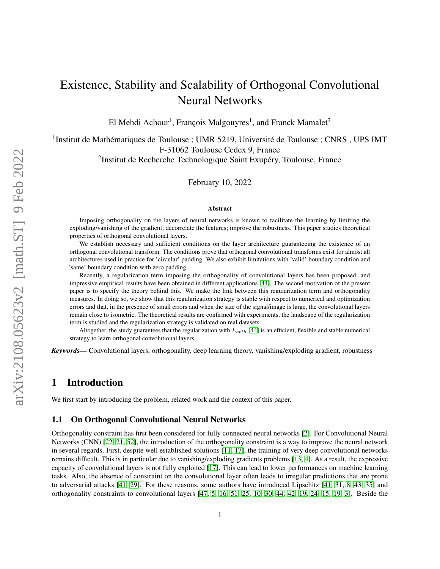# Existence, Stability and Scalability of Orthogonal Convolutional Neural Networks

El Mehdi Achour<sup>1</sup>, François Malgouyres<sup>1</sup>, and Franck Mamalet<sup>2</sup>

<sup>1</sup>Institut de Mathématiques de Toulouse ; UMR 5219, Université de Toulouse ; CNRS, UPS IMT F-31062 Toulouse Cedex 9, France

<sup>2</sup>Institut de Recherche Technologique Saint Exupéry, Toulouse, France

February 10, 2022

#### Abstract

Imposing orthogonality on the layers of neural networks is known to facilitate the learning by limiting the exploding/vanishing of the gradient; decorrelate the features; improve the robustness. This paper studies theoretical properties of orthogonal convolutional layers.

We establish necessary and sufficient conditions on the layer architecture guaranteeing the existence of an orthogonal convolutional transform. The conditions prove that orthogonal convolutional transforms exist for almost all architectures used in practice for 'circular' padding. We also exhibit limitations with 'valid' boundary condition and 'same' boundary condition with zero padding.

Recently, a regularization term imposing the orthogonality of convolutional layers has been proposed, and impressive empirical results have been obtained in different applications [\[44\]](#page-16-0). The second motivation of the present paper is to specify the theory behind this. We make the link between this regularization term and orthogonality measures. In doing so, we show that this regularization strategy is stable with respect to numerical and optimization errors and that, in the presence of small errors and when the size of the signal/image is large, the convolutional layers remain close to isometric. The theoretical results are confirmed with experiments, the landscape of the regularization term is studied and the regularization strategy is validated on real datasets.

Altogether, the study guarantees that the regularization with  $L_{orth}$  [\[44\]](#page-16-0) is an efficient, flexible and stable numerical strategy to learn orthogonal convolutional layers.

*Keywords—* Convolutional layers, orthogonality, deep learning theory, vanishing/exploding gradient, robustness

## 1 Introduction

We first start by introducing the problem, related work and the context of this paper.

#### 1.1 On Orthogonal Convolutional Neural Networks

Orthogonality constraint has first been considered for fully connected neural networks [\[2\]](#page-13-0). For Convolutional Neural Networks (CNN) [\[22,](#page-15-0) [21,](#page-14-0) [52\]](#page-16-1), the introduction of the orthogonality constraint is a way to improve the neural network in several regards. First, despite well established solutions [\[11,](#page-14-1) [17\]](#page-14-2), the training of very deep convolutional networks remains difficult. This is in particular due to vanishing/exploding gradients problems [\[13,](#page-14-3) [4\]](#page-14-4). As a result, the expressive capacity of convolutional layers is not fully exploited [\[17\]](#page-14-2). This can lead to lower performances on machine learning tasks. Also, the absence of constraint on the convolutional layer often leads to irregular predictions that are prone to adversarial attacks [\[41,](#page-16-2) [29\]](#page-15-1). For these reasons, some authors have introduced Lipschitz [\[41,](#page-16-2) [31,](#page-15-2) [8,](#page-14-5) [43,](#page-16-3) [35\]](#page-15-3) and orthogonality constraints to convolutional layers [\[47,](#page-16-4) [5,](#page-14-6) [16,](#page-14-7) [51,](#page-16-5) [25,](#page-15-4) [10,](#page-14-8) [30,](#page-15-5) [44,](#page-16-0) [42,](#page-16-6) [19,](#page-14-9) [24,](#page-15-6) [15,](#page-14-10) [19,](#page-14-9) [3\]](#page-13-1). Beside the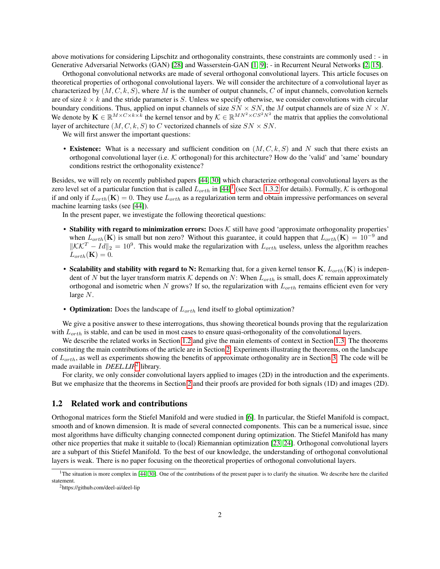above motivations for considering Lipschitz and orthogonality constraints, these constraints are commonly used : - in Generative Adversarial Networks (GAN) [\[28\]](#page-15-7) and Wasserstein-GAN [\[1,](#page-13-2) [9\]](#page-14-11); - in Recurrent Neural Networks [\[2,](#page-13-0) [15\]](#page-14-10).

Orthogonal convolutional networks are made of several orthogonal convolutional layers. This article focuses on theoretical properties of orthogonal convolutional layers. We will consider the architecture of a convolutional layer as characterized by  $(M, C, k, S)$ , where M is the number of output channels, C of input channels, convolution kernels are of size  $k \times k$  and the stride parameter is S. Unless we specify otherwise, we consider convolutions with circular boundary conditions. Thus, applied on input channels of size  $SN \times SN$ , the M output channels are of size  $N \times N$ . We denote by  $\mathbf{K} \in \mathbb{R}^{M \times C \times k \times k}$  the kernel tensor and by  $\mathcal{K} \in \mathbb{R}^{M N^2 \times C S^2 N^2}$  the matrix that applies the convolutional layer of architecture  $(M, C, k, S)$  to C vectorized channels of size  $SN \times SN$ .

We will first answer the important questions:

• Existence: What is a necessary and sufficient condition on  $(M, C, k, S)$  and N such that there exists an orthogonal convolutional layer (i.e.  $K$  orthogonal) for this architecture? How do the 'valid' and 'same' boundary conditions restrict the orthogonality existence?

Besides, we will rely on recently published papers [\[44,](#page-16-0) [30\]](#page-15-5) which characterize orthogonal convolutional layers as the zero level set of a particular function that is called  $L_{orth}$  in [\[44\]](#page-16-0)<sup>[1](#page-1-0)</sup> (see Sect. [1.3.2](#page-3-0) for details). Formally, K is orthogonal if and only if  $L_{orth}(\mathbf{K}) = 0$ . They use  $L_{orth}$  as a regularization term and obtain impressive performances on several machine learning tasks (see [\[44\]](#page-16-0)).

In the present paper, we investigate the following theoretical questions:

- Stability with regard to minimization errors: Does  $K$  still have good 'approximate orthogonality properties' when  $L_{orth}(\mathbf{K})$  is small but non zero? Without this guarantee, it could happen that  $L_{orth}(\mathbf{K}) = 10^{-9}$  and  $\|\mathcal{K}\mathcal{K}^T - Id\|_2 = 10^9$ . This would make the regularization with  $L_{orth}$  useless, unless the algorithm reaches  $L_{orth}(\mathbf{K}) = 0.$
- Scalability and stability with regard to N: Remarking that, for a given kernel tensor  $K, L_{orth}(K)$  is independent of N but the layer transform matrix K depends on N: When  $L_{orth}$  is small, does K remain approximately orthogonal and isometric when N grows? If so, the regularization with  $L_{orth}$  remains efficient even for very large N.
- **Optimization:** Does the landscape of  $L_{orth}$  lend itself to global optimization?

We give a positive answer to these interrogations, thus showing theoretical bounds proving that the regularization with  $L_{orth}$  is stable, and can be used in most cases to ensure quasi-orthogonality of the convolutional layers.

We describe the related works in Section [1.2](#page-1-1) and give the main elements of context in Section [1.3.](#page-3-1) The theorems constituting the main contributions of the article are in Section [2.](#page-6-0) Experiments illustrating the theorems, on the landscape of  $L_{orth}$ , as well as experiments showing the benefits of approximate orthogonality are in Section [3.](#page-9-0) The code will be made available in *DEEL.LIP*[2](#page-1-2) library.

For clarity, we only consider convolutional layers applied to images (2D) in the introduction and the experiments. But we emphasize that the theorems in Section [2](#page-6-0) and their proofs are provided for both signals (1D) and images (2D).

#### <span id="page-1-1"></span>1.2 Related work and contributions

Orthogonal matrices form the Stiefel Manifold and were studied in [\[6\]](#page-14-12). In particular, the Stiefel Manifold is compact, smooth and of known dimension. It is made of several connected components. This can be a numerical issue, since most algorithms have difficulty changing connected component during optimization. The Stiefel Manifold has many other nice properties that make it suitable to (local) Riemannian optimization [\[23,](#page-15-8) [24\]](#page-15-6). Orthogonal convolutional layers are a subpart of this Stiefel Manifold. To the best of our knowledge, the understanding of orthogonal convolutional layers is weak. There is no paper focusing on the theoretical properties of orthogonal convolutional layers.

<span id="page-1-0"></span><sup>&</sup>lt;sup>1</sup>The situation is more complex in [\[44,](#page-16-0) [30\]](#page-15-5). One of the contributions of the present paper is to clarify the situation. We describe here the clarified statement.

<span id="page-1-2"></span><sup>2</sup>https://github.com/deel-ai/deel-lip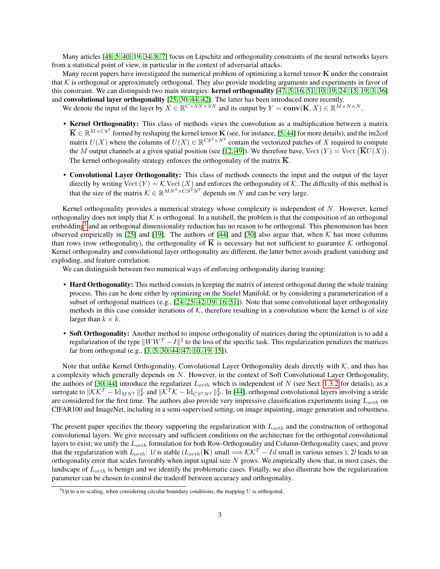Many articles [\[48,](#page-16-7) [5,](#page-14-6) [40,](#page-16-8) [19,](#page-14-9) [34,](#page-15-9) [8,](#page-14-5) [7\]](#page-14-13) focus on Lipschitz and orthogonality constraints of the neural networks layers from a statistical point of view, in particular in the context of adversarial attacks.

Many recent papers have investigated the numerical problem of optimizing a kernel tensor  $\bf{K}$  under the constraint that  $K$  is orthogonal or approximately orthogonal. They also provide modeling arguments and experiments in favor of this constraint. We can distinguish two main strategies: kernel orthogonality [\[47,](#page-16-4) [5,](#page-14-6) [16,](#page-14-7) [51,](#page-16-5) [10,](#page-14-8) [19,](#page-14-9) [24,](#page-15-6) [15,](#page-14-10) [19,](#page-14-9) [3,](#page-13-1) [36\]](#page-15-10) and convolutional layer orthogonality [\[25,](#page-15-4) [30,](#page-15-5) [44,](#page-16-0) [42\]](#page-16-6). The latter has been introduced more recently.

We denote the input of the layer by  $X \in \mathbb{R}^{C \times SN \times SN}$  and its output by  $Y = \text{conv}(\mathbf{K}, X) \in \mathbb{R}^{M \times N \times N}$ .

- Kernel Orthogonality: This class of methods views the convolution as a multiplication between a matrix  $\overline{\mathbf{K}} \in \mathbb{R}^{M \times Ck^2}$  formed by reshaping the kernel tensor  $\mathbf{K}$  (see, for instance, [\[5,](#page-14-6) [44\]](#page-16-0) for more details), and the im2col matrix  $U(X)$  where the columns of  $U(X) \in \mathbb{R}^{Ck^2 \times N^2}$  contain the vectorized patches of X required to compute the M output channels at a given spatial position (see [\[12,](#page-14-14) [49\]](#page-16-9)). We therefore have,  $\text{Vect}(Y) = \text{Vect}(\overline{\mathbf{K}}U(X))$ . The kernel orthogonality strategy enforces the orthogonality of the matrix  $\overline{K}$ .
- Convolutional Layer Orthogonality: This class of methods connects the input and the output of the layer directly by writing Vect  $(Y) = \mathcal{K}$  Vect  $(X)$  and enforces the orthogonality of  $\mathcal{K}$ . The difficulty of this method is that the size of the matrix  $\mathcal{K} \in \mathbb{R}^{MN^2 \times CS^2N^2}$  depends on N and can be very large.

Kernel orthogonality provides a numerical strategy whose complexity is independent of N. However, kernel orthogonality does not imply that  $K$  is orthogonal. In a nutshell, the problem is that the composition of an orthogonal embedding<sup>[3](#page-2-0)</sup> and an orthogonal dimensionality reduction has no reason to be orthogonal. This phenomenon has been observed empirically in [\[25\]](#page-15-4) and [\[19\]](#page-14-9). The authors of [\[44\]](#page-16-0) and [\[30\]](#page-15-5) also argue that, when  $K$  has more columns than rows (row orthogonality), the orthogonality of K is necessary but not sufficient to guarantee  $K$  orthogonal. Kernel orthogonality and convolutional layer orthogonality are different, the latter better avoids gradient vanishing and exploding, and feature correlation.

We can distinguish between two numerical ways of enforcing orthogonality during training:

- Hard Orthogonality: This method consists in keeping the matrix of interest orthogonal during the whole training process. This can be done either by optimizing on the Stiefel Manifold, or by considering a parameterization of a subset of orthogonal matrices (e.g., [\[24,](#page-15-6) [25,](#page-15-4) [42,](#page-16-6) [39,](#page-16-10) [16,](#page-14-7) [51\]](#page-16-5)). Note that some convolutional layer orthogonality methods in this case consider iterations of  $K$ , therefore resulting in a convolution where the kernel is of size larger than  $k \times k$ .
- Soft Orthogonality: Another method to impose orthogonality of matrices during the optimization is to add a regularization of the type  $||WW^T - I||^2$  to the loss of the specific task. This regularization penalizes the matrices far from orthogonal (e.g., [\[3,](#page-13-1) [5,](#page-14-6) [30,](#page-15-5) [44,](#page-16-0) [47,](#page-16-4) [10,](#page-14-8) [19,](#page-14-9) [15\]](#page-14-10)).

Note that unlike Kernel Orthogonality, Convolutional Layer Orthogonality deals directly with  $K$ , and thus has a complexity which generally depends on N. However, in the context of Soft Convolutional Layer Orthogonality, the authors of [\[30,](#page-15-5) [44\]](#page-16-0) introduce the regularizer  $L_{orth}$  which is independent of N (see Sect. [1.3.2](#page-3-0) for details), as a surrogate to  $\|\mathcal{K}\mathcal{K}^T - \text{Id}_{MN^2}\|_F^2$  and  $\|\mathcal{K}^T\mathcal{K} - \text{Id}_{CS^2N^2}\|_F^2$ . In [\[44\]](#page-16-0), orthogonal convolutional layers involving a stride are considered for the first time. The authors also provide very impressive classification experiments using  $L_{orth}$  on CIFAR100 and ImageNet, including in a semi-supervised setting, on image inpainting, image generation and robustness.

The present paper specifies the theory supporting the regularization with  $L_{orth}$  and the construction of orthogonal convolutional layers. We give necessary and sufficient conditions on the architecture for the orthogonal convolutional layers to exist; we unify the  $L_{orth}$  formulation for both Row-Orthogonality and Column-Orthogonality cases; and prove that the regularization with  $L_{orth}$ : 1/ is stable  $(L_{orth}(\mathbf{K})$  small  $\implies$   $\mathcal{KK}^T - Id$  small in various senses ); 2/ leads to an orthogonality error that scales favorably when input signal size  $N$  grows. We empirically show that, in most cases, the landscape of  $L_{orth}$  is benign and we identify the problematic cases. Finally, we also illustrate how the regularization parameter can be chosen to control the tradeoff between accuracy and orthogonality.

<span id="page-2-0"></span> $3$ Up to a re-scaling, when considering circular boundary conditions, the mapping U is orthogonal.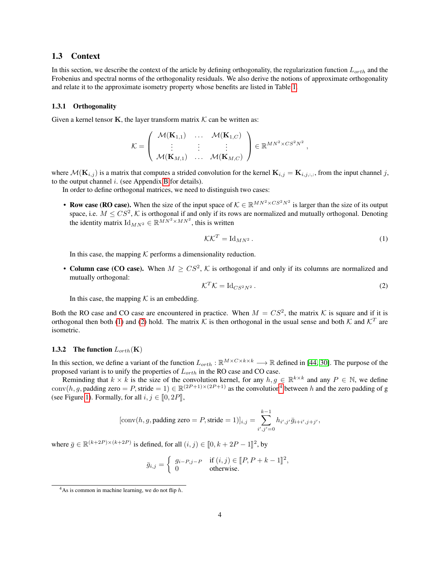#### <span id="page-3-1"></span>1.3 Context

In this section, we describe the context of the article by defining orthogonality, the regularization function  $L_{orth}$  and the Frobenius and spectral norms of the orthogonality residuals. We also derive the notions of approximate orthogonality and relate it to the approximate isometry property whose benefits are listed in Table [1.](#page-6-1)

#### <span id="page-3-5"></span>1.3.1 Orthogonality

Given a kernel tensor K, the layer transform matrix  $K$  can be written as:

$$
\mathcal{K} = \left( \begin{array}{ccc} \mathcal{M}(\mathbf{K}_{1,1}) & \ldots & \mathcal{M}(\mathbf{K}_{1,C}) \\ \vdots & \vdots & \vdots \\ \mathcal{M}(\mathbf{K}_{M,1}) & \ldots & \mathcal{M}(\mathbf{K}_{M,C}) \end{array} \right) \in \mathbb{R}^{MN^2 \times CS^2N^2},
$$

where  $\mathcal{M}(\mathbf{K}_{i,j})$  is a matrix that computes a strided convolution for the kernel  $\mathbf{K}_{i,j} = \mathbf{K}_{i,j,:,:}$ , from the input channel j, to the output channel  $i$ . (see Appendix [B](#page-19-0) for details).

In order to define orthogonal matrices, we need to distinguish two cases:

• Row case (RO case). When the size of the input space of  $K \in \mathbb{R}^{MN^2 \times CS^2N^2}$  is larger than the size of its output space, i.e.  $M \leq CS^2$ , K is orthogonal if and only if its rows are normalized and mutually orthogonal. Denoting the identity matrix  $\mathrm{Id}_{MN^2} \in \mathbb{R}^{MN^2 \times MN^2}$ , this is written

<span id="page-3-2"></span>
$$
\mathcal{K}\mathcal{K}^T = \text{Id}_{MN^2} \,. \tag{1}
$$

In this case, the mapping  $K$  performs a dimensionality reduction.

• Column case (CO case). When  $M \geq CS^2$ , K is orthogonal if and only if its columns are normalized and mutually orthogonal:

<span id="page-3-3"></span>
$$
\mathcal{K}^T \mathcal{K} = \mathrm{Id}_{CS^2 N^2} \,. \tag{2}
$$

In this case, the mapping  $K$  is an embedding.

Both the RO case and CO case are encountered in practice. When  $M = CS^2$ , the matrix K is square and if it is orthogonal then both [\(1\)](#page-3-2) and [\(2\)](#page-3-3) hold. The matrix K is then orthogonal in the usual sense and both K and  $\mathcal{K}^T$  are isometric.

#### <span id="page-3-0"></span>**1.3.2** The function  $L_{orth}$ (K)

In this section, we define a variant of the function  $L_{orth} : \mathbb{R}^{M \times C \times k \times k} \longrightarrow \mathbb{R}$  defined in [\[44,](#page-16-0) [30\]](#page-15-5). The purpose of the proposed variant is to unify the properties of  $L_{orth}$  in the RO case and CO case.

Reminding that  $k \times k$  is the size of the convolution kernel, for any  $h, g \in \mathbb{R}^{k \times k}$  and any  $P \in \mathbb{N}$ , we define conv $(h, g,$  padding zero = P, stride = 1)  $\in \mathbb{R}^{(2P+1)\times (2P+1)}$  as the convolution<sup>[4](#page-3-4)</sup> between h and the zero padding of g (see Figure [1\)](#page-4-0). Formally, for all  $i, j \in [0, 2P]$ ,

[conv(h, g, padding zero = P, stride = 1)]<sub>i,j</sub> = 
$$
\sum_{i',j'=0}^{k-1} h_{i',j'}\overline{g}_{i+i',j+j'},
$$

where  $\bar{g} \in \mathbb{R}^{(k+2P)\times (k+2P)}$  is defined, for all  $(i, j) \in [0, k+2P-1]^2$ , by

$$
\bar{g}_{i,j} = \begin{cases} g_{i-P,j-P} & \text{if } (i,j) \in [P, P+k-1] \text{?}, \\ 0 & \text{otherwise.} \end{cases}
$$

<span id="page-3-4"></span> $4$ As is common in machine learning, we do not flip h.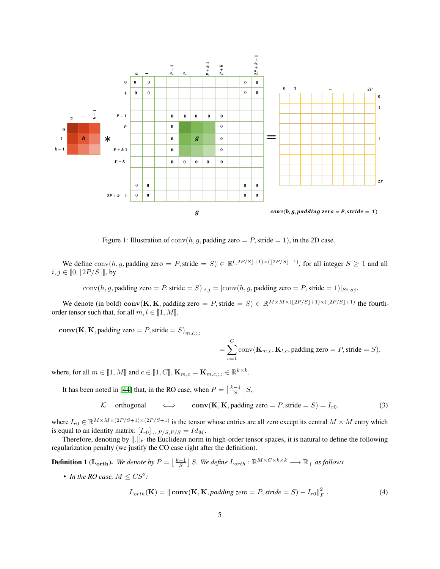

<span id="page-4-0"></span>Figure 1: Illustration of  $\text{conv}(h, g, \text{padding zero} = P, \text{ stride} = 1)$ , in the 2D case.

We define  $\text{conv}(h, g, \text{padding zero} = P, \text{stride} = S) \in \mathbb{R}^{(\lfloor 2P/S \rfloor + 1) \times (\lfloor 2P/S \rfloor + 1)}, \text{ for all integer } S \ge 1 \text{ and all}$  $i, j \in [0, \lfloor 2P/S \rfloor]$ , by

 $[\text{conv}(h, g, \text{padding zero} = P, \text{stride} = S)]_{i,j} = [\text{conv}(h, g, \text{padding zero} = P, \text{stride} = 1)]_{Si, Sj}.$ 

We denote (in bold) conv(K, K, padding zero = P, stride = S)  $\in \mathbb{R}^{M \times M \times (\lfloor 2P/S \rfloor + 1) \times (\lfloor 2P/S \rfloor + 1)}$  the fourthorder tensor such that, for all  $m, l \in [1, M]$ ,

 $conv(K, K, padding zero = P, stride = S)_{m,l...}$ 

<span id="page-4-2"></span>
$$
= \sum_{c=1}^{C} \text{conv}(\mathbf{K}_{m,c}, \mathbf{K}_{l,c}, \text{padding zero} = P, \text{stride} = S),
$$

where, for all  $m \in [\![1, M]\!]$  and  $c \in [\![1, C]\!]$ ,  $\mathbf{K}_{m,c} = \mathbf{K}_{m,c,:,:} \in \mathbb{R}^{k \times k}$ .

It has been noted in [\[44\]](#page-16-0) that, in the RO case, when  $P = \lfloor \frac{k-1}{S} \rfloor S$ ,

K orthogonal  $\iff$  conv(K, K, padding zero = P, stride = S) = I<sub>r0</sub>, (3)

where  $I_{r0} \in \mathbb{R}^{M \times M \times (2P/S+1) \times (2P/S+1)}$  is the tensor whose entries are all zero except its central  $M \times M$  entry which is equal to an identity matrix:  $[I_{r0}]_{::,P/S,P/S} = Id_M$ .

Therefore, denoting by  $\|.\|_F$  the Euclidean norm in high-order tensor spaces, it is natural to define the following regularization penalty (we justify the CO case right after the definition).

<span id="page-4-3"></span>**Definition 1** ( $\mathbf{L_{orth}}$ ). We denote by  $P = \lfloor \frac{k-1}{S} \rfloor$  S. We define  $L_{orth} : \mathbb{R}^{M \times C \times k \times k} \longrightarrow \mathbb{R}_+$  as follows

• *In the RO case,*  $M \leq CS^2$ :

<span id="page-4-1"></span>
$$
L_{orth}(\mathbf{K}) = \|\mathbf{conv}(\mathbf{K}, \mathbf{K}, padding\ zero = P, stride = S) - I_{r0}\|_F^2. \tag{4}
$$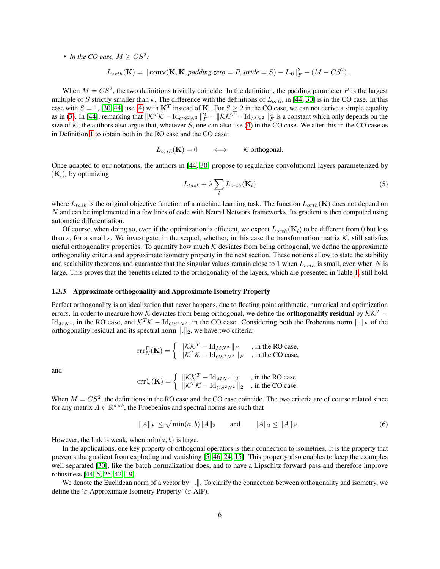• *In the CO case,*  $M \geq CS^2$ :

$$
L_{orth}(\mathbf{K}) = \|\mathbf{conv}(\mathbf{K}, \mathbf{K}, padding\ zero = P, stride = S) - I_{r0}\|_F^2 - (M - CS^2).
$$

When  $M = CS^2$ , the two definitions trivially coincide. In the definition, the padding parameter P is the largest multiple of S strictly smaller than k. The difference with the definitions of  $L_{orth}$  in [\[44,](#page-16-0) [30\]](#page-15-5) is in the CO case. In this case with  $S = 1$ , [\[30,](#page-15-5) [44\]](#page-16-0) use [\(4\)](#page-4-1) with  $\mathbf{K}^T$  instead of K. For  $S \geq 2$  in the CO case, we can not derive a simple equality as in [\(3\)](#page-4-2). In [\[44\]](#page-16-0), remarking that  $\|\mathcal{K}^T\mathcal{K} - \text{Id}_{CS^2N^2}\|_F^2 - \|\mathcal{K}\mathcal{K}^T - \text{Id}_{MN^2}\|_F^2$  is a constant which only depends on the size of K, the authors also argue that, whatever S, one can also use [\(4\)](#page-4-1) in the CO case. We alter this in the CO case as in Definition [1](#page-4-3) to obtain both in the RO case and the CO case:

$$
L_{orth}(\mathbf{K}) = 0 \qquad \Longleftrightarrow \qquad \mathcal{K} \text{ orthogonal}.
$$

Once adapted to our notations, the authors in [\[44,](#page-16-0) [30\]](#page-15-5) propose to regularize convolutional layers parameterized by  $(K_l)_l$  by optimizing

<span id="page-5-0"></span>
$$
L_{task} + \lambda \sum_{l} L_{orth}(\mathbf{K}_l)
$$
\n(5)

where  $L_{task}$  is the original objective function of a machine learning task. The function  $L_{orth}(\mathbf{K})$  does not depend on N and can be implemented in a few lines of code with Neural Network frameworks. Its gradient is then computed using automatic differentiation.

Of course, when doing so, even if the optimization is efficient, we expect  $L_{orth}(\mathbf{K}_l)$  to be different from 0 but less than  $\varepsilon$ , for a small  $\varepsilon$ . We investigate, in the sequel, whether, in this case the transformation matrix K, still satisfies useful orthogonality properties. To quantify how much  $\mathcal K$  deviates from being orthogonal, we define the approximate orthogonality criteria and approximate isometry property in the next section. These notions allow to state the stability and scalability theorems and guarantee that the singular values remain close to 1 when  $L_{orth}$  is small, even when N is large. This proves that the benefits related to the orthogonality of the layers, which are presented in Table [1,](#page-6-1) still hold.

#### 1.3.3 Approximate orthogonality and Approximate Isometry Property

Perfect orthogonality is an idealization that never happens, due to floating point arithmetic, numerical and optimization errors. In order to measure how K deviates from being orthogonal, we define the **orthogonality residual** by  $K\mathcal{K}^T$  – Id<sub>MN2</sub>, in the RO case, and  $\mathcal{K}^T \mathcal{K} - \text{Id}_{CS^2N^2}$ , in the CO case. Considering both the Frobenius norm  $\Vert . \Vert_F$  of the orthogonality residual and its spectral norm  $\|\cdot\|_2$ , we have two criteria:

$$
\mathrm{err}_{N}^{F}(\mathbf{K}) = \begin{cases} \|\mathcal{K}\mathcal{K}^{T} - \mathrm{Id}_{MN^{2}}\|_{F} & , \text{ in the RO case,} \\ \|\mathcal{K}^{T}\mathcal{K} - \mathrm{Id}_{CS^{2}N^{2}}\|_{F} & , \text{ in the CO case,} \end{cases}
$$

and

$$
err_N^s(\mathbf{K}) = \begin{cases} \|\mathcal{K}\mathcal{K}^T - \mathrm{Id}_{MN^2}\|_2 & , \text{ in the RO case,} \\ \|\mathcal{K}^T\mathcal{K} - \mathrm{Id}_{CS^2N^2}\|_2 & , \text{ in the CO case.} \end{cases}
$$

When  $M = CS^2$ , the definitions in the RO case and the CO case coincide. The two criteria are of course related since for any matrix  $A \in \mathbb{R}^{a \times b}$ , the Froebenius and spectral norms are such that

<span id="page-5-1"></span>
$$
||A||_F \le \sqrt{\min(a, b)} ||A||_2 \quad \text{and} \quad ||A||_2 \le ||A||_F. \tag{6}
$$

However, the link is weak, when  $min(a, b)$  is large.

In the applications, one key property of orthogonal operators is their connection to isometries. It is the property that prevents the gradient from exploding and vanishing [\[5,](#page-14-6) [46,](#page-16-11) [24,](#page-15-6) [15\]](#page-14-10). This property also enables to keep the examples well separated [\[30\]](#page-15-5), like the batch normalization does, and to have a Lipschitz forward pass and therefore improve robustness [\[44,](#page-16-0) [5,](#page-14-6) [25,](#page-15-4) [42,](#page-16-6) [19\]](#page-14-9).

We denote the Euclidean norm of a vector by  $\|\cdot\|$ . To clarify the connection between orthogonality and isometry, we define the ' $\varepsilon$ -Approximate Isometry Property' ( $\varepsilon$ -AIP).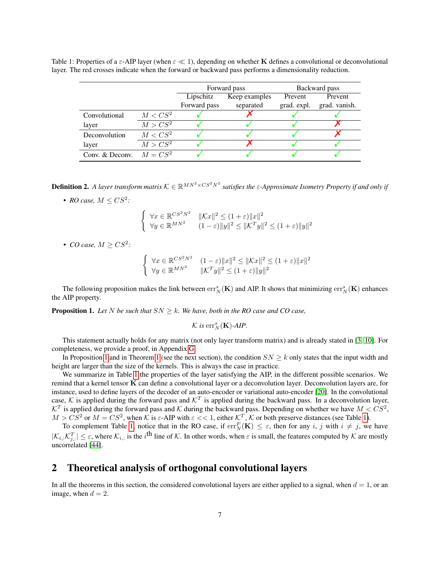|                 |            |              | Forward pass  | Backward pass |               |  |
|-----------------|------------|--------------|---------------|---------------|---------------|--|
|                 |            | Lipschitz    | Keep examples | Prevent       | Prevent       |  |
|                 |            | Forward pass | separated     | grad. expl.   | grad. vanish. |  |
| Convolutional   | $M < CS^2$ |              |               |               |               |  |
| layer           | $M > CS^2$ |              |               |               |               |  |
| Deconvolution   | $M < CS^2$ |              |               |               |               |  |
| layer           | $M > CS^2$ |              |               |               |               |  |
| Conv. & Deconv. | $M = CS^2$ |              |               |               |               |  |

<span id="page-6-1"></span>Table 1: Properties of a  $\varepsilon$ -AIP layer (when  $\varepsilon \ll 1$ ), depending on whether **K** defines a convolutional or deconvolutional layer. The red crosses indicate when the forward or backward pass performs a dimensionality reduction.

Definition 2. A layer transform matrix  $K \in \mathbb{R}^{MN^2 \times CS^2N^2}$  satisfies the  $\varepsilon$ -Approximate Isometry Property if and only if

• *RO case,*  $M \leq CS^2$ :

$$
\begin{cases} \forall x \in \mathbb{R}^{CS^2 N^2} & \|Kx\|^2 \le (1+\varepsilon)\|x\|^2\\ \forall y \in \mathbb{R}^{MN^2} & (1-\varepsilon)\|y\|^2 \le \|K^T y\|^2 \le (1+\varepsilon)\|y\|^2 \end{cases}
$$

• *CO case,*  $M \geq CS^2$ :

$$
\begin{cases} \forall x \in \mathbb{R}^{CS^2N^2} & (1-\varepsilon)\|x\|^2 \le \|Kx\|^2 \le (1+\varepsilon)\|x\|^2\\ \forall y \in \mathbb{R}^{MN^2} & \|K^T y\|^2 \le (1+\varepsilon)\|y\|^2 \end{cases}
$$

The following proposition makes the link between  $\text{err}^s_N(\mathbf{K})$  and AIP. It shows that minimizing  $\text{err}^s_N(\mathbf{K})$  enhances the AIP property.

<span id="page-6-2"></span>**Proposition 1.** Let N be such that  $SN \geq k$ . We have, both in the RO case and CO case,

$$
\mathcal{K} \text{ is } \mathrm{err}^s_N(\mathbf{K})\text{-}AIP.
$$

This statement actually holds for any matrix (not only layer transform matrix) and is already stated in [\[3,](#page-13-1) [10\]](#page-14-8). For completeness, we provide a proof, in Appendix [G.](#page-39-0)

In Proposition [1](#page-7-0) and in Theorem 1 (see the next section), the condition  $SN \geq k$  only states that the input width and height are larger than the size of the kernels. This is always the case in practice.

We summarize in Table [1](#page-6-1) the properties of the layer satisfying the AIP, in the different possible scenarios. We remind that a kernel tensor K can define a convolutional layer or a deconvolution layer. Deconvolution layers are, for instance, used to define layers of the decoder of an auto-encoder or variational auto-encoder [\[20\]](#page-14-15). In the convolutional case, K is applied during the forward pass and  $\mathcal{K}^T$  is applied during the backward pass. In a deconvolution layer,  $\mathcal{K}^T$  is applied during the forward pass and  $\mathcal K$  during the backward pass. Depending on whether we have  $M < CS^2$ ,  $M > CS^2$  or  $M = CS^2$ , when K is  $\varepsilon$ -AIP with  $\varepsilon << 1$ , either  $\mathcal{K}^T$ , K or both preserve distances (see Table [1\)](#page-6-1).

To complement Table [1,](#page-6-1) notice that in the RO case, if  $err_N^F(\mathbf{K}) \leq \varepsilon$ , then for any i, j with  $i \neq j$ , we have  $|\mathcal{K}_{i,:}\mathcal{K}_{j,:}^T|\leq \varepsilon$ , where  $\mathcal{K}_{i,:}$  is the  $i^{\text{th}}$  line of  $\mathcal{K}.$  In other words, when  $\varepsilon$  is small, the features computed by  $\mathcal{K}$  are mostly uncorrelated [\[44\]](#page-16-0).

## <span id="page-6-0"></span>2 Theoretical analysis of orthogonal convolutional layers

In all the theorems in this section, the considered convolutional layers are either applied to a signal, when  $d = 1$ , or an image, when  $d = 2$ .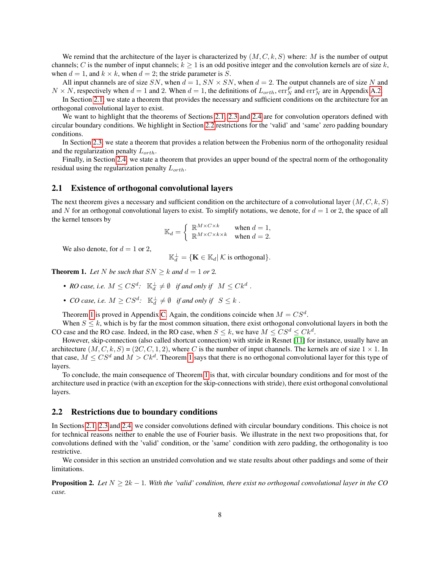We remind that the architecture of the layer is characterized by  $(M, C, k, S)$  where: M is the number of output channels; C is the number of input channels;  $k \ge 1$  is an odd positive integer and the convolution kernels are of size k, when  $d = 1$ , and  $k \times k$ , when  $d = 2$ ; the stride parameter is S.

All input channels are of size SN, when  $d = 1$ ,  $SN \times SN$ , when  $d = 2$ . The output channels are of size N and  $N \times N$ , respectively when  $d = 1$  and 2. When  $d = 1$ , the definitions of  $L_{orth}$ ,  $err_N^F$  and  $err_N^s$  are in Appendix [A.2.](#page-17-0)

In Section [2.1,](#page-7-1) we state a theorem that provides the necessary and sufficient conditions on the architecture for an orthogonal convolutional layer to exist.

We want to highlight that the theorems of Sections [2.1,](#page-7-1) [2.3](#page-8-0) and [2.4](#page-9-1) are for convolution operators defined with circular boundary conditions. We highlight in Section [2.2](#page-7-2) restrictions for the 'valid' and 'same' zero padding boundary conditions.

In Section [2.3,](#page-8-0) we state a theorem that provides a relation between the Frobenius norm of the orthogonality residual and the regularization penalty  $L_{orth}$ .

Finally, in Section [2.4,](#page-9-1) we state a theorem that provides an upper bound of the spectral norm of the orthogonality residual using the regularization penalty  $L_{orth}$ .

#### <span id="page-7-1"></span>2.1 Existence of orthogonal convolutional layers

The next theorem gives a necessary and sufficient condition on the architecture of a convolutional layer  $(M, C, k, S)$ and N for an orthogonal convolutional layers to exist. To simplify notations, we denote, for  $d = 1$  or 2, the space of all the kernel tensors by

$$
\mathbb{K}_d = \begin{cases} \mathbb{R}^{M \times C \times k} & \text{when } d = 1, \\ \mathbb{R}^{M \times C \times k \times k} & \text{when } d = 2. \end{cases}
$$

We also denote, for  $d = 1$  or 2,

 $\mathbb{K}_d^{\perp} = \{ \mathbf{K} \in \mathbb{K}_d | \mathcal{K} \text{ is orthogonal} \}.$ 

<span id="page-7-0"></span>**Theorem 1.** Let N be such that  $SN \geq k$  and  $d = 1$  or 2.

- RO case, i.e.  $M \leq CS^d$ :  $\mathbb{K}_d^{\perp} \neq \emptyset$  *if and only if*  $M \leq Ck^d$ .
- *CO* case, i.e.  $M \geq CS^d$ :  $\mathbb{K}_d^{\perp} \neq \emptyset$  if and only if  $S \leq k$ .

Theorem [1](#page-7-0) is proved in Appendix [C.](#page-22-0) Again, the conditions coincide when  $M = CS<sup>d</sup>$ .

When  $S \leq k$ , which is by far the most common situation, there exist orthogonal convolutional layers in both the CO case and the RO case. Indeed, in the RO case, when  $S \leq k$ , we have  $M \leq C S^d \leq C k^d$ .

However, skip-connection (also called shortcut connection) with stride in Resnet [\[11\]](#page-14-1) for instance, usually have an architecture  $(M, C, k, S) = (2C, C, 1, 2)$ , where C is the number of input channels. The kernels are of size  $1 \times 1$ . In that case,  $M \leq C S^d$  and  $M > C k^d$ . Theorem [1](#page-7-0) says that there is no orthogonal convolutional layer for this type of layers.

To conclude, the main consequence of Theorem [1](#page-7-0) is that, with circular boundary conditions and for most of the architecture used in practice (with an exception for the skip-connections with stride), there exist orthogonal convolutional layers.

#### <span id="page-7-2"></span>2.2 Restrictions due to boundary conditions

In Sections [2.1,](#page-7-1) [2.3](#page-8-0) and [2.4,](#page-9-1) we consider convolutions defined with circular boundary conditions. This choice is not for technical reasons neither to enable the use of Fourier basis. We illustrate in the next two propositions that, for convolutions defined with the 'valid' condition, or the 'same' condition with zero padding, the orthogonality is too restrictive.

We consider in this section an unstrided convolution and we state results about other paddings and some of their limitations.

<span id="page-7-3"></span>**Proposition 2.** Let  $N > 2k - 1$ . With the 'valid' condition, there exist no orthogonal convolutional layer in the CO *case.*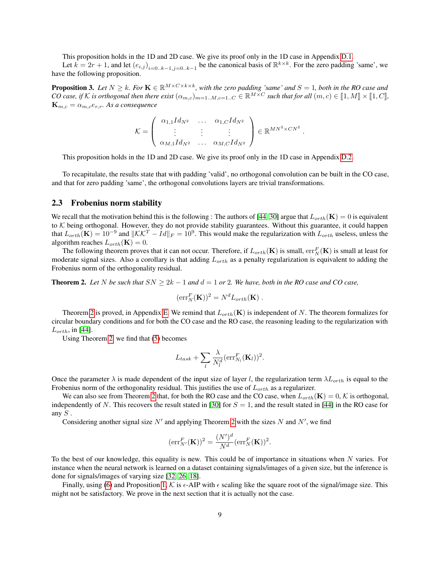This proposition holds in the 1D and 2D case. We give its proof only in the 1D case in Appendix [D.1.](#page-28-0)

Let  $k = 2r + 1$ , and let  $(e_{i,j})_{i=0..k-1,j=0..k-1}$  be the canonical basis of  $\mathbb{R}^{k \times k}$ . For the zero padding 'same', we have the following proposition.

<span id="page-8-2"></span>**Proposition 3.** Let  $N \geq k$ . For  $\mathbf{K} \in \mathbb{R}^{M \times C \times k \times k}$ , with the zero padding 'same' and  $S = 1$ , both in the RO case and *CO* case, if K is orthogonal then there exist  $(\alpha_{m,c})_{m=1..M,c=1..C} \in \mathbb{R}^{M \times C}$  such that for all  $(m, c) \in [1, M] \times [1, C]$ ,  ${\bf K}_{m,c} = \alpha_{m,c} e_{r,r}$ . As a consequence

$$
\mathcal{K} = \left( \begin{array}{ccc} \alpha_{1,1} Id_{N^2} & \dots & \alpha_{1,C} Id_{N^2} \\ \vdots & \vdots & \vdots \\ \alpha_{M,1} Id_{N^2} & \dots & \alpha_{M,C} Id_{N^2} \end{array} \right) \in \mathbb{R}^{MN^2 \times CN^2} \ .
$$

This proposition holds in the 1D and 2D case. We give its proof only in the 1D case in Appendix [D.2.](#page-28-1)

To recapitulate, the results state that with padding 'valid', no orthogonal convolution can be built in the CO case, and that for zero padding 'same', the orthogonal convolutions layers are trivial transformations.

#### <span id="page-8-0"></span>2.3 Frobenius norm stability

We recall that the motivation behind this is the following : The authors of [\[44,](#page-16-0) [30\]](#page-15-5) argue that  $L_{orth}(\mathbf{K}) = 0$  is equivalent to  $K$  being orthogonal. However, they do not provide stability guarantees. Without this guarantee, it could happen that  $L_{orth}(\mathbf{K}) = 10^{-9}$  and  $\|\mathcal{K}\mathcal{K}^T - Id\|_F = 10^9$ . This would make the regularization with  $L_{orth}$  useless, unless the algorithm reaches  $L_{orth}(\mathbf{K}) = 0$ .

The following theorem proves that it can not occur. Therefore, if  $L_{orth}(\mathbf{K})$  is small,  $err_N^F(\mathbf{K})$  is small at least for moderate signal sizes. Also a corollary is that adding  $L_{orth}$  as a penalty regularization is equivalent to adding the Frobenius norm of the orthogonality residual.

<span id="page-8-1"></span>**Theorem 2.** Let N be such that  $SN \geq 2k - 1$  and  $d = 1$  or 2. We have, both in the RO case and CO case,

$$
(\mathrm{err}_N^F(\mathbf{K}))^2 = N^d L_{orth}(\mathbf{K}) .
$$

Theorem [2](#page-8-1) is proved, in Appendix [E.](#page-29-0) We remind that  $L_{orth}(\mathbf{K})$  is independent of N. The theorem formalizes for circular boundary conditions and for both the CO case and the RO case, the reasoning leading to the regularization with  $L_{orth}$ , in [\[44\]](#page-16-0).

Using Theorem [2,](#page-8-1) we find that [\(5\)](#page-5-0) becomes

$$
L_{task} + \sum_{l} \frac{\lambda}{N_l^d} (\text{err}_{N_l}^F(\mathbf{K}_l))^2.
$$

Once the parameter  $\lambda$  is made dependent of the input size of layer l, the regularization term  $\lambda L_{orth}$  is equal to the Frobenius norm of the orthogonality residual. This justifies the use of  $L_{orth}$  as a regularizer.

We can also see from Theorem [2](#page-8-1) that, for both the RO case and the CO case, when  $L_{orth}(\mathbf{K}) = 0, K$  is orthogonal, independently of N. This recovers the result stated in [\[30\]](#page-15-5) for  $S = 1$ , and the result stated in [\[44\]](#page-16-0) in the RO case for any  $S$ .

Considering another signal size  $N'$  and applying Theorem [2](#page-8-1) with the sizes N and N', we find

$$
(\mathrm{err}_{N'}^F(\mathbf{K}))^2 = \frac{(N')^d}{N^d} (\mathrm{err}_N^F(\mathbf{K}))^2.
$$

To the best of our knowledge, this equality is new. This could be of importance in situations when  $N$  varies. For instance when the neural network is learned on a dataset containing signals/images of a given size, but the inference is done for signals/images of varying size [\[32,](#page-15-11) [26,](#page-15-12) [18\]](#page-14-16).

Finally, using [\(6\)](#page-5-1) and Proposition [1,](#page-6-2) K is  $\epsilon$ -AIP with  $\epsilon$  scaling like the square root of the signal/image size. This might not be satisfactory. We prove in the next section that it is actually not the case.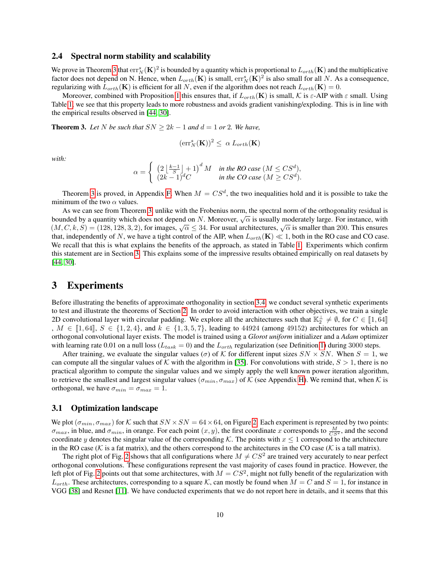#### <span id="page-9-1"></span>2.4 Spectral norm stability and scalability

We prove in Theorem [3](#page-9-2) that  $err_N^s(\mathbf{K})^2$  is bounded by a quantity which is proportional to  $L_{orth}(\mathbf{K})$  and the multiplicative factor does not depend on N. Hence, when  $L_{orth}(\mathbf{K})$  is small,  $err_N^s(\mathbf{K})^2$  is also small for all N. As a consequence, regularizing with  $L_{orth}(\mathbf{K})$  is efficient for all N, even if the algorithm does not reach  $L_{orth}(\mathbf{K}) = 0$ .

Moreover, combined with Proposition [1](#page-6-2) this ensures that, if  $L_{orth}(\mathbf{K})$  is small, K is  $\varepsilon$ -AIP with  $\varepsilon$  small. Using Table [1,](#page-6-1) we see that this property leads to more robustness and avoids gradient vanishing/exploding. This is in line with the empirical results observed in [\[44,](#page-16-0) [30\]](#page-15-5).

<span id="page-9-2"></span>**Theorem 3.** Let N be such that  $SN \geq 2k - 1$  and  $d = 1$  or 2. We have,

$$
(\mathrm{err}^s_N(\mathbf{K}))^2 \leq \alpha \, L_{orth}(\mathbf{K})
$$

*with:*

$$
\alpha = \begin{cases} \left(2\left\lfloor \frac{k-1}{S} \right\rfloor + 1\right)^d M & \text{in the RO case } (M \leq CS^d),\\ (2k-1)^d C & \text{in the CO case } (M \geq CS^d). \end{cases}
$$

Theorem [3](#page-9-2) is proved, in Appendix [F.](#page-35-0) When  $M = CS^d$ , the two inequalities hold and it is possible to take the minimum of the two  $\alpha$  values.

As we can see from Theorem [3,](#page-9-2) unlike with the Frobenius norm, the spectral norm of the orthogonality residual is As we can see non-Theorem 5, unike with the Frobenius norm, the spectral norm of the orthogonality residual is<br>bounded by a quantity which does not depend on N. Moreover,  $\sqrt{\alpha}$  is usually moderately large. For instance, bounded by a quantity which does not depend on *N*. Moreover,  $\sqrt{\alpha}$  is usually moderately large. For instance, with  $(M, C, k, S) = (128, 128, 3, 2)$ , for images,  $\sqrt{\alpha} \leq 34$ . For usual architectures,  $\sqrt{\alpha}$  is smaller tha that, independently of N, we have a tight control of the AIP, when  $L_{orth}(\mathbf{K}) \ll 1$ , both in the RO case and CO case. We recall that this is what explains the benefits of the approach, as stated in Table [1.](#page-6-1) Experiments which confirm this statement are in Section [3.](#page-9-0) This explains some of the impressive results obtained empirically on real datasets by [\[44,](#page-16-0) [30\]](#page-15-5).

## <span id="page-9-0"></span>3 Experiments

Before illustrating the benefits of approximate orthogonality in section [3.4,](#page-11-0) we conduct several synthetic experiments to test and illustrate the theorems of Section [2.](#page-6-0) In order to avoid interaction with other objectives, we train a single 2D convolutional layer with circular padding. We explore all the architectures such that  $\mathbb{K}_2^{\perp} \neq \emptyset$ , for  $C \in [\![1, 64]\!]$ <br> $M \subset [\![1, 64]\!]$ ,  $S \subset [1, 2, 4]$ , and  $k \subset [1, 2, 5, 7]$ , leading to 44024 (among 40152) expli ,  $M \in [1, 64], S \in \{1, 2, 4\},$  and  $k \in \{1, 3, 5, 7\}$ , leading to 44924 (among 49152) architectures for which an orthogonal convolutional layer exists. The model is trained using a *Glorot uniform* initializer and a *Adam* optimizer with learning rate 0.01 on a null loss ( $L_{task} = 0$ ) and the  $L_{orth}$  regularization (see Definition [1\)](#page-4-3) during 3000 steps.

After training, we evaluate the singular values ( $\sigma$ ) of K for different input sizes  $SN \times SN$ . When  $S = 1$ , we can compute all the singular values of K with the algorithm in [\[35\]](#page-15-3). For convolutions with stride,  $S > 1$ , there is no practical algorithm to compute the singular values and we simply apply the well known power iteration algorithm, to retrieve the smallest and largest singular values ( $\sigma_{min}, \sigma_{max}$ ) of K (see Appendix [H\)](#page-40-0). We remind that, when K is orthogonal, we have  $\sigma_{min} = \sigma_{max} = 1$ .

#### 3.1 Optimization landscape

We plot  $(\sigma_{min}, \sigma_{max})$  for K such that  $SN \times SN = 64 \times 64$ , on Figure [2.](#page-10-0) Each experiment is represented by two points:  $\sigma_{max}$ , in blue, and  $\sigma_{min}$ , in orange. For each point  $(x, y)$ , the first coordinate x corresponds to  $\frac{M}{CS^2}$ , and the second coordinate y denotes the singular value of the corresponding K. The points with  $x \le 1$  correspond to the artchitecture in the RO case ( $K$  is a fat matrix), and the others correspond to the architectures in the CO case ( $K$  is a tall matrix).

The right plot of Fig. [2](#page-10-0) shows that all configurations where  $M \neq CS^2$  are trained very accurately to near perfect orthogonal convolutions. These configurations represent the vast majority of cases found in practice. However, the left plot of Fig. [2](#page-10-0) points out that some architectures, with  $M = CS^2$ , might not fully benefit of the regularization with  $L_{orth}$ . These architectures, corresponding to a square K, can mostly be found when  $M = C$  and  $S = 1$ , for instance in VGG [\[38\]](#page-15-13) and Resnet [\[11\]](#page-14-1). We have conducted experiments that we do not report here in details, and it seems that this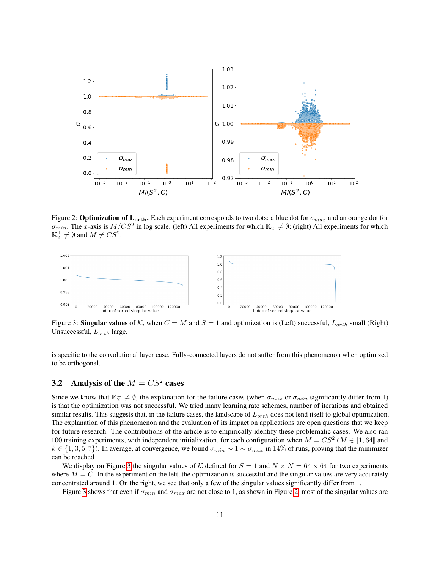

<span id="page-10-0"></span>Figure 2: **Optimization of L**<sub>orth</sub>. Each experiment corresponds to two dots: a blue dot for  $\sigma_{max}$  and an orange dot for  $\sigma_{min}$ . The x-axis is  $M/CS^2$  in log scale. (left) All experiments for which  $\mathbb{K}_2^{\perp} \neq \emptyset$ ; (right) All experiments for which  $\mathbb{K}_2^{\perp} \neq \emptyset$  and  $M \neq CS^2$ .

<span id="page-10-1"></span>

Figure 3: Singular values of K, when  $C = M$  and  $S = 1$  and optimization is (Left) successful,  $L_{orth}$  small (Right) Unsuccessful,  $L_{orth}$  large.

is specific to the convolutional layer case. Fully-connected layers do not suffer from this phenomenon when optimized to be orthogonal.

## 3.2 Analysis of the  $M = CS^2$  cases

Since we know that  $\mathbb{K}_2^{\perp} \neq \emptyset$ , the explanation for the failure cases (when  $\sigma_{max}$  or  $\sigma_{min}$  significantly differ from 1) is that the optimization was not successful. We tried many learning rate schemes, number of iterations and obtained similar results. This suggests that, in the failure cases, the landscape of  $L_{orth}$  does not lend itself to global optimization. The explanation of this phenomenon and the evaluation of its impact on applications are open questions that we keep for future research. The contributions of the article is to empirically identify these problematic cases. We also ran 100 training experiments, with independent initialization, for each configuration when  $M = CS^2$  ( $M \in [1, 64]$  and  $h \in \{1, 2, 5, 7\}$ ). In systems at convergence, we found  $\sigma$ , see that  $\sigma$ , sin  $14\%$  of runs, proving t  $k \in \{1, 3, 5, 7\}$ ). In average, at convergence, we found  $\sigma_{min} \sim 1 \sim \sigma_{max}$  in 14% of runs, proving that the minimizer can be reached.

We display on Figure [3](#page-10-1) the singular values of K defined for  $S = 1$  and  $N \times N = 64 \times 64$  for two experiments where  $M = C$ . In the experiment on the left, the optimization is successful and the singular values are very accurately concentrated around 1. On the right, we see that only a few of the singular values significantly differ from 1.

Figure [3](#page-10-1) shows that even if  $\sigma_{min}$  and  $\sigma_{max}$  are not close to 1, as shown in Figure [2,](#page-10-0) most of the singular values are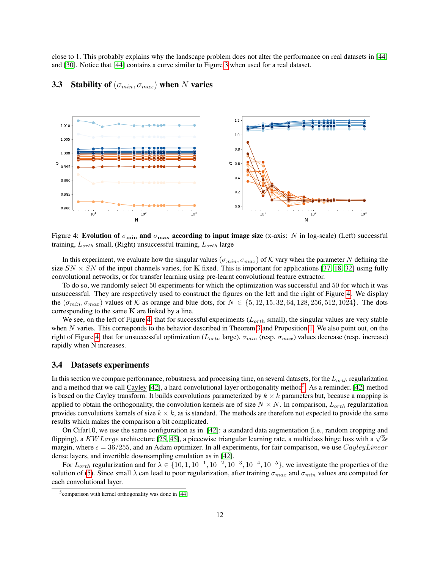close to 1. This probably explains why the landscape problem does not alter the performance on real datasets in [\[44\]](#page-16-0) and [\[30\]](#page-15-5). Notice that [\[44\]](#page-16-0) contains a curve similar to Figure [3](#page-10-1) when used for a real dataset.



## <span id="page-11-1"></span>3.3 Stability of  $(\sigma_{min}, \sigma_{max})$  when N varies

Figure 4: Evolution of  $\sigma_{\min}$  and  $\sigma_{\max}$  according to input image size (x-axis: N in log-scale) (Left) successful training,  $L_{orth}$  small, (Right) unsuccessful training,  $L_{orth}$  large

In this experiment, we evaluate how the singular values ( $\sigma_{min}, \sigma_{max}$ ) of K vary when the parameter N defining the size  $SN \times SN$  of the input channels varies, for K fixed. This is important for applications [\[37,](#page-15-14) [18,](#page-14-16) [32\]](#page-15-11) using fully convolutional networks, or for transfer learning using pre-learnt convolutional feature extractor.

To do so, we randomly select 50 experiments for which the optimization was successful and 50 for which it was unsuccessful. They are respectively used to construct the figures on the left and the right of Figure [4.](#page-11-1) We display the  $(\sigma_{min}, \sigma_{max})$  values of K as orange and blue dots, for  $N \in \{5, 12, 15, 32, 64, 128, 256, 512, 1024\}$ . The dots corresponding to the same  $K$  are linked by a line.

We see, on the left of Figure [4,](#page-11-1) that for successful experiments  $(L_{orth} \text{ small})$ , the singular values are very stable when N varies. This corresponds to the behavior described in Theorem [3](#page-9-2) and Proposition [1.](#page-6-2) We also point out, on the right of Figure [4,](#page-11-1) that for unsuccessful optimization ( $L_{orth}$  large),  $\sigma_{min}$  (resp.  $\sigma_{max}$ ) values decrease (resp. increase) rapidly when N increases.

#### <span id="page-11-0"></span>3.4 Datasets experiments

In this section we compare performance, robustness, and processing time, on several datasets, for the  $L_{orth}$  regularization and a method that we call Cayley [\[42\]](#page-16-6), a hard convolutional layer orthogonality method<sup>[5](#page-11-2)</sup>. As a reminder, [42] method is based on the Cayley transform. It builds convolutions parameterized by  $k \times k$  parameters but, because a mapping is applied to obtain the orthogonality, the convolution kernels are of size  $N \times N$ . In comparison,  $L_{orth}$  regularization provides convolutions kernels of size  $k \times k$ , as is standard. The methods are therefore not expected to provide the same results which makes the comparison a bit complicated.

On Cifar10, we use the same configuration as in [\[42\]](#page-16-6): a standard data augmentation (i.e., random cropping and On Citario, we use the same configuration as in [42]: a standard data augmentation (i.e., random cropping and flipping), a  $KWLarge$  architecture [\[25,](#page-15-4) [45\]](#page-16-12), a piecewise triangular learning rate, a multiclass hinge loss with a margin, where  $\epsilon = 36/255$ , and an Adam optimizer. In all experiments, for fair comparison, we use CayleyLinear dense layers, and invertible downsampling emulation as in [\[42\]](#page-16-6).

For  $L_{orth}$  regularization and for  $\lambda \in \{10, 1, 10^{-1}, 10^{-2}, 10^{-3}, 10^{-4}, 10^{-5}\}$ , we investigate the properties of the solution of [\(5\)](#page-5-0). Since small  $\lambda$  can lead to poor regularization, after training  $\sigma_{max}$  and  $\sigma_{min}$  values are computed for each convolutional layer.

<span id="page-11-2"></span><sup>5</sup> comparison with kernel orthogonality was done in [\[44\]](#page-16-0)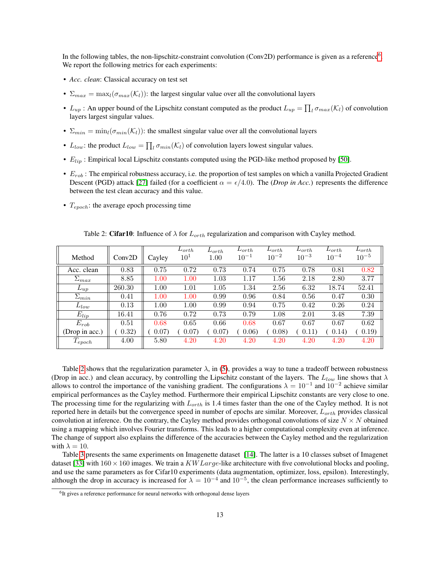In the following tables, the non-lipschitz-constraint convolution (Conv2D) performance is given as a reference<sup>[6](#page-12-0)</sup>. We report the following metrics for each experiments:

- *Acc. clean*: Classical accuracy on test set
- $\Sigma_{max} = \max_l(\sigma_{max}(\mathcal{K}_l))$ : the largest singular value over all the convolutional layers
- $L_{up}$ : An upper bound of the Lipschitz constant computed as the product  $L_{up} = \prod_l \sigma_{max}(\mathcal{K}_l)$  of convolution layers largest singular values.
- $\Sigma_{min} = \min_l(\sigma_{min}(\mathcal{K}_l))$ : the smallest singular value over all the convolutional layers
- $L_{low}$ : the product  $L_{low} = \prod_l \sigma_{min}(\mathcal{K}_l)$  of convolution layers lowest singular values.
- $E_{lip}$ : Empirical local Lipschitz constants computed using the PGD-like method proposed by [\[50\]](#page-16-13).
- $\bullet$   $E_{rob}$ : The empirical robustness accuracy, i.e. the proportion of test samples on which a vanilla Projected Gradient Descent (PGD) attack [\[27\]](#page-15-15) failed (for a coefficient  $\alpha = \epsilon/4.0$ ). The (*Drop in Acc*.) represents the difference between the test clean accuracy and this value.
- $T_{epoch}$ : the average epoch processing time

<span id="page-12-1"></span>

|                |                     |        | $L_{orth}$      | $L_{orth}$ | $L_{orth}$ | $L_{orth}$ | $L_{orth}$ | $L_{orth}$ | $L_{orth}$ |
|----------------|---------------------|--------|-----------------|------------|------------|------------|------------|------------|------------|
| Method         | Conv <sub>2</sub> D | Cayley | 10 <sup>1</sup> | 1.00       | $10^{-1}$  | $10^{-2}$  | $10^{-3}$  | $10^{-4}$  | $10^{-5}$  |
| Acc. clean     | 0.83                | 0.75   | 0.72            | 0.73       | 0.74       | 0.75       | 0.78       | 0.81       | 0.82       |
| $\Sigma_{max}$ | 8.85                | 1.00   | 1.00            | 1.03       | 1.17       | 1.56       | 2.18       | 2.80       | 3.77       |
| $L_{up}$       | 260.30              | 1.00   | 1.01            | 1.05       | 1.34       | 2.56       | 6.32       | 18.74      | 52.41      |
| $\Sigma_{min}$ | 0.41                | 1.00   | 1.00            | 0.99       | 0.96       | 0.84       | 0.56       | 0.47       | 0.30       |
| $L_{low}$      | 0.13                | 1.00   | 1.00            | 0.99       | 0.94       | 0.75       | 0.42       | 0.26       | 0.24       |
| $E_{lip}$      | 16.41               | 0.76   | 0.72            | 0.73       | 0.79       | 1.08       | 2.01       | 3.48       | 7.39       |
| $E_{rob}$      | 0.51                | 0.68   | 0.65            | 0.66       | 0.68       | 0.67       | 0.67       | 0.67       | 0.62       |
| (Drop in acc.) | (0.32)              | 0.07)  | 0.07)           | 0.07)      | 0.06)      | 0.08)      | 0.11)      | (0.14)     | 0.19)      |
| $T_{epoch}$    | 4.00                | 5.80   | 4.20            | 4.20       | 4.20       | 4.20       | 4.20       | 4.20       | 4.20       |

Table 2: Cifar10: Influence of  $\lambda$  for  $L_{orth}$  regularization and comparison with Cayley method.

Table [2](#page-12-1) shows that the regularization parameter  $\lambda$ , in [\(5\)](#page-5-0), provides a way to tune a tradeoff between robustness (Drop in acc.) and clean accuracy, by controlling the Lipschitz constant of the layers. The  $L_{low}$  line shows that  $\lambda$ allows to control the importance of the vanishing gradient. The configurations  $\lambda = 10^{-1}$  and  $10^{-2}$  achieve similar empirical performances as the Cayley method. Furthermore their empirical Lipschitz constants are very close to one. The processing time for the regularizing with  $L_{orth}$  is 1.4 times faster than the one of the Cayley method. It is not reported here in details but the convergence speed in number of epochs are similar. Moreover,  $L_{orth}$  provides classical convolution at inference. On the contrary, the Cayley method provides orthogonal convolutions of size  $N \times N$  obtained using a mapping which involves Fourier transforms. This leads to a higher computational complexity even at inference. The change of support also explains the difference of the accuracies between the Cayley method and the regularization with  $\lambda = 10$ .

Table [3](#page-13-3) presents the same experiments on Imagenette dataset [\[14\]](#page-14-17). The latter is a 10 classes subset of Imagenet dataset [\[33\]](#page-15-16) with  $160 \times 160$  images. We train a KW Large-like architecture with five convolutional blocks and pooling, and use the same parameters as for Cifar10 experiments (data augmentation, optimizer, loss, epsilon). Interestingly, although the drop in accuracy is increased for  $\lambda = 10^{-4}$  and  $10^{-5}$ , the clean performance increases sufficiently to

<span id="page-12-0"></span><sup>&</sup>lt;sup>6</sup>It gives a reference performance for neural networks with orthogonal dense layers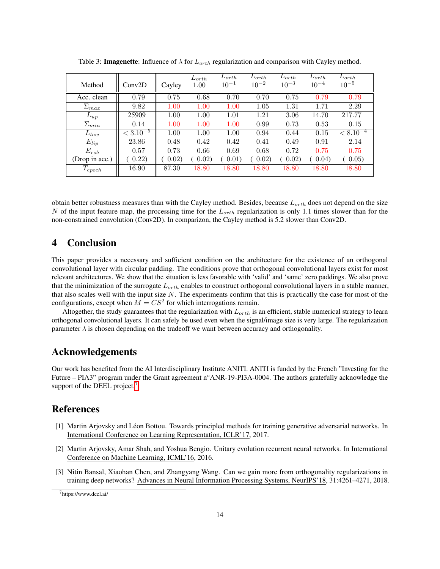<span id="page-13-3"></span>

| Method         | Conv2D        | Cayley | $L_{orth}$<br>1.00 | $L_{orth}$<br>$10^{-1}$ | $L_{orth}$<br>$10^{-2}$ | $L_{orth}$<br>$10^{-3}$ | $L_{orth.}$<br>$10^{-4}$ | $L_{orth}$<br>$10^{-5}$ |
|----------------|---------------|--------|--------------------|-------------------------|-------------------------|-------------------------|--------------------------|-------------------------|
| Acc. clean     | 0.79          | 0.75   | 0.68               | 0.70                    | 0.70                    | 0.75                    | 0.79                     | 0.79                    |
| $\Sigma_{max}$ | 9.82          | 1.00   | 1.00               | 1.00                    | 1.05                    | 1.31                    | 1.71                     | 2.29                    |
| $L_{up}$       | 25909         | 1.00   | 1.00               | 1.01                    | 1.21                    | 3.06                    | 14.70                    | 217.77                  |
| $\Sigma_{min}$ | 0.14          | 1.00   | 1.00               | 1.00                    | 0.99                    | 0.73                    | 0.53                     | 0.15                    |
| $L_{low}$      | $< 3.10^{-5}$ | 1.00   | 1.00               | 1.00                    | 0.94                    | 0.44                    | 0.15                     | $< 8.10^{-4}$           |
| $E_{lip}$      | 23.86         | 0.48   | 0.42               | 0.42                    | 0.41                    | 0.49                    | 0.91                     | 2.14                    |
| $E_{rob}$      | 0.57          | 0.73   | 0.66               | 0.69                    | 0.68                    | 0.72                    | 0.75                     | 0.75                    |
| (Drop in acc.) | (0.22)        | 0.02)  | 0.02               | 0.01)                   | 0.02)                   | 0.02)                   | 0.04)                    | 0.05                    |
| $T_{epoch}$    | 16.90         | 87.30  | 18.80              | 18.80                   | 18.80                   | 18.80                   | 18.80                    | 18.80                   |

Table 3: **Imagenette**: Influence of  $\lambda$  for  $L_{orth}$  regularization and comparison with Cayley method.

obtain better robustness measures than with the Cayley method. Besides, because  $L_{orth}$  does not depend on the size N of the input feature map, the processing time for the  $L_{orth}$  regularization is only 1.1 times slower than for the non-constrained convolution (Conv2D). In comparizon, the Cayley method is 5.2 slower than Conv2D.

## 4 Conclusion

This paper provides a necessary and sufficient condition on the architecture for the existence of an orthogonal convolutional layer with circular padding. The conditions prove that orthogonal convolutional layers exist for most relevant architectures. We show that the situation is less favorable with 'valid' and 'same' zero paddings. We also prove that the minimization of the surrogate  $L_{orth}$  enables to construct orthogonal convolutional layers in a stable manner, that also scales well with the input size  $N$ . The experiments confirm that this is practically the case for most of the configurations, except when  $M = CS^2$  for which interrogations remain.

Altogether, the study guarantees that the regularization with  $L_{orth}$  is an efficient, stable numerical strategy to learn orthogonal convolutional layers. It can safely be used even when the signal/image size is very large. The regularization parameter  $\lambda$  is chosen depending on the tradeoff we want between accuracy and orthogonality.

## Acknowledgements

Our work has benefited from the AI Interdisciplinary Institute ANITI. ANITI is funded by the French "Investing for the Future – PIA3" program under the Grant agreement n°ANR-19-PI3A-0004. The authors gratefully acknowledge the support of the DEEL project.<sup>[7](#page-13-4)</sup>

## References

- <span id="page-13-2"></span>[1] Martin Arjovsky and Léon Bottou. Towards principled methods for training generative adversarial networks. In International Conference on Learning Representation, ICLR'17, 2017.
- <span id="page-13-0"></span>[2] Martin Arjovsky, Amar Shah, and Yoshua Bengio. Unitary evolution recurrent neural networks. In International Conference on Machine Learning, ICML'16, 2016.
- <span id="page-13-1"></span>[3] Nitin Bansal, Xiaohan Chen, and Zhangyang Wang. Can we gain more from orthogonality regularizations in training deep networks? Advances in Neural Information Processing Systems, NeurIPS'18, 31:4261–4271, 2018.

<span id="page-13-4"></span><sup>7</sup>https://www.deel.ai/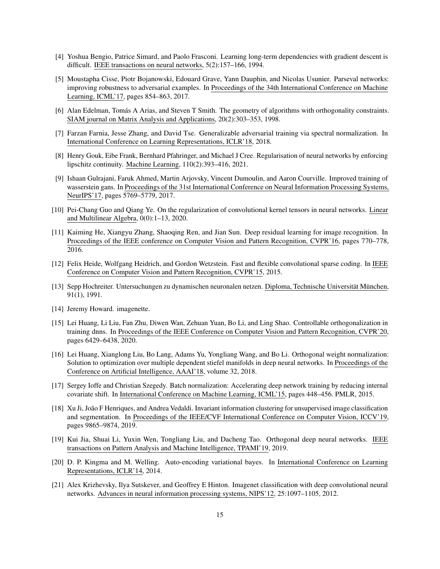- <span id="page-14-4"></span>[4] Yoshua Bengio, Patrice Simard, and Paolo Frasconi. Learning long-term dependencies with gradient descent is difficult. IEEE transactions on neural networks, 5(2):157–166, 1994.
- <span id="page-14-6"></span>[5] Moustapha Cisse, Piotr Bojanowski, Edouard Grave, Yann Dauphin, and Nicolas Usunier. Parseval networks: improving robustness to adversarial examples. In Proceedings of the 34th International Conference on Machine Learning, ICML'17, pages 854–863, 2017.
- <span id="page-14-12"></span>[6] Alan Edelman, Tomás A Arias, and Steven T Smith. The geometry of algorithms with orthogonality constraints. SIAM journal on Matrix Analysis and Applications, 20(2):303–353, 1998.
- <span id="page-14-13"></span>[7] Farzan Farnia, Jesse Zhang, and David Tse. Generalizable adversarial training via spectral normalization. In International Conference on Learning Representations, ICLR'18, 2018.
- <span id="page-14-5"></span>[8] Henry Gouk, Eibe Frank, Bernhard Pfahringer, and Michael J Cree. Regularisation of neural networks by enforcing lipschitz continuity. Machine Learning, 110(2):393–416, 2021.
- <span id="page-14-11"></span>[9] Ishaan Gulrajani, Faruk Ahmed, Martin Arjovsky, Vincent Dumoulin, and Aaron Courville. Improved training of wasserstein gans. In Proceedings of the 31st International Conference on Neural Information Processing Systems, NeurIPS'17, pages 5769–5779, 2017.
- <span id="page-14-8"></span>[10] Pei-Chang Guo and Qiang Ye. On the regularization of convolutional kernel tensors in neural networks. Linear and Multilinear Algebra, 0(0):1–13, 2020.
- <span id="page-14-1"></span>[11] Kaiming He, Xiangyu Zhang, Shaoqing Ren, and Jian Sun. Deep residual learning for image recognition. In Proceedings of the IEEE conference on Computer Vision and Pattern Recognition, CVPR'16, pages 770–778, 2016.
- <span id="page-14-14"></span>[12] Felix Heide, Wolfgang Heidrich, and Gordon Wetzstein. Fast and flexible convolutional sparse coding. In IEEE Conference on Computer Vision and Pattern Recognition, CVPR'15, 2015.
- <span id="page-14-3"></span>[13] Sepp Hochreiter. Untersuchungen zu dynamischen neuronalen netzen. Diploma, Technische Universität München, 91(1), 1991.
- <span id="page-14-17"></span>[14] Jeremy Howard. imagenette.
- <span id="page-14-10"></span>[15] Lei Huang, Li Liu, Fan Zhu, Diwen Wan, Zehuan Yuan, Bo Li, and Ling Shao. Controllable orthogonalization in training dnns. In Proceedings of the IEEE Conference on Computer Vision and Pattern Recognition, CVPR'20, pages 6429–6438, 2020.
- <span id="page-14-7"></span>[16] Lei Huang, Xianglong Liu, Bo Lang, Adams Yu, Yongliang Wang, and Bo Li. Orthogonal weight normalization: Solution to optimization over multiple dependent stiefel manifolds in deep neural networks. In Proceedings of the Conference on Artificial Intelligence, AAAI'18, volume 32, 2018.
- <span id="page-14-2"></span>[17] Sergey Ioffe and Christian Szegedy. Batch normalization: Accelerating deep network training by reducing internal covariate shift. In International Conference on Machine Learning, ICML'15, pages 448–456. PMLR, 2015.
- <span id="page-14-16"></span>[18] Xu Ji, João F Henriques, and Andrea Vedaldi. Invariant information clustering for unsupervised image classification and segmentation. In Proceedings of the IEEE/CVF International Conference on Computer Vision, ICCV'19, pages 9865–9874, 2019.
- <span id="page-14-9"></span>[19] Kui Jia, Shuai Li, Yuxin Wen, Tongliang Liu, and Dacheng Tao. Orthogonal deep neural networks. IEEE transactions on Pattern Analysis and Machine Intelligence, TPAMI'19, 2019.
- <span id="page-14-15"></span>[20] D. P. Kingma and M. Welling. Auto-encoding variational bayes. In International Conference on Learning Representations, ICLR'14, 2014.
- <span id="page-14-0"></span>[21] Alex Krizhevsky, Ilya Sutskever, and Geoffrey E Hinton. Imagenet classification with deep convolutional neural networks. Advances in neural information processing systems, NIPS'12, 25:1097–1105, 2012.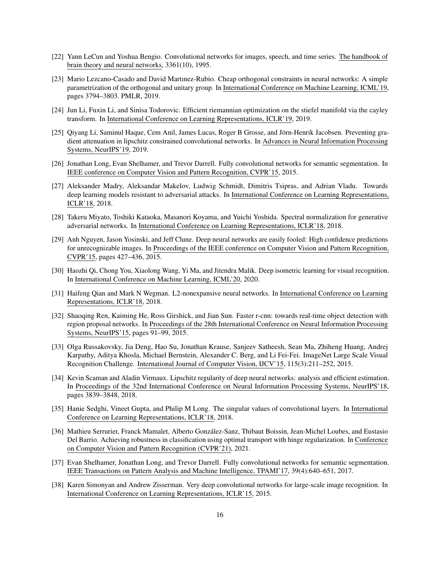- <span id="page-15-0"></span>[22] Yann LeCun and Yoshua Bengio. Convolutional networks for images, speech, and time series. The handbook of brain theory and neural networks, 3361(10), 1995.
- <span id="page-15-8"></span>[23] Mario Lezcano-Casado and David Martınez-Rubio. Cheap orthogonal constraints in neural networks: A simple parametrization of the orthogonal and unitary group. In International Conference on Machine Learning, ICML'19, pages 3794–3803. PMLR, 2019.
- <span id="page-15-6"></span>[24] Jun Li, Fuxin Li, and Sinisa Todorovic. Efficient riemannian optimization on the stiefel manifold via the cayley transform. In International Conference on Learning Representations, ICLR'19, 2019.
- <span id="page-15-4"></span>[25] Qiyang Li, Saminul Haque, Cem Anil, James Lucas, Roger B Grosse, and Jörn-Henrik Jacobsen. Preventing gradient attenuation in lipschitz constrained convolutional networks. In Advances in Neural Information Processing Systems, NeurIPS'19, 2019.
- <span id="page-15-12"></span>[26] Jonathan Long, Evan Shelhamer, and Trevor Darrell. Fully convolutional networks for semantic segmentation. In IEEE conference on Computer Vision and Pattern Recognition, CVPR'15, 2015.
- <span id="page-15-15"></span>[27] Aleksander Madry, Aleksandar Makelov, Ludwig Schmidt, Dimitris Tsipras, and Adrian Vladu. Towards deep learning models resistant to adversarial attacks. In International Conference on Learning Representations, ICLR'18, 2018.
- <span id="page-15-7"></span>[28] Takeru Miyato, Toshiki Kataoka, Masanori Koyama, and Yuichi Yoshida. Spectral normalization for generative adversarial networks. In International Conference on Learning Representations, ICLR'18, 2018.
- <span id="page-15-1"></span>[29] Anh Nguyen, Jason Yosinski, and Jeff Clune. Deep neural networks are easily fooled: High confidence predictions for unrecognizable images. In Proceedings of the IEEE conference on Computer Vision and Pattern Recognition, CVPR'15, pages 427–436, 2015.
- <span id="page-15-5"></span>[30] Haozhi Qi, Chong You, Xiaolong Wang, Yi Ma, and Jitendra Malik. Deep isometric learning for visual recognition. In International Conference on Machine Learning, ICML'20, 2020.
- <span id="page-15-2"></span>[31] Haifeng Qian and Mark N Wegman. L2-nonexpansive neural networks. In International Conference on Learning Representations, ICLR'18, 2018.
- <span id="page-15-11"></span>[32] Shaoqing Ren, Kaiming He, Ross Girshick, and Jian Sun. Faster r-cnn: towards real-time object detection with region proposal networks. In Proceedings of the 28th International Conference on Neural Information Processing Systems, NeurIPS'15, pages 91–99, 2015.
- <span id="page-15-16"></span>[33] Olga Russakovsky, Jia Deng, Hao Su, Jonathan Krause, Sanjeev Satheesh, Sean Ma, Zhiheng Huang, Andrej Karpathy, Aditya Khosla, Michael Bernstein, Alexander C. Berg, and Li Fei-Fei. ImageNet Large Scale Visual Recognition Challenge. International Journal of Computer Vision, IJCV'15, 115(3):211–252, 2015.
- <span id="page-15-9"></span>[34] Kevin Scaman and Aladin Virmaux. Lipschitz regularity of deep neural networks: analysis and efficient estimation. In Proceedings of the 32nd International Conference on Neural Information Processing Systems, NeurIPS'18, pages 3839–3848, 2018.
- <span id="page-15-3"></span>[35] Hanie Sedghi, Vineet Gupta, and Philip M Long. The singular values of convolutional layers. In International Conference on Learning Representations, ICLR'18, 2018.
- <span id="page-15-10"></span>[36] Mathieu Serrurier, Franck Mamalet, Alberto González-Sanz, Thibaut Boissin, Jean-Michel Loubes, and Eustasio Del Barrio. Achieving robustness in classification using optimal transport with hinge regularization. In Conference on Computer Vision and Pattern Recognition (CVPR'21), 2021.
- <span id="page-15-14"></span>[37] Evan Shelhamer, Jonathan Long, and Trevor Darrell. Fully convolutional networks for semantic segmentation. IEEE Transactions on Pattern Analysis and Machine Intelligence, TPAMI'17, 39(4):640–651, 2017.
- <span id="page-15-13"></span>[38] Karen Simonyan and Andrew Zisserman. Very deep convolutional networks for large-scale image recognition. In International Conference on Learning Representations, ICLR'15, 2015.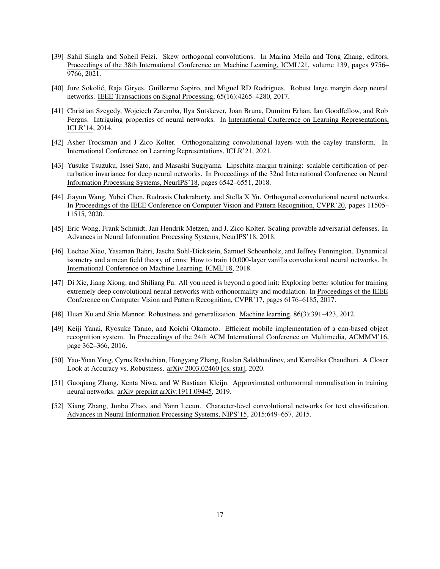- <span id="page-16-10"></span>[39] Sahil Singla and Soheil Feizi. Skew orthogonal convolutions. In Marina Meila and Tong Zhang, editors, Proceedings of the 38th International Conference on Machine Learning, ICML'21, volume 139, pages 9756– 9766, 2021.
- <span id="page-16-8"></span>[40] Jure Sokolic, Raja Giryes, Guillermo Sapiro, and Miguel RD Rodrigues. Robust large margin deep neural ´ networks. IEEE Transactions on Signal Processing, 65(16):4265–4280, 2017.
- <span id="page-16-2"></span>[41] Christian Szegedy, Wojciech Zaremba, Ilya Sutskever, Joan Bruna, Dumitru Erhan, Ian Goodfellow, and Rob Fergus. Intriguing properties of neural networks. In International Conference on Learning Representations, ICLR'14, 2014.
- <span id="page-16-6"></span>[42] Asher Trockman and J Zico Kolter. Orthogonalizing convolutional layers with the cayley transform. In International Conference on Learning Representations, ICLR'21, 2021.
- <span id="page-16-3"></span>[43] Yusuke Tsuzuku, Issei Sato, and Masashi Sugiyama. Lipschitz-margin training: scalable certification of perturbation invariance for deep neural networks. In Proceedings of the 32nd International Conference on Neural Information Processing Systems, NeurIPS'18, pages 6542–6551, 2018.
- <span id="page-16-0"></span>[44] Jiayun Wang, Yubei Chen, Rudrasis Chakraborty, and Stella X Yu. Orthogonal convolutional neural networks. In Proceedings of the IEEE Conference on Computer Vision and Pattern Recognition, CVPR'20, pages 11505– 11515, 2020.
- <span id="page-16-12"></span>[45] Eric Wong, Frank Schmidt, Jan Hendrik Metzen, and J. Zico Kolter. Scaling provable adversarial defenses. In Advances in Neural Information Processing Systems, NeurIPS'18, 2018.
- <span id="page-16-11"></span>[46] Lechao Xiao, Yasaman Bahri, Jascha Sohl-Dickstein, Samuel Schoenholz, and Jeffrey Pennington. Dynamical isometry and a mean field theory of cnns: How to train 10,000-layer vanilla convolutional neural networks. In International Conference on Machine Learning, ICML'18, 2018.
- <span id="page-16-4"></span>[47] Di Xie, Jiang Xiong, and Shiliang Pu. All you need is beyond a good init: Exploring better solution for training extremely deep convolutional neural networks with orthonormality and modulation. In Proceedings of the IEEE Conference on Computer Vision and Pattern Recognition, CVPR'17, pages 6176–6185, 2017.
- <span id="page-16-7"></span>[48] Huan Xu and Shie Mannor. Robustness and generalization. Machine learning, 86(3):391–423, 2012.
- <span id="page-16-9"></span>[49] Keiji Yanai, Ryosuke Tanno, and Koichi Okamoto. Efficient mobile implementation of a cnn-based object recognition system. In Proceedings of the 24th ACM International Conference on Multimedia, ACMMM'16, page 362–366, 2016.
- <span id="page-16-13"></span>[50] Yao-Yuan Yang, Cyrus Rashtchian, Hongyang Zhang, Ruslan Salakhutdinov, and Kamalika Chaudhuri. A Closer Look at Accuracy vs. Robustness. arXiv:2003.02460 [cs, stat], 2020.
- <span id="page-16-5"></span>[51] Guoqiang Zhang, Kenta Niwa, and W Bastiaan Kleijn. Approximated orthonormal normalisation in training neural networks. arXiv preprint arXiv:1911.09445, 2019.
- <span id="page-16-1"></span>[52] Xiang Zhang, Junbo Zhao, and Yann Lecun. Character-level convolutional networks for text classification. Advances in Neural Information Processing Systems, NIPS'15, 2015:649–657, 2015.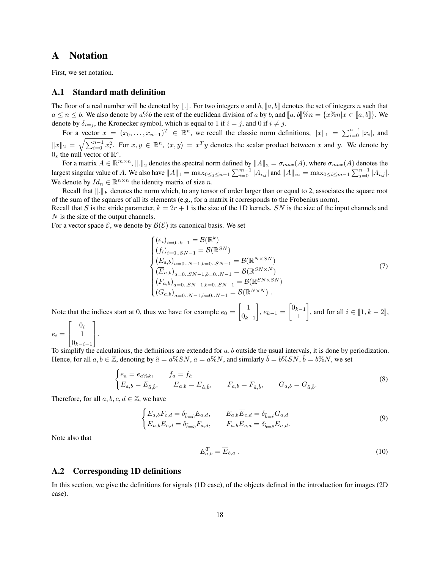## A Notation

First, we set notation.

#### A.1 Standard math definition

The floor of a real number will be denoted by |.|. For two integers a and b,  $\llbracket a, b \rrbracket$  denotes the set of integers n such that  $a \le n \le b$ . We also denote by  $a\%b$  the rest of the euclidean division of a by b, and  $[[a, b]]\%n = \{x\%n|x \in [a, b]\}.$  We denote by  $\delta_{i=j}$ , the Kronecker symbol, which is equal to 1 if  $i = j$ , and 0 if  $i \neq j$ .

For a vector  $x = (x_0, \ldots, x_{n-1})^T \in \mathbb{R}^n$ , we recall the classic norm definitions,  $||x||_1 = \sum_{i=0}^{n-1} |x_i|$ , and  $||x||_2 = \sqrt{\sum_{i=0}^{n-1} x_i^2}$ . For  $x, y \in \mathbb{R}^n$ ,  $\langle x, y \rangle = x^T y$  denotes the scalar product between x and y. We denote by  $0_s$  the null vector of  $\mathbb{R}^s$ .

For a matrix  $A \in \mathbb{R}^{m \times n}$ ,  $\|\cdot\|_2$  denotes the spectral norm defined by  $\|A\|_2 = \sigma_{max}(A)$ , where  $\sigma_{max}(A)$  denotes the largest singular value of A. We also have  $||A||_1 = \max_{0 \le j \le n-1} \sum_{i=0}^{m-1} |A_{i,j}|$  and  $||A||_{\infty} = \max_{0 \le i \le m-1} \sum_{j=0}^{n-1} |A_{i,j}|$ . We denote by  $Id_n \in \mathbb{R}^{n \times n}$  the identity matrix of size n.

Recall that  $\Vert .\Vert_F$  denotes the norm which, to any tensor of order larger than or equal to 2, associates the square root of the sum of the squares of all its elements (e.g., for a matrix it corresponds to the Frobenius norm).

Recall that S is the stride parameter,  $k = 2r + 1$  is the size of the 1D kernels. SN is the size of the input channels and N is the size of the output channels.

For a vector space  $\mathcal{E}$ , we denote by  $\mathcal{B}(\mathcal{E})$  its canonical basis. We set

<span id="page-17-3"></span>
$$
\begin{cases}\n(e_i)_{i=0..k-1} = \mathcal{B}(\mathbb{R}^k) \\
(f_i)_{i=0..SN-1} = \mathcal{B}(\mathbb{R}^{SN}) \\
(E_{a,b})_{a=0..N-1,b=0..SN-1} = \mathcal{B}(\mathbb{R}^{N \times SN}) \\
(\overline{E}_{a,b})_{a=0..SN-1,b=0..N-1} = \mathcal{B}(\mathbb{R}^{SN \times N}) \\
(F_{a,b})_{a=0..SN-1,b=0..SN-1} = \mathcal{B}(\mathbb{R}^{SN \times SN}) \\
(G_{a,b})_{a=0..N-1,b=0..N-1} = \mathcal{B}(\mathbb{R}^{N \times N}).\n\end{cases}
$$
\n(7)

Note that the indices start at 0, thus we have for example  $e_0 = \begin{bmatrix} 1 \\ 0 \end{bmatrix}$  $0_{k-1}$  $\Bigg], e_{k-1} = \begin{bmatrix} 0_{k-1} \\ 1 \end{bmatrix}$ 1 , and for all  $i \in [\![1, k-2]\!]$ ,  $\lceil$ 1

 $e_i =$  $\overline{1}$  $0_i$ 1  $0_{k-i-1}$  $\vert \cdot$ 

To simplify the calculations, the definitions are extended for  $a, b$  outside the usual intervals, it is done by periodization. Hence, for all  $a, b \in \mathbb{Z}$ , denoting by  $\hat{a} = a\%SN$ ,  $\tilde{a} = a\%N$ , and similarly  $\hat{b} = b\%SN$ ,  $\tilde{b} = b\%N$ , we set

$$
\begin{cases} e_a = e_a \gamma_{b,k}, & f_a = f_{\hat{a}} \\ E_{a,b} = E_{\tilde{a},\hat{b}}, & \overline{E}_{a,b} = \overline{E}_{\hat{a},\tilde{b}}, & F_{a,b} = F_{\hat{a},\hat{b}}, & G_{a,b} = G_{\tilde{a},\tilde{b}}. \end{cases}
$$
(8)

Therefore, for all  $a, b, c, d \in \mathbb{Z}$ , we have

$$
\begin{cases}\nE_{a,b}F_{c,d} = \delta_{\hat{b}=\hat{c}}E_{a,d}, & E_{a,b}\overline{E}_{c,d} = \delta_{\hat{b}=\hat{c}}G_{a,d} \\
\overline{E}_{a,b}E_{c,d} = \delta_{\tilde{b}=\tilde{c}}F_{a,d}, & F_{a,b}\overline{E}_{c,d} = \delta_{\hat{b}=\hat{c}}\overline{E}_{a,d}.\n\end{cases}
$$
\n(9)

Note also that

<span id="page-17-4"></span><span id="page-17-2"></span><span id="page-17-1"></span>
$$
E_{a,b}^T = \overline{E}_{b,a} \tag{10}
$$

#### <span id="page-17-0"></span>A.2 Corresponding 1D definitions

In this section, we give the definitions for signals (1D case), of the objects defined in the introduction for images (2D case).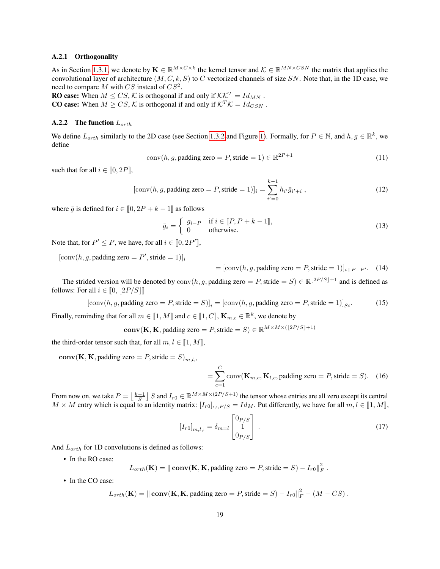#### A.2.1 Orthogonality

As in Section [1.3.1,](#page-3-5) we denote by  $\mathbf{K} \in \mathbb{R}^{M \times C \times k}$  the kernel tensor and  $\mathcal{K} \in \mathbb{R}^{M N \times C S N}$  the matrix that applies the convolutional layer of architecture  $(M, C, k, S)$  to C vectorized channels of size SN. Note that, in the 1D case, we need to compare  $M$  with  $CS$  instead of  $CS^2$ .

**RO case:** When  $M \leq CS$ , K is orthogonal if and only if  $\mathcal{K}\mathcal{K}^T = Id_{MN}$ . **CO case:** When  $M \ge CS$ ,  $K$  is orthogonal if and only if  $K^T K = Id_{CSN}$ .

#### <span id="page-18-7"></span>A.2.2 The function  $L_{orth}$

We define  $L_{orth}$  similarly to the 2D case (see Section [1.3.2](#page-3-0) and Figure [1\)](#page-4-0). Formally, for  $P \in \mathbb{N}$ , and  $h, g \in \mathbb{R}^k$ , we define

$$
conv(h, g, padding zero = P, stride = 1) \in \mathbb{R}^{2P+1}
$$
\n(11)

such that for all  $i \in [0, 2P]$ ,

[conv(h, g, padding zero = P, stride = 1)]<sub>i</sub> = 
$$
\sum_{i'=0}^{k-1} h_{i'} \bar{g}_{i'+i}
$$
, (12)

where  $\bar{g}$  is defined for  $i \in [0, 2P + k - 1]$  as follows

$$
\bar{g}_i = \begin{cases} g_{i-P} & \text{if } i \in [P, P+k-1], \\ 0 & \text{otherwise.} \end{cases}
$$
 (13)

Note that, for  $P' \leq P$ , we have, for all  $i \in [0, 2P']$ ,

 $[\text{conv}(h, g, \text{padding zero} = P', \text{stride} = 1)]_i$ 

<span id="page-18-4"></span><span id="page-18-3"></span><span id="page-18-2"></span><span id="page-18-1"></span><span id="page-18-0"></span> $=[\text{conv}(h, g, \text{padding zero} = P, \text{ stride} = 1)]_{i+P-P'}$ . (14)

The strided version will be denoted by  $\text{conv}(h, g, \text{padding zero} = P, \text{stride} = S) \in \mathbb{R}^{\lfloor 2P/S \rfloor + 1}$  and is defined as follows: For all  $i \in [0, 2P/S]$ 

[conv(h, g, padding zero = P,stride = S)]<sup>i</sup> = [conv(h, g, padding zero = P,stride = 1)]Si. (15)

Finally, reminding that for all  $m \in [\![1, M]\!]$  and  $c \in [\![1, C]\!]$ ,  $\mathbf{K}_{m,c} \in \mathbb{R}^k$ , we denote by

**conv**(**K**, **K**, padding zero = *P*, stride = *S*)  $\in \mathbb{R}^{M \times M \times (\lfloor 2P/S \rfloor + 1)}$ 

the third-order tensor such that, for all  $m, l \in [1, M]$ ,

 $conv(K, K, padding zero = P, stride = S)_{m,l,:}$ 

<span id="page-18-6"></span><span id="page-18-5"></span>
$$
= \sum_{c=1}^{C} \text{conv}(\mathbf{K}_{m,c}, \mathbf{K}_{l,c}, \text{padding zero} = P, \text{stride} = S). \quad (16)
$$

From now on, we take  $P = \left\lfloor \frac{k-1}{S} \right\rfloor S$  and  $I_{r0} \in \mathbb{R}^{M \times M \times (2P/S+1)}$  the tensor whose entries are all zero except its central  $M \times M$  entry which is equal to an identity matrix:  $[I_{r0}]_{:,:,P/S} = Id_M$ . Put differently, we have for all  $m, l \in [1, M]$ ,

$$
[I_{r0}]_{m,l,:} = \delta_{m=l} \begin{bmatrix} 0_{P/S} \\ 1 \\ 0_{P/S} \end{bmatrix} . \tag{17}
$$

And  $L_{orth}$  for 1D convolutions is defined as follows:

• In the RO case:

 $L_{orth}(\mathbf{K}) = \|\mathbf{conv}(\mathbf{K}, \mathbf{K}, \mathbf{p} \text{adding zero} = P, \text{stride} = S) - I_{r0}\|_F^2.$ 

• In the CO case:

$$
L_{orth}(\mathbf{K}) = \|\mathbf{conv}(\mathbf{K}, \mathbf{K}, \mathbf{padding zero} = P, \mathbf{stride} = S) - I_{ro}\|_F^2 - (M - CS).
$$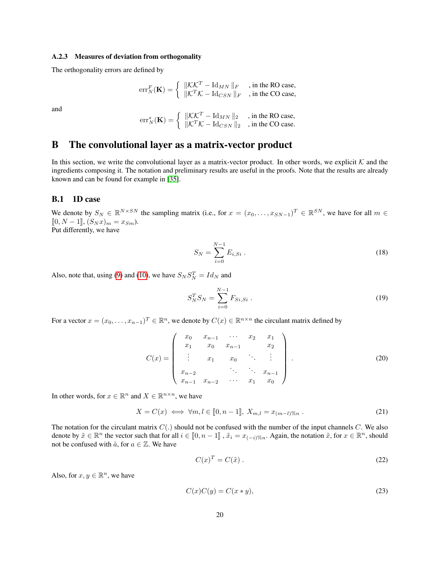#### <span id="page-19-6"></span>A.2.3 Measures of deviation from orthogonality

The orthogonality errors are defined by

$$
\mathrm{err}_{N}^{F}(\mathbf{K}) = \begin{cases} \|\mathcal{K}\mathcal{K}^{T} - \mathrm{Id}_{MN}\|_{F} & ,\text{ in the RO case,} \\ \|\mathcal{K}^{T}\mathcal{K} - \mathrm{Id}_{CSN}\|_{F} & ,\text{ in the CO case,} \end{cases}
$$

and

$$
err_N^s(\mathbf{K}) = \begin{cases} & \|\mathcal{K}\mathcal{K}^T - \text{Id}_{MN}\|_2 \\ & \|\mathcal{K}^T\mathcal{K} - \text{Id}_{CSN}\|_2 \\ & \text{, in the CO case.} \end{cases}
$$

## <span id="page-19-0"></span>B The convolutional layer as a matrix-vector product

In this section, we write the convolutional layer as a matrix-vector product. In other words, we explicit  $K$  and the ingredients composing it. The notation and preliminary results are useful in the proofs. Note that the results are already known and can be found for example in [\[35\]](#page-15-3).

#### B.1 1D case

We denote by  $S_N \in \mathbb{R}^{N \times SN}$  the sampling matrix (i.e., for  $x = (x_0, \dots, x_{SN-1})^T \in \mathbb{R}^{SN}$ , we have for all  $m \in$  $[0, N - 1], (S_N x)_m = x_{Sm}$ . Put differently, we have

<span id="page-19-2"></span>
$$
S_N = \sum_{i=0}^{N-1} E_{i,Si} \,. \tag{18}
$$

Also, note that, using [\(9\)](#page-17-1) and [\(10\)](#page-17-2), we have  $S_N S_N^T = Id_N$  and

<span id="page-19-7"></span><span id="page-19-1"></span>
$$
S_N^T S_N = \sum_{i=0}^{N-1} F_{Si,Si} \,. \tag{19}
$$

For a vector  $x = (x_0, \dots, x_{n-1})^T \in \mathbb{R}^n$ , we denote by  $C(x) \in \mathbb{R}^{n \times n}$  the circulant matrix defined by

$$
C(x) = \begin{pmatrix} x_0 & x_{n-1} & \cdots & x_2 & x_1 \\ x_1 & x_0 & x_{n-1} & x_2 \\ \vdots & x_1 & x_0 & \ddots & \vdots \\ x_{n-2} & \ddots & \ddots & x_{n-1} \\ x_{n-1} & x_{n-2} & \cdots & x_1 & x_0 \end{pmatrix} .
$$
 (20)

In other words, for  $x \in \mathbb{R}^n$  and  $X \in \mathbb{R}^{n \times n}$ , we have

$$
X = C(x) \iff \forall m, l \in [0, n-1], \ X_{m,l} = x_{(m-l)\%n} \ . \tag{21}
$$

The notation for the circulant matrix  $C(.)$  should not be confused with the number of the input channels  $C$ . We also denote by  $\tilde{x} \in \mathbb{R}^n$  the vector such that for all  $i \in [0, n-1]$ ,  $\tilde{x}_i = x_{(-i)\%n}$ . Again, the notation  $\tilde{x}$ , for  $x \in \mathbb{R}^n$ , should not be confused with  $\tilde{a}$ , for  $a \in \mathbb{Z}$ . We have

<span id="page-19-5"></span><span id="page-19-4"></span><span id="page-19-3"></span>
$$
C(x)^T = C(\tilde{x}) \tag{22}
$$

Also, for  $x, y \in \mathbb{R}^n$ , we have

$$
C(x)C(y) = C(x * y),\tag{23}
$$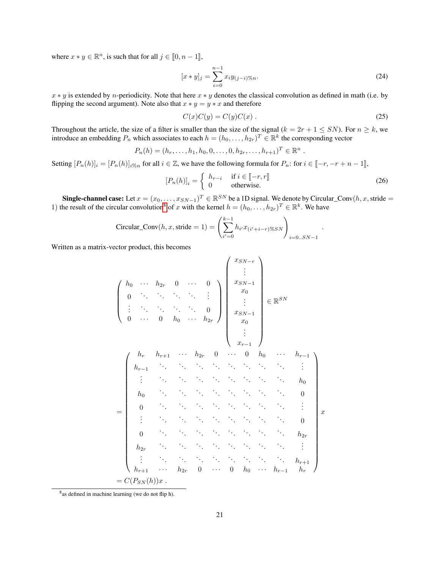where  $x * y \in \mathbb{R}^n$ , is such that for all  $j \in [0, n-1]$ ,

$$
[x * y]_j = \sum_{i=0}^{n-1} x_i y_{(j-i)} \gamma_{\text{on}}.
$$
 (24)

 $x * y$  is extended by *n*-periodicity. Note that here  $x * y$  denotes the classical convolution as defined in math (i.e. by flipping the second argument). Note also that  $x * y = y * x$  and therefore

$$
C(x)C(y) = C(y)C(x) . \t\t(25)
$$

<span id="page-20-3"></span><span id="page-20-2"></span>.

<span id="page-20-1"></span>.

Throughout the article, the size of a filter is smaller than the size of the signal ( $k = 2r + 1 \leq SN$ ). For  $n \geq k$ , we introduce an embedding  $P_n$  which associates to each  $h = (h_0, \dots, h_{2r})^T \in \mathbb{R}^k$  the corresponding vector

$$
P_n(h) = (h_r, \ldots, h_1, h_0, 0, \ldots, 0, h_{2r}, \ldots, h_{r+1})^T \in \mathbb{R}^n
$$

Setting  $[P_n(h)]_i = [P_n(h)]_{i\%n}$  for all  $i \in \mathbb{Z}$ , we have the following formula for  $P_n$ : for  $i \in [-r, -r + n - 1]$ ,

$$
[P_n(h)]_i = \begin{cases} h_{r-i} & \text{if } i \in [\![-r, r]\!] \\ 0 & \text{otherwise.} \end{cases}
$$
 (26)

Single-channel case: Let  $x = (x_0, \ldots, x_{SN-1})^T \in \mathbb{R}^{SN}$  be a 1D signal. We denote by Circular\_Conv $(h, x, \text{stride} =$ 1) the result of the circular convolution<sup>[8](#page-20-0)</sup> of x with the kernel  $h = (h_0, \ldots, h_{2r})^T \in \mathbb{R}^k$ . We have

$$
\text{Circular\_Conv}(h, x, \text{stride} = 1) = \left(\sum_{i'=0}^{k-1} h_{i'} x_{(i'+i-r)} \text{X} \text{S} N\right)_{i=0..SN-1}
$$

Written as a matrix-vector product, this becomes

$$
\begin{pmatrix}\nh_0 & \cdots & h_{2r} & 0 & \cdots & 0 \\
0 & \ddots & \ddots & \ddots & \ddots & \vdots \\
\vdots & \ddots & \ddots & \ddots & \ddots & 0 \\
0 & \cdots & 0 & h_0 & \cdots & h_{2r}\n\end{pmatrix}\n\begin{pmatrix}\nx_{SN-1} \\
x_0 \\
x_0 \\
\vdots \\
x_0 \\
x_0 \\
\vdots \\
x_{r-1}\n\end{pmatrix}\n\in\mathbb{R}^{SN}
$$
\n
$$
\begin{pmatrix}\nh_r & h_{r+1} & \cdots & h_{2r} & 0 & \cdots & 0 & h_0 & \cdots & h_{r-1} \\
h_{r-1} & \ddots & \ddots & \ddots & \ddots & \ddots & \ddots & \vdots \\
\vdots & \ddots & \ddots & \ddots & \ddots & \ddots & \ddots & 0 \\
h_0 & \ddots & \ddots & \ddots & \ddots & \ddots & \ddots & 0 \\
\vdots & \ddots & \ddots & \ddots & \ddots & \ddots & \ddots & \vdots \\
\vdots & \ddots & \ddots & \ddots & \ddots & \ddots & \ddots & \vdots \\
h_{2r} & \ddots & \ddots & \ddots & \ddots & \ddots & \ddots & \vdots \\
\vdots & \ddots & \ddots & \ddots & \ddots & \ddots & \ddots & \vdots \\
h_{r+1} & \cdots & h_{2r} & 0 & \cdots & 0 & h_0 & \cdots & h_{r-1} & h_r\n\end{pmatrix}
$$
\n
$$
= C(P_{SN}(h))x.
$$

<span id="page-20-0"></span><sup>8</sup> as defined in machine learning (we do not flip h).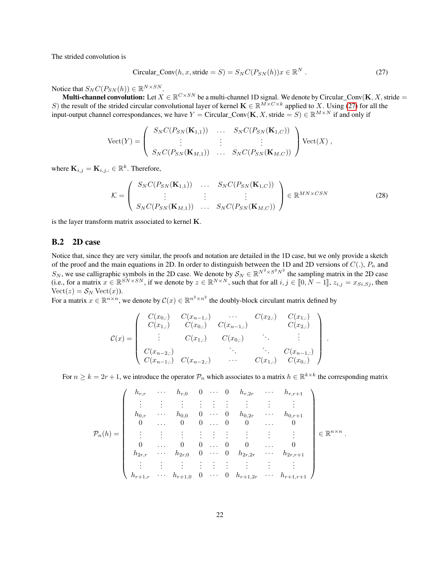The strided convolution is

<span id="page-21-0"></span>
$$
Circular\_Conv(h, x, stride = S) = S_N C(P_{SN}(h))x \in \mathbb{R}^N.
$$
\n(27)

Notice that  $S_N C(P_{SN}(h)) \in \mathbb{R}^{N \times SN}$ .

**Multi-channel convolution:** Let  $X \in \mathbb{R}^{C \times SN}$  be a multi-channel 1D signal. We denote by Circular\_Conv( $\mathbf{K}, X$ , stride = S) the result of the strided circular convolutional layer of kernel  $\mathbf{K} \in \mathbb{R}^{M \times C \times k}$  applied to X. Using [\(27\)](#page-21-0) for all the input-output channel correspondances, we have  $Y =$  Circular\_Conv(K, X, stride = S)  $\in \mathbb{R}^{M \times N}$  if and only if

$$
\text{Vect}(Y) = \left( \begin{array}{ccc} S_N C(P_{SN}(\mathbf{K}_{1,1})) & \dots & S_N C(P_{SN}(\mathbf{K}_{1,C})) \\ \vdots & \vdots & \vdots \\ S_N C(P_{SN}(\mathbf{K}_{M,1})) & \dots & S_N C(P_{SN}(\mathbf{K}_{M,C})) \end{array} \right) \text{Vect}(X) ,
$$

where  $\mathbf{K}_{i,j} = \mathbf{K}_{i,j,:} \in \mathbb{R}^k$ . Therefore,

$$
\mathcal{K} = \left(\begin{array}{ccc} S_N C(P_{SN}(\mathbf{K}_{1,1})) & \dots & S_N C(P_{SN}(\mathbf{K}_{1,C})) \\ \vdots & \vdots & \vdots \\ S_N C(P_{SN}(\mathbf{K}_{M,1})) & \dots & S_N C(P_{SN}(\mathbf{K}_{M,C})) \end{array}\right) \in \mathbb{R}^{MN \times CSN}
$$
(28)

<span id="page-21-1"></span>.

is the layer transform matrix associated to kernel K.

#### B.2 2D case

Notice that, since they are very similar, the proofs and notation are detailed in the 1D case, but we only provide a sketch of the proof and the main equations in 2D. In order to distinguish between the 1D and 2D versions of  $C(.)$ ,  $P_n$  and  $S_N$ , we use calligraphic symbols in the 2D case. We denote by  $S_N \in \mathbb{R}^{N^2 \times S^2 N^2}$  the sampling matrix in the 2D case (i.e., for a matrix  $x \in \mathbb{R}^{SN \times SN}$ , if we denote by  $z \in \mathbb{R}^{N \times N}$ , such that for all  $i, j \in [0, N - 1]$ ,  $z_{i,j} = x_{Si, Sj}$ , then  $Vect(z) = S_N Vect(x)).$ 

For a matrix  $x \in \mathbb{R}^{n \times n}$ , we denote by  $\mathcal{C}(x) \in \mathbb{R}^{n^2 \times n^2}$  the doubly-block circulant matrix defined by

$$
C(x) = \begin{pmatrix} C(x_{0,:}) & C(x_{n-1,:}) & \cdots & C(x_{2,:}) & C(x_{1,:}) \\ C(x_{1,:}) & C(x_{0,:}) & C(x_{n-1,:}) & C(x_{2,:}) \\ \vdots & C(x_{1,:}) & C(x_{0,:}) & \ddots & \vdots \\ C(x_{n-2,:}) & \ddots & \ddots & C(x_{n-1,:}) \\ C(x_{n-1,:}) & C(x_{n-2,:}) & \cdots & C(x_{1,:}) & C(x_{0,:}) \end{pmatrix}
$$

For  $n \ge k = 2r + 1$ , we introduce the operator  $\mathcal{P}_n$  which associates to a matrix  $h \in \mathbb{R}^{k \times k}$  the corresponding matrix

$$
\mathcal{P}_n(h) = \left( \begin{array}{ccccccccc} h_{r,r} & \cdots & h_{r,0} & 0 & \cdots & 0 & h_{r,2r} & \cdots & h_{r,r+1} \\ \vdots & \vdots & \vdots & \vdots & \vdots & \vdots & \vdots & \vdots \\ h_{0,r} & \cdots & h_{0,0} & 0 & \cdots & 0 & h_{0,2r} & \cdots & h_{0,r+1} \\ 0 & \cdots & 0 & 0 & \cdots & 0 & 0 & \cdots & 0 \\ \vdots & \vdots & \vdots & \vdots & \vdots & \vdots & \vdots & \vdots & \vdots \\ 0 & \cdots & 0 & 0 & \cdots & 0 & 0 & \cdots & 0 \\ h_{2r,r} & \cdots & h_{2r,0} & 0 & \cdots & 0 & h_{2r,2r} & \cdots & h_{2r,r+1} \\ \vdots & \vdots & \vdots & \vdots & \vdots & \vdots & \vdots & \vdots \\ h_{r+1,r} & \cdots & h_{r+1,0} & 0 & \cdots & 0 & h_{r+1,2r} & \cdots & h_{r+1,r+1} \end{array} \right) \in \mathbb{R}^{n \times n}.
$$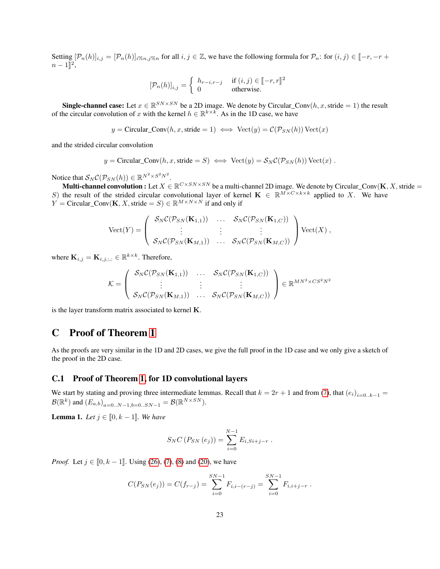Setting  $[\mathcal{P}_n(h)]_{i,j} = [\mathcal{P}_n(h)]_{i\%n,j\%n}$  for all  $i, j \in \mathbb{Z}$ , we have the following formula for  $\mathcal{P}_n$ : for  $(i, j) \in [-r, -r + 1]$  $n-1\rrbracket^2,$ 

$$
\left[\mathcal{P}_n(h)\right]_{i,j} = \begin{cases} h_{r-i,r-j} & \text{if } (i,j) \in \llbracket -r,r \rrbracket^2 \\ 0 & \text{otherwise.} \end{cases}
$$

**Single-channel case:** Let  $x \in \mathbb{R}^{SN \times SN}$  be a 2D image. We denote by Circular\_Conv $(h, x, \text{stride} = 1)$  the result of the circular convolution of x with the kernel  $h \in \mathbb{R}^{k \times k}$ . As in the 1D case, we have

$$
y =
$$
Circular\_Conv $(h, x,$  stride = 1)  $\iff$  Vect $(y) = C(\mathcal{P}_{SN}(h))$  Vect $(x)$ 

and the strided circular convolution

$$
y = \text{Circular\_Conv}(h, x, \text{stride} = S) \iff \text{Vect}(y) = S_N \mathcal{C}(\mathcal{P}_{SN}(h)) \text{Vect}(x) .
$$

Notice that  $S_N C(\mathcal{P}_{SN}(h)) \in \mathbb{R}^{N^2 \times S^2 N^2}$ .

**Multi-channel convolution :** Let  $X \in \mathbb{R}^{C \times SN \times SN}$  be a multi-channel 2D image. We denote by Circular\_Conv(**K**, X, stride = S) the result of the strided circular convolutional layer of kernel  $\mathbf{K} \in \mathbb{R}^{M \times C \times k \times k}$  applied to X. We have  $Y =$  Circular\_Conv(K, X, stride = S)  $\in \mathbb{R}^{M \times N \times N}$  if and only if

$$
\text{Vect}(Y) = \left( \begin{array}{c} \mathcal{S}_N \mathcal{C}(\mathcal{P}_{SN}(\mathbf{K}_{1,1})) & \dots & \mathcal{S}_N \mathcal{C}(\mathcal{P}_{SN}(\mathbf{K}_{1,C})) \\ \vdots & \vdots & \vdots \\ \mathcal{S}_N \mathcal{C}(\mathcal{P}_{SN}(\mathbf{K}_{M,1})) & \dots & \mathcal{S}_N \mathcal{C}(\mathcal{P}_{SN}(\mathbf{K}_{M,C})) \end{array} \right) \text{Vect}(X) ,
$$

where  $\mathbf{K}_{i,j} = \mathbf{K}_{i,j,:,:} \in \mathbb{R}^{k \times k}$ . Therefore,

$$
\mathcal{K} = \left(\begin{array}{ccc} \mathcal{S}_N \mathcal{C}(\mathcal{P}_{SN}(\mathbf{K}_{1,1})) & \dots & \mathcal{S}_N \mathcal{C}(\mathcal{P}_{SN}(\mathbf{K}_{1,C})) \\ \vdots & \vdots & \vdots \\ \mathcal{S}_N \mathcal{C}(\mathcal{P}_{SN}(\mathbf{K}_{M,1})) & \dots & \mathcal{S}_N \mathcal{C}(\mathcal{P}_{SN}(\mathbf{K}_{M,C})) \end{array}\right) \in \mathbb{R}^{MN^2 \times CS^2N^2}
$$

is the layer transform matrix associated to kernel K.

## <span id="page-22-0"></span>C Proof of Theorem [1](#page-7-0)

As the proofs are very similar in the 1D and 2D cases, we give the full proof in the 1D case and we only give a sketch of the proof in the 2D case.

#### C.1 Proof of Theorem [1,](#page-7-0) for 1D convolutional layers

We start by stating and proving three intermediate lemmas. Recall that  $k = 2r + 1$  and from [\(7\)](#page-17-3), that  $(e_i)_{i=0..k-1}$  $\mathcal{B}(\mathbb{R}^k)$  and  $(E_{a,b})_{a=0..N-1,b=0..SN-1} = \mathcal{B}(\mathbb{R}^{N\times SN})$ .

<span id="page-22-1"></span>**Lemma 1.** *Let*  $j \in [0, k-1]$ *. We have* 

$$
S_N C (P_{SN} (e_j)) = \sum_{i=0}^{N-1} E_{i, Si+j-r} .
$$

*Proof.* Let  $j \in [0, k-1]$ . Using [\(26\)](#page-20-1), [\(7\)](#page-17-3), [\(8\)](#page-17-4) and [\(20\)](#page-19-1), we have

$$
C(P_{SN}(e_j)) = C(f_{r-j}) = \sum_{i=0}^{SN-1} F_{i,i-(r-j)} = \sum_{i=0}^{SN-1} F_{i,i+j-r}.
$$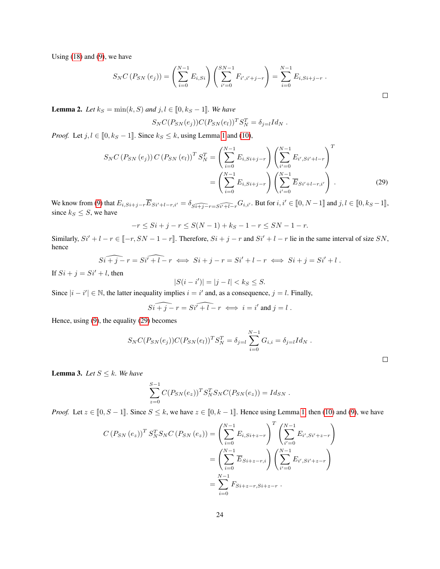Using  $(18)$  and  $(9)$ , we have

$$
S_N C\left(P_{SN}\left(e_j\right)\right) = \left(\sum_{i=0}^{N-1} E_{i, Si}\right) \left(\sum_{i'=0}^{SN-1} F_{i', i'+j-r}\right) = \sum_{i=0}^{N-1} E_{i, Si+j-r} .
$$

<span id="page-23-0"></span> $\Box$ 

 $\Box$ 

<span id="page-23-1"></span>**Lemma 2.** *Let*  $k_S = \min(k, S)$  *and*  $j, l \in [0, k_S - 1]$ *. We have* 

$$
S_N C(P_{SN}(e_j)) C(P_{SN}(e_l))^{T} S_N^{T} = \delta_{j=l} Id_N.
$$

*Proof.* Let  $j, l \in [0, k_S - 1]$  $j, l \in [0, k_S - 1]$  $j, l \in [0, k_S - 1]$ . Since  $k_S \le k$ , using Lemma 1 and [\(10\)](#page-17-2),

$$
S_N C (P_{SN} (e_j)) C (P_{SN} (e_l))^{T} S_N^{T} = \left( \sum_{i=0}^{N-1} E_{i, Si+j-r} \right) \left( \sum_{i'=0}^{N-1} E_{i', Si'+l-r} \right)^{T}
$$

$$
= \left( \sum_{i=0}^{N-1} E_{i, Si+j-r} \right) \left( \sum_{i'=0}^{N-1} \overline{E}_{Si'+l-r,i'} \right) . \tag{29}
$$

We know from [\(9\)](#page-17-1) that  $E_{i,Si+j-r}\overline{E}_{Si'+l-r,i'} = \delta_{\widehat{Si+j-r}}\widehat{E_{Si'+l-r}}G_{i,i'}$ . But for  $i, i' \in [0, N-1]$  and  $j, l \in [0, k_S - 1]$ , since  $k_S \leq S$ , we have

$$
-r \le Si + j - r \le S(N - 1) + kS - 1 - r \le SN - 1 - r.
$$

Similarly,  $Si' + l - r \in [-r, SN - 1 - r]$ . Therefore,  $Si + j - r$  and  $Si' + l - r$  lie in the same interval of size SN, hence

$$
\widehat{Si + j - r} = \widehat{Si' + l - r} \iff \widehat{Si + j - r} = \widehat{Si' + l - r} \iff \widehat{Si + j} = \widehat{Si' + l}.
$$

If  $Si + j = Si' + l$ , then

$$
|S(i - i')| = |j - l| < k \leq S.
$$

Since  $|i - i'| \in \mathbb{N}$ , the latter inequality implies  $i = i'$  and, as a consequence,  $j = l$ . Finally,

$$
\widehat{Si + j - r} = \widehat{Si' + l - r} \iff i = i' \text{ and } j = l \; .
$$

Hence, using [\(9\)](#page-17-1), the equality [\(29\)](#page-23-0) becomes

$$
S_N C(P_{SN}(e_j)) C(P_{SN}(e_l))^T S_N^T = \delta_{j=l} \sum_{i=0}^{N-1} G_{i,i} = \delta_{j=l} I d_N.
$$

<span id="page-23-2"></span>**Lemma 3.** *Let*  $S \leq k$ *. We have* 

$$
\sum_{z=0}^{S-1} C(P_{SN}(e_z))^T S_N^T S_N C(P_{SN}(e_z)) = Id_{SN} .
$$

*Proof.* Let  $z \in [0, S - 1]$ . Since  $S \le k$ , we have  $z \in [0, k - 1]$ . Hence using Lemma [1,](#page-22-1) then [\(10\)](#page-17-2) and [\(9\)](#page-17-1), we have

$$
C\left(P_{SN}\left(e_{z}\right)\right)^{T} S_{N}^{T} S_{N} C\left(P_{SN}\left(e_{z}\right)\right) = \left(\sum_{i=0}^{N-1} E_{i, Si+z-r}\right)^{T} \left(\sum_{i'=0}^{N-1} E_{i', Si'+z-r}\right)
$$

$$
= \left(\sum_{i=0}^{N-1} \overline{E}_{Si+z-r,i}\right) \left(\sum_{i'=0}^{N-1} E_{i', Si'+z-r}\right)
$$

$$
= \sum_{i=0}^{N-1} F_{Si+z-r, Si+z-r} .
$$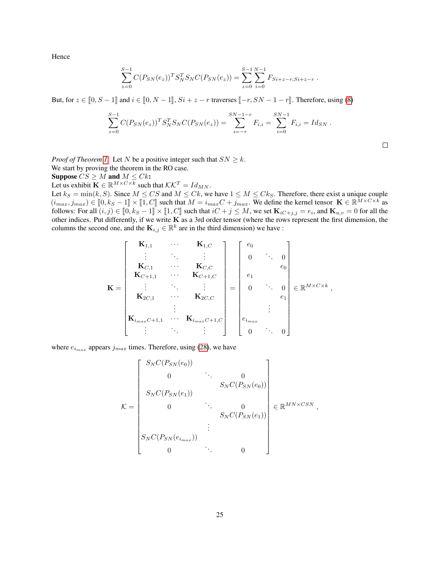Hence

$$
\sum_{z=0}^{S-1} C(P_{SN}(e_z))^T S_N^T S_N C(P_{SN}(e_z)) = \sum_{z=0}^{S-1} \sum_{i=0}^{N-1} F_{Si+z-r, Si+z-r}.
$$

But, for  $z \in [0, S-1]$  and  $i \in [0, N-1]$ ,  $Si + z - r$  traverses  $[-r, SN - 1 - r]$ . Therefore, using [\(8\)](#page-17-4)

$$
\sum_{z=0}^{S-1} C(P_{SN}(e_z))^T S_N^T S_N C(P_{SN}(e_z)) = \sum_{i=-r}^{SN-1-r} F_{i,i} = \sum_{i=0}^{SN-1} F_{i,i} = Id_{SN}.
$$

*Proof of Theorem [1.](#page-7-0)* Let N be a positive integer such that  $SN \geq k$ .

We start by proving the theorem in the RO case.

Suppose  $CS \geq M$  and  $M \leq Ck$ :

Let us exhibit  $\mathbf{K} \in \mathbb{R}^{M \times C \times k}$  such that  $\mathcal{K} \mathcal{K}^T = Id_{MN}$ .

Let  $k_S = \min(k, S)$ . Since  $M \leq CS$  and  $M \leq CK$ , we have  $1 \leq M \leq CK_S$ . Therefore, there exist a unique couple  $(i_{max}, j_{max}) \in [0, k_S - 1] \times [1, C]$  such that  $M = i_{max}C + j_{max}$ . We define the kernel tensor  $\mathbf{K} \in \mathbb{R}^{\bar{M} \times C \times k}$  as follows: For all  $(i, i) \in [0, k_S - 1] \times [1, C]$  such that  $iC + i \leq M$  we set  $\mathbf{K} = -e$  and  $\mathbf{K} = -0$  for all follows: For all  $(i, j) \in [0, k_S - 1] \times [1, C]$  such that  $iC + j \le M$ , we set  $\mathbf{K}_{iC+j,j} = e_i$ , and  $\mathbf{K}_{u,v} = 0$  for all the other indices. But differently, if we write  $\mathbf{K}$  as a 3rd order tensor (where the rows represent t other indices. Put differently, if we write  $\tilde{K}$  as a 3rd order tensor (where the rows represent the first dimension, the columns the second one, and the  $\mathbf{K}_{i,j} \in \mathbb{R}^k$  are in the third dimension) we have :

$$
\mathbf{K} = \begin{bmatrix} \mathbf{K}_{1,1} & \cdots & \mathbf{K}_{1,C} \\ \vdots & \ddots & \vdots \\ \mathbf{K}_{C,1} & \cdots & \mathbf{K}_{C,C} \\ \mathbf{K}_{C+1,1} & \cdots & \mathbf{K}_{C+1,C} \\ \vdots & \ddots & \vdots \\ \mathbf{K}_{2C,1} & \cdots & \mathbf{K}_{2C,C} \\ \vdots & \vdots & \ddots & \vdots \\ \mathbf{K}_{i_{max}C+1,1} & \cdots & \mathbf{K}_{i_{max}C+1,C} \end{bmatrix} = \begin{bmatrix} e_0 & & & & \\ 0 & \cdots & 0 \\ & e_1 & & & \\ & & e_1 & & \\ & & & e_1 \\ & & & & e_2 \\ & & & & e_1 \\ & & & & & e_2 \end{bmatrix} \in \mathbb{R}^{M \times C \times k},
$$

where  $e_{i_{max}}$  appears  $j_{max}$  times. Therefore, using [\(28\)](#page-21-1), we have

$$
\mathcal{K} = \begin{bmatrix} S_N C(P_{SN}(e_0)) & & & & 0 \\ 0 & \cdots & 0 & \\ S_N C(P_{SN}(e_1)) & & & \\ 0 & \cdots & 0 & \\ 0 & \cdots & 0 & \\ S_N C(P_{SN}(e_{i_{max}})) & & \\ S_N C(P_{SN}(e_{i_{max}})) & & \\ 0 & \cdots & 0 & \end{bmatrix} \in \mathbb{R}^{MN \times CSN},
$$

 $\Box$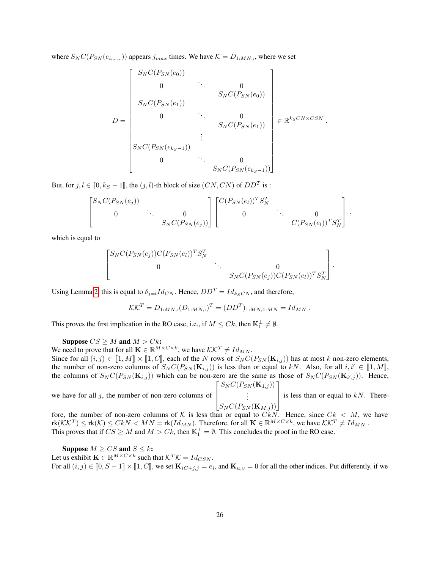where  $S_N C(P_{SN}(e_{i_{max}}))$  appears  $j_{max}$  times. We have  $K = D_{1:MN,:}$ , where we set

$$
D = \begin{bmatrix} S_N C(P_{SN}(e_0)) & & & & 0 \\ & 0 & \cdots & 0 \\ & & S_N C(P_{SN}(e_1)) & & \\ & & 0 & \ddots & 0 \\ & & & S_N C(P_{SN}(e_1)) & \\ & & & & S_N C(P_{SN}(e_1)) \\ & & & & & S_N C(P_{SN}(e_{k-1})) \\ & & & & & S_N C(P_{SN}(e_{k-1})) \end{bmatrix} \in \mathbb{R}^{k_S C N \times C S N}.
$$

But, for  $j, l \in [0, k_S - 1]$ , the  $(j, l)$ -th block of size  $(CN, CN)$  of  $DD<sup>T</sup>$  is :

$$
\begin{bmatrix} S_N C(P_{SN}(e_j)) & & & \\ 0 & \ddots & 0 & \\ & & S_N C(P_{SN}(e_j)) \end{bmatrix} \begin{bmatrix} C(P_{SN}(e_l))^T S_N^T & & & \\ 0 & \ddots & 0 & \\ & & C(P_{SN}(e_l))^T S_N^T \end{bmatrix},
$$

which is equal to

$$
\begin{bmatrix} S_N C(P_{SN}(e_j)) C(P_{SN}(e_l))^T S_N^T & 0 \\ 0 & \ddots & 0 \\ 0 & S_N C(P_{SN}(e_j)) C(P_{SN}(e_l))^T S_N^T \end{bmatrix}.
$$

Using Lemma [2,](#page-23-1) this is equal to  $\delta_{j=l}Id_{CN}$ . Hence,  $DD^T = Id_{k_SCN}$ , and therefore,

$$
\mathcal{K}\mathcal{K}^T = D_{1:MN,:}(D_{1:MN,:})^T = (DD^T)_{1:MN,1:MN} = Id_{MN} .
$$

This proves the first implication in the RO case, i.e., if  $M \leq Ck$ , then  $\mathbb{K}_1^{\perp} \neq \emptyset$ .

Suppose  $CS \geq M$  and  $M > Ck$ :

We need to prove that for all  $\mathbf{K} \in \mathbb{R}^{M \times C \times k}$ , we have  $\mathcal{K} \mathcal{K}^T \neq Id_{MN}$ .

Since for all  $(i, j) \in [1, M] \times [1, C]$ , each of the N rows of  $S_N C(P_{SN}(\mathbf{K}_{i,j}))$  has at most k non-zero elements, the number of non-zero columns of  $S_N C(P_{SN}(\mathbf{K}_{i,j}))$  is less than or equal to kN. Also, for all  $i, i' \in [1, M],$ the columns of  $S_N C(P_{SN}(\mathbf{K}_{i,j}))$  which can be non-zero are the same as those of  $S_N C(P_{SN}(\mathbf{K}_{i',j}))$ . Hence,  $\lceil$  $S_N C(P_{SN}(\mathbf{K}_{1,j}))$ 1

we have for all  $j$ , the number of non-zero columns of  $\overline{1}$  $S_N C(P_{SN}(\mathbf{K}_{M,j}))$ . . . is less than or equal to  $kN$ . There-

fore, the number of non-zero columns of K is less than or equal to  $Ck\bar{N}$ . Hence, since  $Ck < M$ , we have  $\text{rk}(\mathcal{K}\mathcal{K}^T) \leq \text{rk}(\mathcal{K}) \leq CkN < MN = \text{rk}(Id_{MN})$ . Therefore, for all  $\mathbf{K} \in \mathbb{R}^{M \times C \times k}$ , we have  $\mathcal{K}\mathcal{K}^T \neq Id_{MN}$ . This proves that if  $CS \geq M$  and  $M > Ck$ , then  $\mathbb{K}_1^{\perp} = \emptyset$ . This concludes the proof in the RO case.

Suppose  $M \geq CS$  and  $S \leq k$ : Let us exhibit  $\mathbf{K} \in \mathbb{R}^{M \times C \times k}$  such that  $\mathcal{K}^T \mathcal{K} = Id_{CSN}$ . For all  $(i, j) \in [0, S - 1] \times [1, C]$ , we set  $\mathbf{K}_{i \in \{+, j\}} = e_i$ , and  $\mathbf{K}_{u,v} = 0$  for all the other indices. Put differently, if we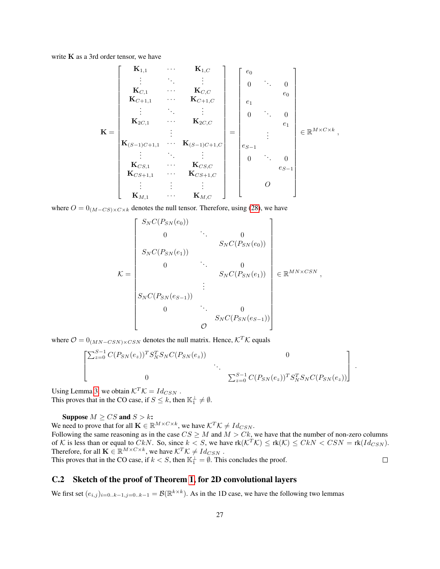write  $K$  as a 3rd order tensor, we have

K = K1,<sup>1</sup> · · · K1,C . . . . . . . . . KC,<sup>1</sup> · · · KC,C KC+1,<sup>1</sup> · · · KC+1,C . . . . . . . . . K2C,<sup>1</sup> · · · K2C,C . . . K(S−1)C+1,<sup>1</sup> · · · K(S−1)C+1,C . . . . . . . . . KCS,<sup>1</sup> · · · KCS,C KCS+1,<sup>1</sup> · · · KCS+1,C . . . . . . . . . KM,<sup>1</sup> · · · KM,C = e0 0 . . . 0 e0 e1 0 . . . 0 e1 . . . eS−<sup>1</sup> 0 . . . 0 eS−<sup>1</sup> O ∈ R M×C×k ,

where  $O = 0_{(M-CS)\times C\times k}$  denotes the null tensor. Therefore, using [\(28\)](#page-21-1), we have

$$
\mathcal{K} = \begin{bmatrix} S_N C(P_{SN}(e_0)) & & & & 0 \\ 0 & \cdots & & 0 \\ S_N C(P_{SN}(e_1)) & & & \\ 0 & \cdots & & 0 \\ 0 & & \ddots & & 0 \\ S_N C(P_{SN}(e_{S-1})) & & & \\ 0 & \cdots & & 0 \\ 0 & & & S_N C(P_{SN}(e_{S-1})) \end{bmatrix} \in \mathbb{R}^{MN \times CSN},
$$

where  $\mathcal{O} = 0_{(MN-CSN)\times CSN}$  denotes the null matrix. Hence,  $\mathcal{K}^T \mathcal{K}$  equals

$$
\begin{bmatrix}\n\Sigma_{z=0}^{S-1} C(P_{SN}(e_z))^T S_N^T S_N C(P_{SN}(e_z)) & 0 \\
0 & \Sigma_{z=0}^{S-1} C(P_{SN}(e_z))^T S_N^T S_N C(P_{SN}(e_z))\n\end{bmatrix}.
$$

Using Lemma [3,](#page-23-2) we obtain  $\mathcal{K}^T \mathcal{K} = Id_{CSN}$ . This proves that in the CO case, if  $S \leq k$ , then  $\mathbb{K}_1^{\perp} \neq \emptyset$ .

Suppose  $M \geq CS$  and  $S > k$ :

We need to prove that for all  $\mathbf{K} \in \mathbb{R}^{M \times C \times k}$ , we have  $\mathcal{K}^T \mathcal{K} \neq Id_{CSN}$ .

Following the same reasoning as in the case  $CS \geq M$  and  $M > Ck$ , we have that the number of non-zero columns of K is less than or equal to  $CkN$ . So, since  $k < S$ , we have  $rk(K^T\mathcal{K}) \leq rk(\mathcal{K}) \leq CkN < CSN = rk(Id_{CSN})$ . Therefore, for all  $\mathbf{K} \in \mathbb{R}^{M \times C \times k}$ , we have  $\mathcal{K}^T \mathcal{K} \neq Id_{CSN}$ .

This proves that in the CO case, if  $k < S$ , then  $\mathbb{K}_1^{\perp} = \emptyset$ . This concludes the proof.

### C.2 Sketch of the proof of Theorem [1,](#page-7-0) for 2D convolutional layers

We first set  $(e_{i,j})_{i=0..k-1,j=0..k-1} = \mathcal{B}(\mathbb{R}^{k\times k})$ . As in the 1D case, we have the following two lemmas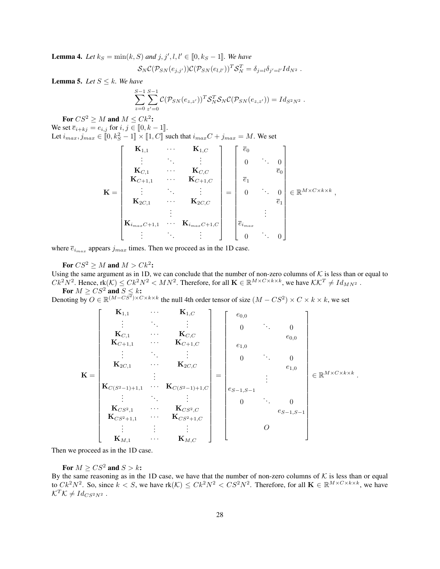**Lemma 4.** Let  $k_S = \min(k, S)$  and  $j, j', l, l' \in [0, k_S - 1]$ . We have

$$
S_N C(\mathcal{P}_{SN}(e_{j,j'}) ) C(\mathcal{P}_{SN}(e_{l,l'}))^T S_N^T = \delta_{j=l} \delta_{j'=l'} Id_{N^2} .
$$

**Lemma 5.** *Let*  $S \leq k$ *. We have* 

$$
\sum_{z=0}^{S-1}\sum_{z'=0}^{S-1}\mathcal{C}(\mathcal{P}_{SN}(e_{z,z'}))^T\mathcal{S}_N^T\mathcal{S}_N\mathcal{C}(\mathcal{P}_{SN}(e_{z,z'}))=Id_{S^2N^2}.
$$

For  $CS^2 \geq M$  and  $M \leq Ck^2$ :

We set  $\overline{e}_{i+kj} = e_{i,j}$  for  $i, j \in [0, k-1]$ .

Let  $i_{max}, j_{max} \in [0, k_S^2 - 1] \times [1, C]$  such that  $i_{max}C + j_{max} = M$ . We set

$$
\mathbf{K} = \begin{bmatrix} \mathbf{K}_{1,1} & \cdots & \mathbf{K}_{1,C} \\ \vdots & \ddots & \vdots \\ \mathbf{K}_{C,1} & \cdots & \mathbf{K}_{C,C} \\ \mathbf{K}_{C+1,1} & \cdots & \mathbf{K}_{C+1,C} \\ \vdots & \ddots & \vdots \\ \mathbf{K}_{2C,1} & \cdots & \mathbf{K}_{2C,C} \\ \vdots & \ddots & \vdots \\ \mathbf{K}_{i_{max}C+1,1} & \cdots & \mathbf{K}_{i_{max}C+1,C} \\ \vdots & \ddots & \vdots \end{bmatrix} = \begin{bmatrix} \overline{e}_{0} & & & \\ 0 & \ddots & 0 \\ \overline{e}_{1} & & & \\ 0 & \cdots & 0 \\ \overline{e}_{i} & & \overline{e}_{1} \\ \vdots & \vdots & \ddots & 0 \end{bmatrix} \in \mathbb{R}^{M \times C \times k \times k},
$$

where  $\bar{e}_{i_{max}}$  appears  $j_{max}$  times. Then we proceed as in the 1D case.

For  $CS^2 \geq M$  and  $M > Ck^2$ :

Using the same argument as in 1D, we can conclude that the number of non-zero columns of  $K$  is less than or equal to  $Ck^2N^2$ . Hence,  $\text{rk}(\mathcal{K}) \leq Ck^2N^2 < MN^2$ . Therefore, for all  $\mathbf{K} \in \mathbb{R}^{M \times C \times k \times k}$ , we have  $\mathcal{K}\mathcal{K}^T \neq Id_{MN^2}$ . For  $M \geq CS^2$  and  $S \leq k$ :

Denoting by  $O \in \mathbb{R}^{(M-CS^2)\times C\times k\times k}$  the null 4th order tensor of size  $(M-CS^2)\times C\times k\times k$ , we set

$$
\mathbf{K} = \begin{bmatrix}\n\mathbf{K}_{1,1} & \cdots & \mathbf{K}_{1,C} \\
\vdots & \ddots & \vdots \\
\mathbf{K}_{C,1} & \cdots & \mathbf{K}_{C,C} \\
\mathbf{K}_{C+1,1} & \cdots & \mathbf{K}_{C+1,C} \\
\vdots & \ddots & \vdots \\
\mathbf{K}_{2C,1} & \cdots & \mathbf{K}_{2C,C} \\
\vdots & \ddots & \vdots \\
\mathbf{K}_{C(S^{2}-1)+1,1} & \cdots & \mathbf{K}_{C(S^{2}-1)+1,C} \\
\vdots & \ddots & \vdots \\
\mathbf{K}_{CS^{2},1} & \cdots & \mathbf{K}_{CS^{2},C} \\
\mathbf{K}_{CS^{2}+1,1} & \cdots & \mathbf{K}_{CS^{2}+1,C} \\
\vdots & \vdots & \vdots \\
\mathbf{K}_{M,1} & \cdots & \mathbf{K}_{M,C}\n\end{bmatrix} = \begin{bmatrix}\ne_{0,0} & & & & & \\
0 & \cdots & 0 & & & \\
e_{1,0} & & & & & \\
e_{1,0} & & & & & \\
\vdots & \ddots & & & \\
0 & \cdots & 0 & & \\
0 & \cdots & 0 & & \\
0 & \cdots & 0 & & \\
0 & \cdots & 0 & & \\
0 & \cdots & 0 & & \\
0 & \cdots & 0 & & \\
0 & \cdots & 0 & & \\
0 & \cdots & 0 & & \\
0 & \cdots & 0 & & \\
0 & \cdots & 0 & & \\
0 & \cdots & 0 & & \\
0 & \cdots & 0 & & \\
0 & \cdots & 0 & & \\
0 & \cdots & 0 & & \\
0 & \cdots & 0 & & \\
0 & \cdots & 0 & & \\
0 & \cdots & 0 & & \\
0 & \cdots & 0 & & \\
0 & \cdots & 0 & & \\
0 & \cdots & 0 & & \\
0 & \cdots & 0 & & \\
0 & \cdots & 0 & & \\
0 & \cdots & 0 & & \\
0 & \cdots & 0 & & \\
0 & \cdots & 0 & & \\
0 & \cdots & 0 & & \\
0 & \cdots & 0 & & \\
0 & \cdots & 0 & & \\
0 & \cdots & 0 & & \\
0 & \cdots & 0 & & \\
0 & \cdots & 0 & & \\
0 & \cdots & 0 & & \\
0 & \cdots & 0 & & \\
0 & \cdots & 0 & & \\
0 & \cdots
$$

Then we proceed as in the 1D case.

For  $M \geq C S^2$  and  $S > k$ :

By the same reasoning as in the 1D case, we have that the number of non-zero columns of  $K$  is less than or equal to  $Ck^2N^2$ . So, since  $k < S$ , we have  $rk(\mathcal{K}) \leq Ck^2N^2 < CS^2N^2$ . Therefore, for all  $\mathbf{K} \in \mathbb{R}^{M \times C \times k \times k}$ , we have  $\mathcal{K}^T \mathcal{K} \neq Id_{CS^2N^2}$ .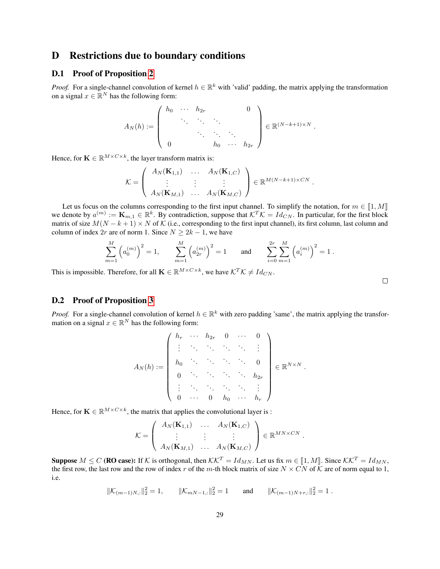## D Restrictions due to boundary conditions

#### <span id="page-28-0"></span>D.1 Proof of Proposition [2](#page-7-3)

*Proof.* For a single-channel convolution of kernel  $h \in \mathbb{R}^k$  with 'valid' padding, the matrix applying the transformation on a signal  $x \in \mathbb{R}^N$  has the following form:

$$
A_N(h) := \left( \begin{array}{cccc} h_0 & \cdots & h_{2r} & & 0 \\ & \ddots & \ddots & \ddots & \\ & & \ddots & \ddots & \ddots \\ 0 & & & h_0 & \cdots & h_{2r} \end{array} \right) \in \mathbb{R}^{(N-k+1) \times N}.
$$

Hence, for  $\mathbf{K} \in \mathbb{R}^{M \times C \times k}$ , the layer transform matrix is:

$$
\mathcal{K} = \left( \begin{array}{ccc} A_N(\mathbf{K}_{1,1}) & \dots & A_N(\mathbf{K}_{1,C}) \\ \vdots & \vdots & \vdots \\ A_N(\mathbf{K}_{M,1}) & \dots & A_N(\mathbf{K}_{M,C}) \end{array} \right) \in \mathbb{R}^{M(N-k+1)\times CN}.
$$

Let us focus on the columns corresponding to the first input channel. To simplify the notation, for  $m \in [1, M]$ we denote by  $a^{(m)} := \mathbf{K}_{m,1} \in \mathbb{R}^k$ . By contradiction, suppose that  $\mathcal{K}^T \mathcal{K} = Id_{CN}$ . In particular, for the first block matrix of size  $M(N - k + 1) \times N$  of K (i.e., corresponding to the first input channel), its first column, last column and column of index 2r are of norm 1. Since  $N \ge 2k - 1$ , we have

$$
\sum_{m=1}^{M} \left( a_0^{(m)} \right)^2 = 1, \qquad \sum_{m=1}^{M} \left( a_{2r}^{(m)} \right)^2 = 1 \qquad \text{and} \qquad \sum_{i=0}^{2r} \sum_{m=1}^{M} \left( a_i^{(m)} \right)^2 = 1 \; .
$$

This is impossible. Therefore, for all  $\mathbf{K} \in \mathbb{R}^{M \times C \times k}$ , we have  $\mathcal{K}^T \mathcal{K} \neq Id_{CN}$ .

#### <span id="page-28-1"></span>D.2 Proof of Proposition [3](#page-8-2)

*Proof.* For a single-channel convolution of kernel  $h \in \mathbb{R}^k$  with zero padding 'same', the matrix applying the transformation on a signal  $x \in \mathbb{R}^N$  has the following form:

$$
A_N(h) := \left( \begin{array}{cccc} h_r & \cdots & h_{2r} & 0 & \cdots & 0 \\ \vdots & \ddots & \ddots & \ddots & \ddots & \vdots \\ h_0 & \ddots & \ddots & \ddots & \ddots & 0 \\ 0 & \ddots & \ddots & \ddots & \ddots & h_{2r} \\ \vdots & \ddots & \ddots & \ddots & \ddots & \vdots \\ 0 & \cdots & 0 & h_0 & \cdots & h_r \end{array} \right) \in \mathbb{R}^{N \times N}.
$$

Hence, for  $\mathbf{K} \in \mathbb{R}^{M \times C \times k}$ , the matrix that applies the convolutional layer is :

$$
\mathcal{K} = \left( \begin{array}{ccc} A_N(\mathbf{K}_{1,1}) & \dots & A_N(\mathbf{K}_{1,C}) \\ \vdots & \vdots & \vdots \\ A_N(\mathbf{K}_{M,1}) & \dots & A_N(\mathbf{K}_{M,C}) \end{array} \right) \in \mathbb{R}^{MN \times CN}.
$$

**Suppose**  $M \leq C$  (**RO case):** If K is orthogonal, then  $KK^T = Id_{MN}$ . Let us fix  $m \in [1, M]$ . Since  $KK^T = Id_{MN}$ , the first row, the last row and the row of index r of the m-th block matrix of size  $N \times CN$  of  $K$  are of norm equal to 1, i.e.

$$
\|\mathcal{K}_{(m-1)N,:}\|_{2}^{2}=1, \qquad \|\mathcal{K}_{mN-1,:}\|_{2}^{2}=1 \qquad \text{and} \qquad \|\mathcal{K}_{(m-1)N+r,:}\|_{2}^{2}=1.
$$

 $\Box$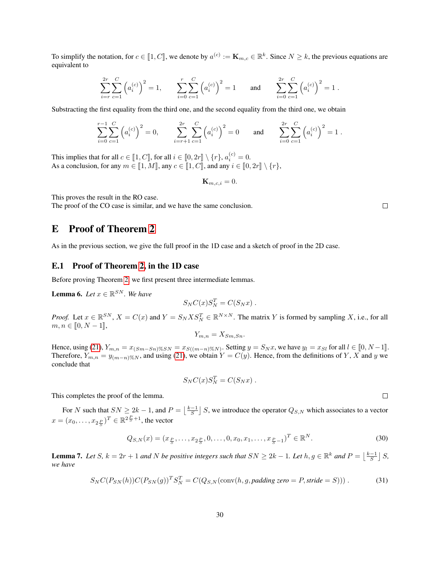To simplify the notation, for  $c \in [1, C]$ , we denote by  $a^{(c)} := \mathbf{K}_{m,c} \in \mathbb{R}^k$ . Since  $N \ge k$ , the previous equations are equivalent to equivalent to

$$
\sum_{i=r}^{2r} \sum_{c=1}^{C} \left( a_i^{(c)} \right)^2 = 1, \qquad \sum_{i=0}^{r} \sum_{c=1}^{C} \left( a_i^{(c)} \right)^2 = 1 \qquad \text{and} \qquad \sum_{i=0}^{2r} \sum_{c=1}^{C} \left( a_i^{(c)} \right)^2 = 1.
$$

Substracting the first equality from the third one, and the second equality from the third one, we obtain

$$
\sum_{i=0}^{r-1} \sum_{c=1}^{C} \left( a_i^{(c)} \right)^2 = 0, \qquad \sum_{i=r+1}^{2r} \sum_{c=1}^{C} \left( a_i^{(c)} \right)^2 = 0 \qquad \text{and} \qquad \sum_{i=0}^{2r} \sum_{c=1}^{C} \left( a_i^{(c)} \right)^2 = 1.
$$

This implies that for all  $c \in [\![1, C]\!]$ , for all  $i \in [\![0, 2r]\!] \setminus \{r\}, a_i^{(c)} = 0$ . As a conclusion, for any  $m \in [\![1, M]\!]$ , any  $c \in [\![1, C]\!]$ , and any  $i \in [\![0, 2r]\!] \setminus \{r\}$ ,

$$
\mathbf{K}_{m,c,i}=0.
$$

This proves the result in the RO case.

The proof of the CO case is similar, and we have the same conclusion.

## <span id="page-29-0"></span>E Proof of Theorem [2](#page-8-1)

As in the previous section, we give the full proof in the 1D case and a sketch of proof in the 2D case.

#### E.1 Proof of Theorem [2,](#page-8-1) in the 1D case

Before proving Theorem [2,](#page-8-1) we first present three intermediate lemmas.

<span id="page-29-3"></span>**Lemma 6.** Let  $x \in \mathbb{R}^{SN}$ . We have

$$
S_N C(x) S_N^T = C(S_N x) .
$$

*Proof.* Let  $x \in \mathbb{R}^{SN}$ ,  $X = C(x)$  and  $Y = S_N X S_N^T \in \mathbb{R}^{N \times N}$ . The matrix Y is formed by sampling X, i.e., for all  $m, n \in [0, N-1],$ 

$$
Y_{m,n} = X_{Sm,Sn}.
$$

Hence, using [\(21\)](#page-19-3),  $Y_{m,n} = x_{(Sm-Sn)\%SN} = x_{S((m-n)\%N)}$ . Setting  $y = S_N x$ , we have  $y_l = x_{S_l}$  for all  $l \in [0, N-1]$ .<br>Therefore  $X = x_{(S(n-1) \text{ mod } N)}$  and using (21), we obtain  $Y = C(x)$ . Hence, from the definitions of  $X$ ,  $X$  and  $y$  Therefore,  $Y_{m,n} = y_{(m-n)\%N}$ , and using [\(21\)](#page-19-3), we obtain  $Y = C(y)$ . Hence, from the definitions of Y, X and y we conclude that

$$
S_N C(x) S_N^T = C(S_N x) .
$$

This completes the proof of the lemma.

For N such that  $SN \ge 2k - 1$ , and  $P = \lfloor \frac{k-1}{S} \rfloor S$ , we introduce the operator  $Q_{S,N}$  which associates to a vector  $x = (x_0, \dots, x_{2\frac{P}{S}})^T \in \mathbb{R}^{2\frac{P}{S}+1}$ , the vector

$$
Q_{S,N}(x) = (x_{\frac{P}{S}}, \dots, x_{2\frac{P}{S}}, 0, \dots, 0, x_0, x_1, \dots, x_{\frac{P}{S}-1})^T \in \mathbb{R}^N.
$$
\n(30)

<span id="page-29-4"></span>**Lemma 7.** Let S,  $k = 2r + 1$  and N be positive integers such that  $SN \geq 2k - 1$ . Let  $h, g \in \mathbb{R}^k$  and  $P = \lfloor \frac{k-1}{S} \rfloor S$ , *we have*

$$
S_N C(P_{SN}(h)) C(P_{SN}(g))^T S_N^T = C(Q_{S,N}(\text{conv}(h,g,padding \text{ zero} = P, \text{stride} = S)))
$$
\n(31)

<span id="page-29-2"></span><span id="page-29-1"></span> $\Box$ 

 $\Box$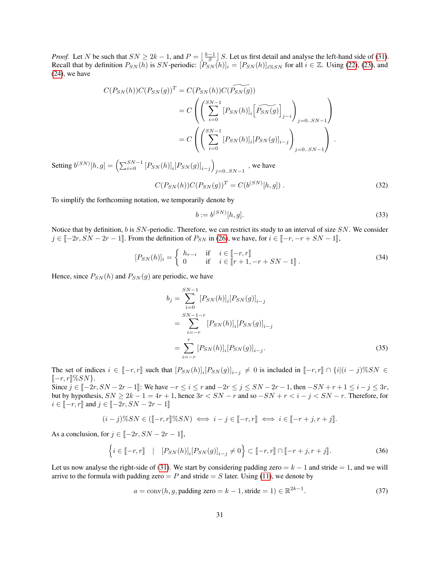*Proof.* Let N be such that  $SN \geq 2k - 1$ , and  $P = \lfloor \frac{k-1}{S} \rfloor S$ . Let us first detail and analyse the left-hand side of [\(31\)](#page-29-1). Recall that by definition  $P_{SN}(h)$  is SN-periodic:  $[P_{SN}(h)]_i = [P_{SN}(h)]_{i\%SN}$  for all  $i \in \mathbb{Z}$ . Using [\(22\)](#page-19-4), [\(23\)](#page-19-5), and [\(24\)](#page-20-2), we have

$$
C(P_{SN}(h))C(P_{SN}(g))^{T} = C(P_{SN}(h))C(\widetilde{P_{SN}(g)})
$$
  
= 
$$
C\left(\left(\sum_{i=0}^{SN-1} [P_{SN}(h)]_{i} \left[\widetilde{P_{SN}(g)}\right]_{j-i}\right)_{j=0..SN-1}\right)
$$
  
= 
$$
C\left(\left(\sum_{i=0}^{SN-1} [P_{SN}(h)]_{i} [P_{SN}(g)]_{i-j}\right)_{j=0..SN-1}\right).
$$

Setting  $b^{(SN)}[h,g] = \left( \sum_{i=0}^{SN-1} [P_{SN}(h)]_i [P_{SN}(g)]_{i-j} \right)$  $j=0..SN-1$ , we have

$$
C(P_{SN}(h))C(P_{SN}(g))^{T} = C(b^{(SN)}[h,g]) .
$$
\n(32)

To simplify the forthcoming notation, we temporarily denote by

<span id="page-30-5"></span><span id="page-30-4"></span><span id="page-30-1"></span>
$$
b := b^{(SN)}[h, g].\tag{33}
$$

Notice that by definition, b is  $SN$ -periodic. Therefore, we can restrict its study to an interval of size  $SN$ . We consider  $j \in [-2r, SN - 2r - 1]$ . From the definition of  $P_{SN}$  in [\(26\)](#page-20-1), we have, for  $i \in [-r, -r + SN - 1]$ ,

$$
[P_{SN}(h)]_i = \begin{cases} h_{r-i} & \text{if } i \in [-r, r] \\ 0 & \text{if } i \in [r+1, -r+SN-1] \end{cases} . \tag{34}
$$

Hence, since  $P_{SN}(h)$  and  $P_{SN}(g)$  are periodic, we have

<span id="page-30-2"></span>
$$
b_{j} = \sum_{i=0}^{SN-1} [P_{SN}(h)]_{i} [P_{SN}(g)]_{i-j}
$$
  
= 
$$
\sum_{i=-r}^{SN-1-r} [P_{SN}(h)]_{i} [P_{SN}(g)]_{i-j}
$$
  
= 
$$
\sum_{i=-r}^{r} [P_{SN}(h)]_{i} [P_{SN}(g)]_{i-j}.
$$
 (35)

The set of indices  $i \in [-r, r]$  such that  $[P_{SN}(h)]_i[P_{SN}(g)]_{i-j} \neq 0$  is included in  $[-r, r] \cap \{i|(i-j)\% SN \in \mathbb{R}$ <br> $\mathbb{R} \times \mathbb{R}^{10} \times \mathbb{R}^{10}$  $[-r, r]\%SN$ .

Since  $j \in [-2r, SN - 2r - 1]$ : We have  $-r \le i \le r$  and  $-2r \le j \le SN - 2r - 1$ , then  $-SN + r + 1 \le i - j \le 3r$ , but by hypothesis,  $SN \geq 2k - 1 = 4r + 1$ , hence  $3r < SN - r$  and so  $-SN + r < i - j < SN - r$ . Therefore, for  $i \in [-r, r]$  and  $j \in [-2r, SN - 2r - 1]$ 

$$
(i-j)\%SN \in \left(\left[-r,r\right]\%SN\right) \iff i-j \in \left[-r,r\right] \iff i \in \left[-r+j,r+j\right].
$$

As a conclusion, for  $j \in [-2r, SN - 2r - 1]$ ,

$$
\left\{ i \in [\![-r,r]\!] \mid [P_{SN}(h)]_i [P_{SN}(g)]_{i-j} \neq 0 \right\} \subset [\![-r,r]\!] \cap [\![-r+j,r+j]\!].\tag{36}
$$

Let us now analyse the right-side of [\(31\)](#page-29-1). We start by considering padding zero =  $k - 1$  and stride = 1, and we will arrive to the formula with padding zero =  $P$  and stride =  $S$  later. Using [\(11\)](#page-18-0), we denote by

<span id="page-30-3"></span><span id="page-30-0"></span>
$$
a = \text{conv}(h, g, \text{padding zero} = k - 1, \text{stride} = 1) \in \mathbb{R}^{2k - 1}.
$$
\n(37)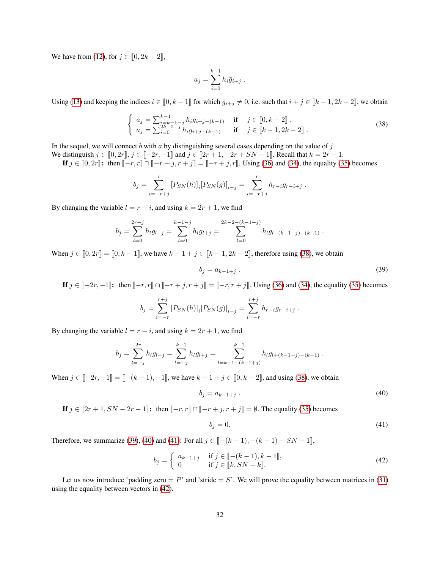We have from [\(12\)](#page-18-1), for  $j \in [0, 2k - 2]$ ,

<span id="page-31-0"></span>
$$
a_j = \sum_{i=0}^{k-1} h_i \bar{g}_{i+j} .
$$

Using [\(13\)](#page-18-2) and keeping the indices  $i \in [0, k-1]$  for which  $\bar{g}_{i+j} \neq 0$ , i.e. such that  $i + j \in [k-1, 2k-2]$ , we obtain

$$
\begin{cases}\n a_j = \sum_{i=k-1-j}^{k-1} h_i g_{i+j-(k-1)} & \text{if } j \in [0, k-2], \\
 a_j = \sum_{i=0}^{2k-2-j} h_i g_{i+j-(k-1)} & \text{if } j \in [k-1, 2k-2].\n\end{cases}
$$
\n(38)

In the sequel, we will connect b with a by distinguishing several cases depending on the value of j.

We distinguish  $j \in [0, 2r], j \in [-2r, -1]$  and  $j \in [2r + 1, -2r + SN - 1]$ . Recall that  $k = 2r + 1$ . **If**  $j \in [0, 2r]$ : then  $[-r, r] ∩ [-r + j, r + j] = [-r + j, r]$ . Using [\(36\)](#page-30-0) and [\(34\)](#page-30-1), the equality [\(35\)](#page-30-2) becomes

$$
b_j = \sum_{i=-r+j}^{r} [P_{SN}(h)]_i [P_{SN}(g)]_{i-j} = \sum_{i=-r+j}^{r} h_{r-i} g_{r-i+j} .
$$

By changing the variable  $l = r - i$ , and using  $k = 2r + 1$ , we find

$$
b_j = \sum_{l=0}^{2r-j} h_l g_{l+j} = \sum_{l=0}^{k-1-j} h_l g_{l+j} = \sum_{l=0}^{2k-2-(k-1+j)} h_l g_{l+(k-1+j)-(k-1)}.
$$

When  $j \in [0, 2r] = [0, k - 1]$ , we have  $k - 1 + j \in [k - 1, 2k - 2]$ , therefore using [\(38\)](#page-31-0), we obtain

<span id="page-31-1"></span>
$$
b_j = a_{k-1+j} \tag{39}
$$

**If**  $j \in [-2r, -1]$ : then  $[-r, r] ∩ [-r + j, r + j] = [-r, r + j]$ . Using [\(36\)](#page-30-0) and [\(34\)](#page-30-1), the equality [\(35\)](#page-30-2) becomes

$$
b_j = \sum_{i=-r}^{r+j} [P_{SN}(h)]_i [P_{SN}(g)]_{i-j} = \sum_{i=-r}^{r+j} h_{r-i} g_{r-i+j}.
$$

By changing the variable  $l = r - i$ , and using  $k = 2r + 1$ , we find

$$
b_j = \sum_{l=-j}^{2r} h_l g_{l+j} = \sum_{l=-j}^{k-1} h_l g_{l+j} = \sum_{l=k-1-(k-1+j)}^{k-1} h_l g_{l+(k-1+j)-(k-1)}.
$$

When  $j \in [-2r, -1] = [-(k-1), -1]$ , we have  $k - 1 + j \in [0, k-2]$ , and using [\(38\)](#page-31-0), we obtain

$$
b_j = a_{k-1+j} \tag{40}
$$

If  $j \in [2r + 1, SN - 2r - 1]$ : then  $[-r, r] \cap [-r + j, r + j] = \emptyset$ . The equality [\(35\)](#page-30-2) becomes

<span id="page-31-4"></span><span id="page-31-3"></span><span id="page-31-2"></span>
$$
b_j = 0.\t\t(41)
$$

Therefore, we summarize [\(39\)](#page-31-1), [\(40\)](#page-31-2) and [\(41\)](#page-31-3): For all  $j \in [-(k-1), -(k-1) + SN - 1]$ ,

$$
b_j = \begin{cases} a_{k-1+j} & \text{if } j \in [-(k-1), k-1], \\ 0 & \text{if } j \in [k, SN - k]. \end{cases}
$$
 (42)

Let us now introduce 'padding zero =  $P$ ' and 'stride =  $S$ '. We will prove the equality between matrices in [\(31\)](#page-29-1) using the equality between vectors in [\(42\)](#page-31-4).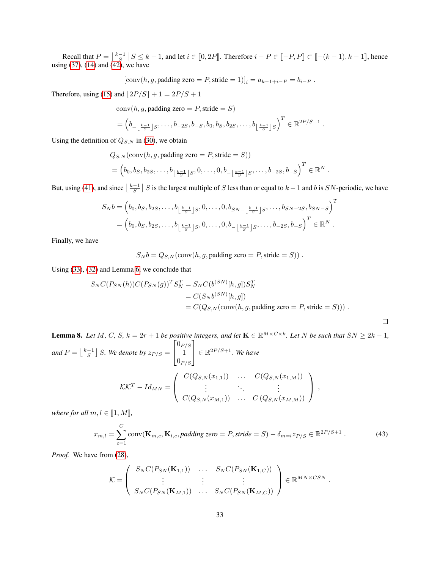Recall that  $P = \left\lfloor \frac{k-1}{S} \right\rfloor S \le k-1$ , and let  $i \in [0, 2P]$ . Therefore  $i - P \in [-P, P] \subset [- (k-1), k-1]$ , hence using [\(37\)](#page-30-3), [\(14\)](#page-18-3) and [\(42\)](#page-31-4), we have

[conv
$$
(h, g,
$$
 padding zero = P, stride = 1)]<sub>i</sub> =  $a_{k-1+i-P} = b_{i-P}$ .

Therefore, using [\(15\)](#page-18-4) and  $\lfloor 2P/S \rfloor + 1 = 2P/S + 1$ 

 $conv(h, g,$  padding zero = P, stride = S)

$$
= \left(b_{-\left\lfloor \frac{k-1}{S}\right\rfloor S},\ldots,b_{-2S},b_{-S},b_0,b_S,b_{2S},\ldots,b_{\left\lfloor \frac{k-1}{S}\right\rfloor S}\right)^T \in \mathbb{R}^{2P/S+1}.
$$

Using the definition of  $Q_{S,N}$  in [\(30\)](#page-29-2), we obtain

$$
Q_{S,N}(\text{conv}(h, g, \text{padding zero} = P, \text{ stride} = S))
$$
  
=  $\left(b_0, b_S, b_{2S}, \dots, b_{\lfloor \frac{k-1}{S} \rfloor} S, 0, \dots, 0, b_{-\lfloor \frac{k-1}{S} \rfloor} S, \dots, b_{-2S}, b_{-S}\right)^T \in \mathbb{R}^N$ .

But, using [\(41\)](#page-31-3), and since  $\lfloor \frac{k-1}{S} \rfloor$  S is the largest multiple of S less than or equal to  $k-1$  and b is SN-periodic, we have

$$
S_N b = (b_0, b_S, b_{2S}, \dots, b_{\lfloor \frac{k-1}{S} \rfloor S}, 0, \dots, 0, b_{SN - \lfloor \frac{k-1}{S} \rfloor S}, \dots, b_{SN - 2S}, b_{SN - S})^T
$$
  
=  $(b_0, b_S, b_{2S}, \dots, b_{\lfloor \frac{k-1}{S} \rfloor S}, 0, \dots, 0, b_{-\lfloor \frac{k-1}{S} \rfloor S}, \dots, b_{-2S}, b_{-S})^T \in \mathbb{R}^N$ .

Finally, we have

 $S_N b = Q_{S,N}(\text{conv}(h, g, \text{padding zero} = P, \text{stride} = S))$ .

Using [\(33\)](#page-30-4), [\(32\)](#page-30-5) and Lemma [6,](#page-29-3) we conclude that

$$
S_N C(P_{SN}(h)) C(P_{SN}(g))^T S_N^T = S_N C(b^{(SN)}[h,g]) S_N^T
$$
  
= 
$$
C(S_N b^{(SN)}[h,g])
$$
  
= 
$$
C(Q_{S,N}(\text{conv}(h,g,\text{padding zero} = P,\text{stride} = S))) .
$$

<span id="page-32-0"></span> $\Box$ 

<span id="page-32-1"></span>**Lemma 8.** Let M, C, S,  $k = 2r + 1$  be positive integers, and let  $\mathbf{K} \in \mathbb{R}^{M \times C \times k}$ . Let N be such that  $SN \geq 2k - 1$ , and  $P = \lfloor \frac{k-1}{S} \rfloor$  *S. We denote by*  $z_{P/S}$  =  $\lceil$  $\overline{1}$  $0_{P/S}$ 1  $0_{P/S}$ 1  $\in \mathbb{R}^{2P/S+1}$ *. We have*  $\mathcal{K}\mathcal{K}^T - Id_{MN} =$  $\sqrt{ }$  $\left\lfloor \right\rfloor$  $C(Q_{S,N}(x_{1,1}))$  ...  $C(Q_{S,N}(x_{1,M}))$ *. . . . . . . . .*  $C(Q_{S,N}(x_{M,1})) \quad \ldots \quad C(Q_{S,N}(x_{M,M}))$  $\setminus$  $\vert$ ,

*where for all*  $m, l \in [1, M]$ *,* 

$$
x_{m,l} = \sum_{c=1}^{C} \text{conv}(\mathbf{K}_{m,c}, \mathbf{K}_{l,c}, padding\ zero = P, stride = S) - \delta_{m=l} z_{P/S} \in \mathbb{R}^{2P/S+1} \tag{43}
$$

*Proof.* We have from [\(28\)](#page-21-1),

$$
\mathcal{K} = \left( \begin{array}{ccc} S_N C(P_{SN}(\mathbf{K}_{1,1})) & \dots & S_N C(P_{SN}(\mathbf{K}_{1,C})) \\ \vdots & \vdots & \vdots \\ S_N C(P_{SN}(\mathbf{K}_{M,1})) & \dots & S_N C(P_{SN}(\mathbf{K}_{M,C})) \end{array} \right) \in \mathbb{R}^{MN \times CSN}.
$$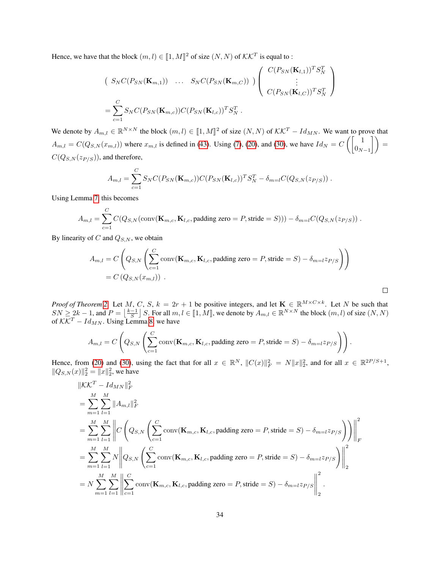Hence, we have that the block  $(m, l) \in [1, M]^2$  of size  $(N, N)$  of  $\mathcal{KK}^T$  is equal to :

$$
\begin{pmatrix}\nS_N C(P_{SN}(\mathbf{K}_{m,1})) & \dots & S_N C(P_{SN}(\mathbf{K}_{m,C}))\n\end{pmatrix}\n\begin{pmatrix}\nC(P_{SN}(\mathbf{K}_{l,1}))^T S_N^T \\
\vdots \\
C(P_{SN}(\mathbf{K}_{l,C}))^T S_N^T\n\end{pmatrix}
$$
\n
$$
= \sum_{c=1}^C S_N C(P_{SN}(\mathbf{K}_{m,c})) C(P_{SN}(\mathbf{K}_{l,c}))^T S_N^T.
$$

We denote by  $A_{m,l} \in \mathbb{R}^{N \times N}$  the block  $(m,l) \in [1,M]^2$  of size  $(N, N)$  of  $\mathcal{KK}^T - Id_{MN}$ . We want to prove that  $A_{m,l} = C(Q_{S,N}(x_{m,l}))$  where  $x_{m,l}$  is defined in [\(43\)](#page-32-0). Using [\(7\)](#page-17-3), [\(20\)](#page-19-1), and [\(30\)](#page-29-2), we have  $Id_N = C\left(\begin{bmatrix} 1 & 0 \\ 0 & 1 \end{bmatrix}\right)$  $\begin{pmatrix} 1 \\ 0_{N-1} \end{pmatrix}$  =  $C(Q_{S,N}(z_{P/S}))$ , and therefore,

$$
A_{m,l} = \sum_{c=1}^{C} S_N C(P_{SN}(\mathbf{K}_{m,c})) C(P_{SN}(\mathbf{K}_{l,c}))^T S_N^T - \delta_{m=l} C(Q_{S,N}(z_{P/S})) .
$$

Using Lemma [7,](#page-29-4) this becomes

$$
A_{m,l} = \sum_{c=1}^{C} C(Q_{S,N}(\text{conv}(\mathbf{K}_{m,c}, \mathbf{K}_{l,c}, \text{padding zero} = P, \text{stride} = S))) - \delta_{m=l} C(Q_{S,N}(z_{P/S})) .
$$

By linearity of  $C$  and  $Q_{S,N}$ , we obtain

$$
A_{m,l} = C\left(Q_{S,N}\left(\sum_{c=1}^{C} \text{conv}(\mathbf{K}_{m,c}, \mathbf{K}_{l,c}, \text{padding zero} = P, \text{stride} = S) - \delta_{m=l} z_{P/S}\right)\right)
$$
  
=  $C\left(Q_{S,N}(x_{m,l})\right)$ .

*Proof of Theorem [2.](#page-8-1)* Let M, C, S,  $k = 2r + 1$  be positive integers, and let  $\mathbf{K} \in \mathbb{R}^{M \times C \times k}$ . Let N be such that  $SN \geq 2k-1$ , and  $P = \lfloor \frac{k-1}{S} \rfloor S$ . For all  $m, l \in [1, M]$ , we denote by  $A_{m,l} \in \mathbb{R}^{N \times N}$  the block  $(m, l)$  of size  $(N, N)$ of  $\mathcal{K}\mathcal{K}^T - Id_{MN}$ . Using Lemma [8,](#page-32-1) we have

$$
A_{m,l}=C\left(Q_{S,N}\left(\sum_{c=1}^C\text{conv}(\mathbf{K}_{m,c},\mathbf{K}_{l,c},\text{padding zero}=P,\text{stride}=S)-\delta_{m=l}\frac{z_{P/S}}{2}\right)\right).
$$

Hence, from [\(20\)](#page-19-1) and [\(30\)](#page-29-2), using the fact that for all  $x \in \mathbb{R}^N$ ,  $||C(x)||_F^2 = N||x||_2^2$ , and for all  $x \in \mathbb{R}^{\frac{2P}{S}+1}$ ,  $||Q_{S,N}(x)||_2^2 = ||x||_2^2$ , we have

$$
\|KK^{T} - Id_{MN}\|_{F}^{2}
$$
\n
$$
= \sum_{m=1}^{M} \sum_{l=1}^{M} \|A_{m,l}\|_{F}^{2}
$$
\n
$$
= \sum_{m=1}^{M} \sum_{l=1}^{M} \left\| C \left(Q_{S,N} \left(\sum_{c=1}^{C} \text{conv}(\mathbf{K}_{m,c}, \mathbf{K}_{l,c}, \text{padding zero} = P, \text{stride} = S) - \delta_{m=l} z_{P/S}\right) \right) \right\|_{F}^{2}
$$
\n
$$
= \sum_{m=1}^{M} \sum_{l=1}^{M} N \left\| Q_{S,N} \left(\sum_{c=1}^{C} \text{conv}(\mathbf{K}_{m,c}, \mathbf{K}_{l,c}, \text{padding zero} = P, \text{stride} = S) - \delta_{m=l} z_{P/S} \right) \right\|_{2}^{2}
$$
\n
$$
= N \sum_{m=1}^{M} \sum_{l=1}^{M} \left\| \sum_{c=1}^{C} \text{conv}(\mathbf{K}_{m,c}, \mathbf{K}_{l,c}, \text{padding zero} = P, \text{stride} = S) - \delta_{m=l} z_{P/S} \right\|_{2}^{2}.
$$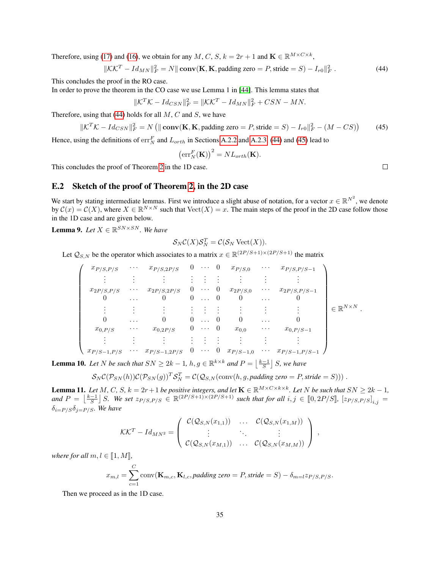Therefore, using [\(17\)](#page-18-5) and [\(16\)](#page-18-6), we obtain for any M, C, S,  $k = 2r + 1$  and  $\mathbf{K} \in \mathbb{R}^{M \times C \times k}$ ,

$$
\|\mathcal{K}\mathcal{K}^T - Id_{MN}\|_F^2 = N \|\mathbf{conv}(\mathbf{K}, \mathbf{K}, \mathbf{p} \text{adding zero} = P, \text{ stride} = S) - I_{r0}\|_F^2. \tag{44}
$$

This concludes the proof in the RO case.

In order to prove the theorem in the CO case we use Lemma 1 in [\[44\]](#page-16-0). This lemma states that

$$
\|\mathcal{K}^T\mathcal{K} - Id_{CSN}\|_F^2 = \|\mathcal{K}\mathcal{K}^T - Id_{MN}\|_F^2 + CSN - MN.
$$

Therefore, using that [\(44\)](#page-34-0) holds for all  $M, C$  and  $S$ , we have

$$
\|\mathcal{K}^T\mathcal{K} - Id_{CSN}\|_F^2 = N\left(\|\mathbf{conv}(\mathbf{K}, \mathbf{K}, \mathbf{padding\ zero} = P, \mathbf{stride} = S) - I_{r0}\|_F^2 - (M - CS)\right) \tag{45}
$$

Hence, using the definitions of  $\operatorname{err}_{N}^{F}$  and  $L_{orth}$  in Sections [A.2.2](#page-18-7) and [A.2.3,](#page-19-6) [\(44\)](#page-34-0) and [\(45\)](#page-34-1) lead to

$$
\left(\operatorname{err}^F_N(\mathbf{K})\right)^2 = NL_{orth}(\mathbf{K}).
$$

This concludes the proof of Theorem [2](#page-8-1) in the 1D case.

#### E.2 Sketch of the proof of Theorem [2,](#page-8-1) in the 2D case

We start by stating intermediate lemmas. First we introduce a slight abuse of notation, for a vector  $x \in \mathbb{R}^{N^2}$ , we denote by  $\mathcal{C}(x) = \mathcal{C}(X)$ , where  $X \in \mathbb{R}^{N \times N}$  such that  $\text{Vect}(X) = x$ . The main steps of the proof in the 2D case follow those in the 1D case and are given below.

**Lemma 9.** Let  $X \in \mathbb{R}^{SN \times SN}$ . We have

$$
\mathcal{S}_N \mathcal{C}(X) \mathcal{S}_N^T = \mathcal{C}(\mathcal{S}_N \operatorname{Vect}(X)).
$$

Let  $\mathcal{Q}_{S,N}$  be the operator which associates to a matrix  $x \in \mathbb{R}^{(2P/S+1)\times(2P/S+1)}$  the matrix

$$
\begin{pmatrix}\n x_{P/S,P/S} & \cdots & x_{P/S,2P/S} & 0 & \cdots & 0 & x_{P/S,0} & \cdots & x_{P/S,P/S-1} \\
 \vdots & \vdots & \vdots & \vdots & \vdots & \vdots & \vdots & \vdots \\
 x_{2P/S,P/S} & \cdots & x_{2P/S,2P/S} & 0 & \cdots & 0 & x_{2P/S,0} & \cdots & x_{2P/S,P/S-1} \\
 0 & \cdots & 0 & 0 & \cdots & 0 & 0 & \cdots & 0 \\
 \vdots & \vdots & \vdots & \vdots & \vdots & \vdots & \vdots & \vdots & \vdots \\
 0 & \cdots & 0 & 0 & \cdots & 0 & 0 & \cdots & 0 \\
 x_{0,P/S} & \cdots & x_{0,2P/S} & 0 & \cdots & 0 & x_{0,0} & \cdots & x_{0,P/S-1} \\
 \vdots & \vdots & \vdots & \vdots & \vdots & \vdots & \vdots & \vdots & \vdots \\
 x_{P/S-1,P/S} & \cdots & x_{P/S-1,2P/S} & 0 & \cdots & 0 & x_{P/S-1,0} & \cdots & x_{P/S-1,P/S-1}\n\end{pmatrix}\n\in\mathbb{R}^{N\times N}.
$$

**Lemma 10.** Let N be such that  $SN \geq 2k - 1$ ,  $h, g \in \mathbb{R}^{k \times k}$  and  $P = \lfloor \frac{k-1}{S} \rfloor S$ , we have

$$
S_N\mathcal{C}(\mathcal{P}_{SN}(h))\mathcal{C}(\mathcal{P}_{SN}(g))^T\mathcal{S}_N^T=\mathcal{C}(\mathcal{Q}_{S,N}(\text{conv}(h,g,padding \text{ zero }=P,\text{stride}=S)))
$$
.

**Lemma 11.** Let M, C, S,  $k = 2r + 1$  be positive integers, and let  $\mathbf{K} \in \mathbb{R}^{M \times C \times k \times k}$ . Let N be such that  $SN \geq 2k - 1$ ,  $\mathcal{L}$  and  $P = \left\lfloor \frac{k-1}{S} \right\rfloor S$ . We set  $z_{P/S,P/S} \in \mathbb{R}^{(2P/S+1)\times (2P/S+1)}$  such that for all  $i, j \in [0, 2P/S]$ ,  $\left\lfloor z_{P/S,P/S} \right\rfloor_{i,j} = S$  $\delta_{i=P/S}\delta_{i=P/S}$ *. We have* 

$$
\mathcal{K}\mathcal{K}^T - Id_{MN^2} = \left( \begin{array}{ccc} \mathcal{C}(\mathcal{Q}_{S,N}(x_{1,1})) & \dots & \mathcal{C}(\mathcal{Q}_{S,N}(x_{1,M})) \\ \vdots & \ddots & \vdots \\ \mathcal{C}(\mathcal{Q}_{S,N}(x_{M,1})) & \dots & \mathcal{C}(\mathcal{Q}_{S,N}(x_{M,M})) \end{array} \right) ,
$$

*where for all*  $m, l \in [1, M]$ *,* 

$$
x_{m,l} = \sum_{c=1}^{C} \text{conv}(\mathbf{K}_{m,c}, \mathbf{K}_{l,c}, padding\ zero = P, stride = S) - \delta_{m=l} z_{P/S,P/S}.
$$

Then we proceed as in the 1D case.

<span id="page-34-1"></span><span id="page-34-0"></span> $\Box$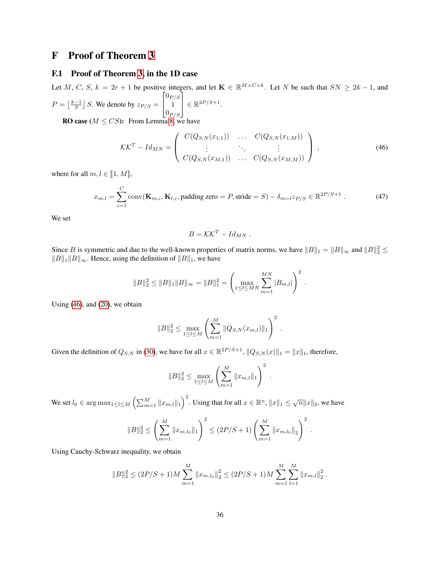## <span id="page-35-0"></span>F Proof of Theorem [3](#page-9-2)

#### F.1 Proof of Theorem [3,](#page-9-2) in the 1D case

Let M, C, S,  $k = 2r + 1$  be positive integers, and let  $\mathbf{K} \in \mathbb{R}^{M \times C \times k}$ . Let N be such that  $SN \geq 2k - 1$ , and  $P = \left\lfloor \frac{k-1}{S} \right\rfloor S$ . We denote by  $z_{P/S} =$  $\sqrt{ }$  $\overline{\phantom{a}}$  $0_{P/S}$ 1  $\vert_{0_{P/S}}\vert$ 1  $\Big\} \in \mathbb{R}^{2P/S+1}.$ 

**RO case** ( $M \leq CS$ ): From Lemma [8,](#page-32-1) we have

$$
\mathcal{K}\mathcal{K}^{T} - Id_{MN} = \begin{pmatrix} C(Q_{S,N}(x_{1,1})) & \dots & C(Q_{S,N}(x_{1,M})) \\ \vdots & \ddots & \vdots \\ C(Q_{S,N}(x_{M,1})) & \dots & C(Q_{S,N}(x_{M,M})) \end{pmatrix},
$$
(46)

where for all  $m, l \in [1, M]$ ,

$$
x_{m,l} = \sum_{c=1}^{C} \text{conv}(\mathbf{K}_{m,c}, \mathbf{K}_{l,c}, \text{padding zero} = P, \text{ stride} = S) - \delta_{m=l} z_{P/S} \in \mathbb{R}^{2P/S+1}.
$$
 (47)

We set

<span id="page-35-2"></span><span id="page-35-1"></span>
$$
B = \mathcal{K}\mathcal{K}^T - Id_{MN} .
$$

Since B is symmetric and due to the well-known properties of matrix norms, we have  $||B||_1 = ||B||_{\infty}$  and  $||B||_2^2 \le$  $||B||_1 ||B||_{\infty}$ . Hence, using the definition of  $||B||_1$ , we have

$$
||B||_2^2 \le ||B||_1 ||B||_{\infty} = ||B||_1^2 = \left(\max_{1 \le l \le MN} \sum_{m=1}^{MN} |B_{m,l}|\right)^2.
$$

Using [\(46\)](#page-35-1), and [\(20\)](#page-19-1), we obtain

$$
||B||_2^2 \le \max_{1 \le l \le M} \left( \sum_{m=1}^M ||Q_{S,N}(x_{m,l})||_1 \right)^2.
$$

Given the definition of  $Q_{S,N}$  in [\(30\)](#page-29-2), we have for all  $x \in \mathbb{R}^{2P/S+1}$ ,  $||Q_{S,N}(x)||_1 = ||x||_1$ , therefore,

$$
||B||_2^2 \le \max_{1 \le l \le M} \left( \sum_{m=1}^M ||x_{m,l}||_1 \right)^2.
$$

We set  $l_0 \in \arg\max_{1 \leq l \leq M} \left( \sum_{m=1}^M \|x_{m,l}\|_1 \right)^2$ . Using that for all  $x \in \mathbb{R}^n$ ,  $||x||_1 \leq \sqrt{n} ||x||_2$ , we have

$$
||B||_2^2 \le \left(\sum_{m=1}^M ||x_{m,l_0}||_1\right)^2 \le (2P/S+1)\left(\sum_{m=1}^M ||x_{m,l_0}||_2\right)^2.
$$

Using Cauchy-Schwarz inequality, we obtain

$$
||B||_2^2 \le (2P/S + 1)M \sum_{m=1}^M ||x_{m,l_0}||_2^2 \le (2P/S + 1)M \sum_{m=1}^M \sum_{l=1}^M ||x_{m,l}||_2^2.
$$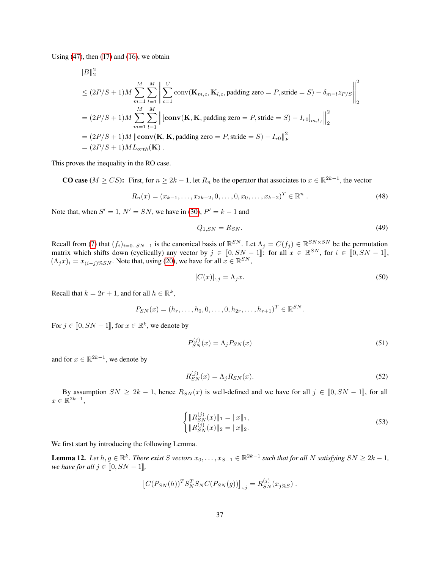Using  $(47)$ , then  $(17)$  and  $(16)$ , we obtain

$$
\|B\|_2^2
$$

$$
\leq (2P/S + 1)M \sum_{m=1}^{M} \sum_{l=1}^{M} \left\| \sum_{c=1}^{C} \text{conv}(\mathbf{K}_{m,c}, \mathbf{K}_{l,c}, \text{padding zero} = P, \text{stride} = S) - \delta_{m=l} z_{P/S} \right\|_{2}^{2}
$$
\n
$$
= (2P/S + 1)M \sum_{m=1}^{M} \sum_{l=1}^{M} \left\| [\text{conv}(\mathbf{K}, \mathbf{K}, \text{padding zero} = P, \text{stride} = S) - I_{r0}]_{m,l,:} \right\|_{2}^{2}
$$
\n
$$
= (2P/S + 1)M \left\| \text{conv}(\mathbf{K}, \mathbf{K}, \text{padding zero} = P, \text{stride} = S) - I_{r0} \right\|_{F}^{2}
$$
\n
$$
= (2P/S + 1)ML_{orth}(\mathbf{K}).
$$

This proves the inequality in the RO case.

**CO case** ( $M \ge CS$ ): First, for  $n \ge 2k - 1$ , let  $R_n$  be the operator that associates to  $x \in \mathbb{R}^{2k-1}$ , the vector

$$
R_n(x) = (x_{k-1}, \dots, x_{2k-2}, 0, \dots, 0, x_0, \dots, x_{k-2})^T \in \mathbb{R}^n
$$
 (48)

Note that, when  $S' = 1$ ,  $N' = SN$ , we have in [\(30\)](#page-29-2),  $P' = k - 1$  and

<span id="page-36-5"></span><span id="page-36-2"></span>
$$
Q_{1,SN} = R_{SN}.\tag{49}
$$

Recall from [\(7\)](#page-17-3) that  $(f_i)_{i=0..5N-1}$  is the canonical basis of  $\mathbb{R}^{SN}$ . Let  $\Lambda_j = C(f_j) \in \mathbb{R}^{SN \times SN}$  be the permutation matrix which shifts down (cyclically) any vector by  $j \in [0, SN - 1]$ : for all  $x \in \mathbb{R}^{SN}$ , for  $i \in [0, SN - 1]$ ,  $(A, x) = x$ , such that using (20), we have for all  $x \in \mathbb{R}^{SN}$ .  $(\Lambda_j x)_i = x_{(i-j)\%SN}$ . Note that, using [\(20\)](#page-19-1), we have for all  $x \in \mathbb{R}^{SN}$ ,

<span id="page-36-0"></span>
$$
[C(x)]_{:,j} = \Lambda_j x. \tag{50}
$$

Recall that  $k = 2r + 1$ , and for all  $h \in \mathbb{R}^k$ ,

 $P_{SN}(x) = (h_r, \ldots, h_0, 0, \ldots, 0, h_{2r}, \ldots, h_{r+1})^T \in \mathbb{R}^{SN}.$ 

For  $j \in [0, SN - 1]$ , for  $x \in \mathbb{R}^k$ , we denote by

<span id="page-36-1"></span>
$$
P_{SN}^{(j)}(x) = \Lambda_j P_{SN}(x) \tag{51}
$$

and for  $x \in \mathbb{R}^{2k-1}$ , we denote by

<span id="page-36-3"></span>
$$
R_{SN}^{(j)}(x) = \Lambda_j R_{SN}(x). \tag{52}
$$

By assumption  $SN \geq 2k - 1$ , hence  $R_{SN}(x)$  is well-defined and we have for all  $j \in [0, SN - 1]$ , for all  $x \in \mathbb{R}^{2k-1},$ 

<span id="page-36-6"></span>
$$
\begin{cases}\n||R_{SN}^{(j)}(x)||_1 = ||x||_1, \\
||R_{SN}^{(j)}(x)||_2 = ||x||_2.\n\end{cases}
$$
\n(53)

We first start by introducing the following Lemma.

<span id="page-36-4"></span>**Lemma 12.** Let  $h, g \in \mathbb{R}^k$ . There exist S vectors  $x_0, \ldots, x_{S-1} \in \mathbb{R}^{2k-1}$  such that for all N satisfying  $SN \geq 2k-1$ , *we have for all*  $j \in [0, SN - 1]$ *,* 

$$
[C(P_{SN}(h))^{T} S_{N}^{T} S_{N} C(P_{SN}(g))]_{:,j} = R_{SN}^{(j)}(x_{j}\%_{S}) .
$$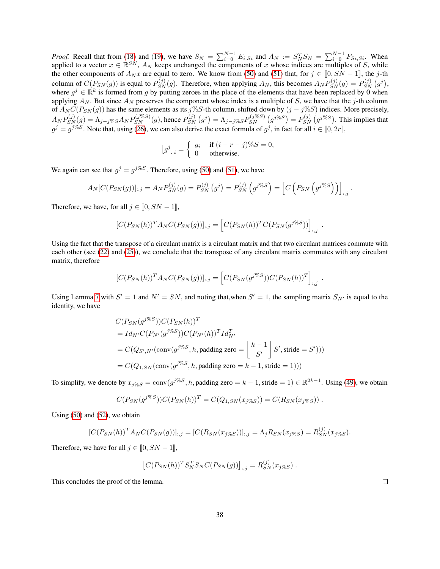*Proof.* Recall that from [\(18\)](#page-19-2) and [\(19\)](#page-19-7), we have  $S_N = \sum_{i=0}^{N-1} E_{i,Si}$  and  $A_N := S_N^T S_N = \sum_{i=0}^{N-1} F_{Si,Si}$ . When applied to a vector  $x \in \mathbb{R}^{SN}$ ,  $A_N$  keeps unchanged the components of x whose indices are multiples of S, while the other components of  $A_N x$  are equal to zero. We know from [\(50\)](#page-36-0) and [\(51\)](#page-36-1) that, for  $j \in [0, S_N - 1]$ , the j-th column of  $C(P_{SN}(g))$  is equal to  $P_{SN}^{(j)}(g)$ . Therefore, when applying  $A_N$ , this becomes  $A_N P_{SN}^{(j)}(g) = P_{SN}^{(j)}(g^j)$ , where  $g^j \in \mathbb{R}^k$  is formed from g by putting zeroes in the place of the elements that have been replaced by 0 when applying  $A_N$ . But since  $A_N$  preserves the component whose index is a multiple of S, we have that the j-th column of  $A_N C(P_{SN}(g))$  has the same elements as its j%S-th column, shifted down by  $(j - j\%S)$  indices. More precisely,  $A_N P_{SN}^{(j)}(g) = \Lambda_{j-j} \ll s A_N P_{SN}^{(j\%S)}(g)$ , hence  $P_{SN}^{(j)}(g^j) = \Lambda_{j-j} \ll s P_{SN}^{(j\%S)}(g^{j\%S}) = P_{SN}^{(j)}(g^{j\%S})$ . This implies that  $g^j = g^{j\%S}$ . Note that, using [\(26\)](#page-20-1), we can also derive the exact formula of  $g^j$ , in fact for all  $i \in [0, 2r]$ ,

$$
[g^j]_i = \begin{cases} g_i & \text{if } (i - r - j)\%S = 0, \\ 0 & \text{otherwise.} \end{cases}
$$

We again can see that  $g^j = g^{j\%S}$ . Therefore, using [\(50\)](#page-36-0) and [\(51\)](#page-36-1), we have

$$
A_N[C(P_{SN}(g))]_{:,j} = A_N P_{SN}^{(j)}(g) = P_{SN}^{(j)}(g^j) = P_{SN}^{(j)}(g^{j\%S}) = \left[C\left(P_{SN}\left(g^{j\%S}\right)\right)\right]_{:,j}.
$$

Therefore, we have, for all  $j \in [0, SN - 1]$ ,

$$
[C(P_{SN}(h))^{T} A_{N} C(P_{SN}(g))]_{:,j} = [C(P_{SN}(h))^{T} C(P_{SN}(g^{j\%S}))]_{:,j}
$$

.

.

Using the fact that the transpose of a circulant matrix is a circulant matrix and that two circulant matrices commute with each other (see [\(22\)](#page-19-4) and [\(25\)](#page-20-3)), we conclude that the transpose of any circulant matrix commutes with any circulant matrix, therefore

$$
[C(P_{SN}(h))^{T} A_{N} C(P_{SN}(g))]_{:,j} = [C(P_{SN}(g^{j\%S})) C(P_{SN}(h))^{T}]_{:,j}
$$

Using Lemma [7](#page-29-4) with  $S' = 1$  and  $N' = SN$ , and noting that, when  $S' = 1$ , the sampling matrix  $S_{N'}$  is equal to the identity, we have

$$
C(P_{SN}(g^{j\%S}))C(P_{SN}(h))^{T}
$$
  
=  $Id_{N'}C(P_{N'}(g^{j\%S}))C(P_{N'}(h))^{T}Id_{N'}^{T}$   
=  $C(Q_{S',N'}(\text{conv}(g^{j\%S}, h, \text{padding zero} = \left\lfloor \frac{k-1}{S'} \right\rfloor S', \text{ stride} = S'))$ )  
=  $C(Q_{1,SN}(\text{conv}(g^{j\%S}, h, \text{padding zero} = k-1, \text{ stride} = 1)))$ 

To simplify, we denote by  $x_{j\%S} = \text{conv}(g^{j\%S}, h, \text{padding zero} = k - 1, \text{stride} = 1) \in \mathbb{R}^{2k-1}$ . Using [\(49\)](#page-36-2), we obtain

$$
C(P_{SN}(g^{j\%S}))C(P_{SN}(h))^{T} = C(Q_{1,SN}(x_{j\%S})) = C(R_{SN}(x_{j\%S})) .
$$

Using [\(50\)](#page-36-0) and [\(52\)](#page-36-3), we obtain

$$
[C(P_{SN}(h))^{T} A_{N} C(P_{SN}(g))]_{:,j} = [C(R_{SN}(x_{j\%S}))]_{:,j} = \Lambda_{j} R_{SN}(x_{j\%S}) = R_{SN}^{(j)}(x_{j\%S}).
$$

Therefore, we have for all  $j \in [0, SN - 1]$ ,

$$
[C(P_{SN}(h))^{T}S_{N}^{T}S_{N}C(P_{SN}(g))]_{:,j}=R_{SN}^{(j)}(x_{j}\%_{S}) .
$$

This concludes the proof of the lemma.

 $\Box$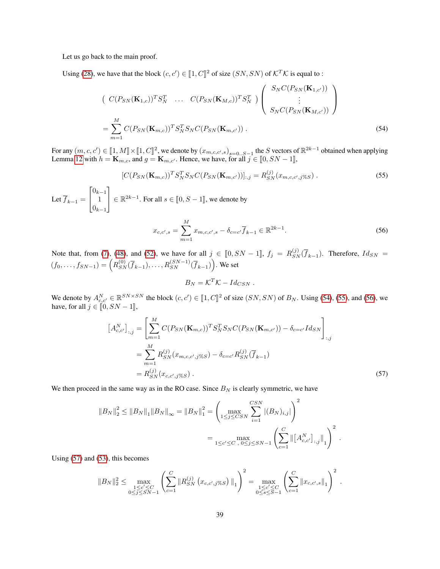Let us go back to the main proof.

Using [\(28\)](#page-21-1), we have that the block  $(c, c') \in [1, C]^2$  of size  $(SN, SN)$  of  $\mathcal{K}^T\mathcal{K}$  is equal to :

$$
\begin{pmatrix}\nC(P_{SN}(\mathbf{K}_{1,c}))^T S_N^T & \dots & C(P_{SN}(\mathbf{K}_{M,c}))^T S_N^T\n\end{pmatrix}\n\begin{pmatrix}\nS_N C(P_{SN}(\mathbf{K}_{1,c'})) \\
\vdots \\
S_N C(P_{SN}(\mathbf{K}_{M,c'}))\n\end{pmatrix}
$$
\n
$$
= \sum_{m=1}^M C(P_{SN}(\mathbf{K}_{m,c}))^T S_N^T S_N C(P_{SN}(\mathbf{K}_{m,c'})) .
$$
\n(54)

For any  $(m, c, c') \in [1, M] \times [1, C]^2$ , we denote by  $(x_{m, c, c', s})_{s=0..S-1}$  the S vectors of  $\mathbb{R}^{2k-1}$  obtained when applying <br>Lamma 12 with  $h = \mathbf{K}$  and  $c = \mathbf{K}$  . Hence we have for all  $s \in [0, SN-1]$ Lemma [12](#page-36-4) with  $h = \mathbf{K}_{m,c}$ , and  $g = \mathbf{K}_{m,c'}$ . Hence, we have, for all  $j \in [0, SN - 1]$ ,

$$
[C(P_{SN}(\mathbf{K}_{m,c}))^T S_N^T S_N C(P_{SN}(\mathbf{K}_{m,c'}))]_{:,j} = R_{SN}^{(j)}(x_{m,c,c',j\%S}). \tag{55}
$$

Let  $f_{k-1} =$  $\lceil$  $\overline{1}$  $0_{k-1}$ 1  $0_{k-1}$ 1  $\in \mathbb{R}^{2k-1}$ . For all  $s \in [0, S-1]$ , we denote by

<span id="page-38-0"></span>
$$
x_{c,c',s} = \sum_{m=1}^{M} x_{m,c,c',s} - \delta_{c=c'} \overline{f}_{k-1} \in \mathbb{R}^{2k-1}.
$$
 (56)

Note that, from [\(7\)](#page-17-3), [\(48\)](#page-36-5), and [\(52\)](#page-36-3), we have for all  $j \in [0, SN - 1]$ ,  $f_j = R_{SN}^{(j)}(\overline{f}_{k-1})$ . Therefore,  $Id_{SN} =$  $(f_0,...,f_{SN-1}) = (R_{SN}^{(0)}(\overline{f}_{k-1}),...,R_{SN}^{(SN-1)}(\overline{f}_{k-1}))$ . We set

<span id="page-38-3"></span><span id="page-38-2"></span><span id="page-38-1"></span>
$$
B_N = \mathcal{K}^T \mathcal{K} - Id_{CSN} .
$$

We denote by  $A_{c,c}^N \in \mathbb{R}^{SN \times SN}$  the block  $(c, c') \in [1, C]^2$  of size  $(SN, SN)$  of  $B_N$ . Using [\(54\)](#page-38-0), [\(55\)](#page-38-1), and [\(56\)](#page-38-2), we have for all  $\delta \in [0, SN, 1]^2$ have, for all  $j \in [0, SN - 1],$ 

$$
\begin{aligned}\n\left[A_{c,c'}^{N}\right]_{:,j} &= \left[\sum_{m=1}^{M} C(P_{SN}(\mathbf{K}_{m,c}))^{T} S_{N}^{T} S_{N} C(P_{SN}(\mathbf{K}_{m,c'})) - \delta_{c=c'} I d_{SN}\right]_{:,j} \\
&= \sum_{m=1}^{M} R_{SN}^{(j)}(x_{m,c,c',j\%S}) - \delta_{c=c'} R_{SN}^{(j)}(\overline{f}_{k-1}) \\
&= R_{SN}^{(j)}(x_{c,c',j\%S})\,. \tag{57}\n\end{aligned}
$$

We then proceed in the same way as in the RO case. Since  $B_N$  is clearly symmetric, we have

$$
||B_N||_2^2 \le ||B_N||_1 ||B_N||_{\infty} = ||B_N||_1^2 = \left(\max_{1 \le j \le CSN} \sum_{i=1}^{CSN} |(B_N)_{i,j}|\right)^2
$$
  
= 
$$
\max_{1 \le c' \le C, 0 \le j \le SN-1} \left(\sum_{c=1}^C \left\|\left[A_{c,c'}^N\right]_{:,j}\right\|_1\right)^2.
$$

Using [\(57\)](#page-38-3) and [\(53\)](#page-36-6), this becomes

$$
||B_N||_2^2 \le \max_{\substack{1 \le c' \le C \\ 0 \le j \le SN - 1}} \left( \sum_{c = 1}^C ||R_{SN}^{(j)} (x_{c,c',j} \underset{\gamma \in S}{\times} )||_1 \right)^2 = \max_{\substack{1 \le c' \le C \\ 0 \le s \le S - 1}} \left( \sum_{c = 1}^C ||x_{c,c',s}||_1 \right)^2.
$$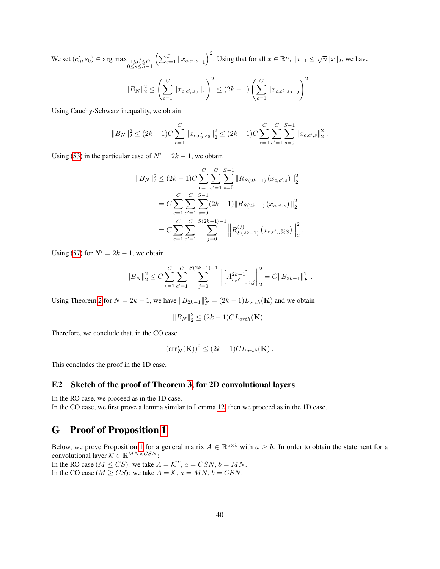We set  $(c'_0, s_0)$  ∈ arg max  $\frac{1 \le c' \le C}{0 \le s \le S-1}$  $\left(\sum_{c=1}^C ||x_{c,c',s}||_1\right)^2$ . Using that for all  $x \in \mathbb{R}^n$ ,  $||x||_1 \leq \sqrt{n} ||x||_2$ , we have

$$
||B_N||_2^2 \le \left(\sum_{c=1}^C ||x_{c,c'_0,s_0}||_1\right)^2 \le (2k-1)\left(\sum_{c=1}^C ||x_{c,c'_0,s_0}||_2\right)^2.
$$

Using Cauchy-Schwarz inequality, we obtain

$$
||B_N||_2^2 \le (2k-1)C \sum_{c=1}^C ||x_{c,c'_0,s_0}||_2^2 \le (2k-1)C \sum_{c=1}^C \sum_{c'=1}^C \sum_{s=0}^{S-1} ||x_{c,c',s}||_2^2.
$$

Using [\(53\)](#page-36-6) in the particular case of  $N' = 2k - 1$ , we obtain

$$
||B_N||_2^2 \le (2k-1)C \sum_{c=1}^C \sum_{c'=1}^C \sum_{s=0}^{S-1} ||R_{S(2k-1)}(x_{c,c',s})||_2^2
$$
  
=  $C \sum_{c=1}^C \sum_{c'=1}^C \sum_{s=0}^{S-1} (2k-1) ||R_{S(2k-1)}(x_{c,c',s})||_2^2$   
=  $C \sum_{c=1}^C \sum_{c'=1}^C \sum_{j=0}^{S(2k-1)-1} ||R_{S(2k-1)}(x_{c,c',j\%S})||_2^2$ .

Using [\(57\)](#page-38-3) for  $N' = 2k - 1$ , we obtain

$$
||B_N||_2^2 \le C \sum_{c=1}^C \sum_{c'=1}^C \sum_{j=0}^{S(2k-1)-1} \left\| \left[ A_{c,c'}^{2k-1} \right]_{:,j} \right\|_2^2 = C ||B_{2k-1}||_F^2.
$$

Using Theorem [2](#page-8-1) for  $N = 2k - 1$ , we have  $||B_{2k-1}||_F^2 = (2k - 1)L_{orth}(\mathbf{K})$  and we obtain

$$
||B_N||_2^2 \le (2k-1)CL_{orth}(\mathbf{K}).
$$

Therefore, we conclude that, in the CO case

$$
(\mathrm{err}_N^s(\mathbf{K}))^2 \leq (2k-1)CL_{orth}(\mathbf{K}) .
$$

This concludes the proof in the 1D case.

#### F.2 Sketch of the proof of Theorem [3,](#page-9-2) for 2D convolutional layers

In the RO case, we proceed as in the 1D case. In the CO case, we first prove a lemma similar to Lemma [12,](#page-36-4) then we proceed as in the 1D case.

## <span id="page-39-0"></span>G Proof of Proposition [1](#page-6-2)

Below, we prove Proposition [1](#page-6-2) for a general matrix  $A \in \mathbb{R}^{a \times b}$  with  $a \geq b$ . In order to obtain the statement for a convolutional layer  $\mathcal{K} \in \mathbb{R}^{MN \times CSN}$ :

In the RO case ( $M \leq CS$ ): we take  $A = \mathcal{K}^T$ ,  $a = CSN$ ,  $b = MN$ . In the CO case ( $M \geq CS$ ): we take  $A = K$ ,  $a = MN$ ,  $b = CSN$ .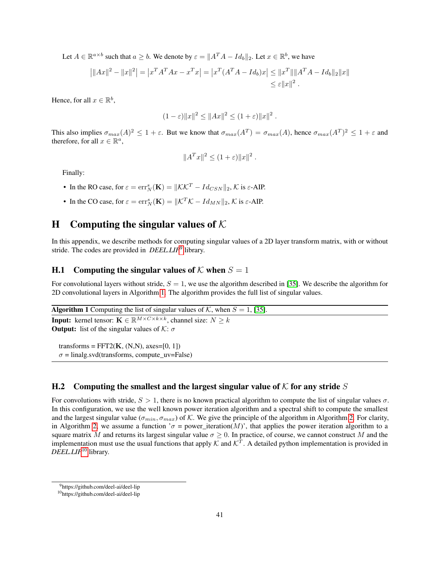Let  $A \in \mathbb{R}^{a \times b}$  such that  $a \geq b$ . We denote by  $\varepsilon = ||A^T A - Id_b||_2$ . Let  $x \in \mathbb{R}^b$ , we have

$$
\left| \|Ax\|^2 - \|x\|^2 \right| = \left| x^T A^T A x - x^T x \right| = \left| x^T (A^T A - Id_b) x \right| \le \|x^T\| \|A^T A - Id_b\|_2 \|x\|
$$
  

$$
\le \varepsilon \|x\|^2.
$$

Hence, for all  $x \in \mathbb{R}^b$ ,

$$
(1 - \varepsilon) \|x\|^2 \le \|Ax\|^2 \le (1 + \varepsilon) \|x\|^2.
$$

This also implies  $\sigma_{max}(A)^2 \leq 1 + \varepsilon$ . But we know that  $\sigma_{max}(A^T) = \sigma_{max}(A)$ , hence  $\sigma_{max}(A^T)^2 \leq 1 + \varepsilon$  and therefore, for all  $x \in \mathbb{R}^n$ ,

$$
||A^T x||^2 \le (1+\varepsilon) ||x||^2.
$$

Finally:

- In the RO case, for  $\varepsilon = \text{err}_N^s(\mathbf{K}) = ||\mathcal{K}\mathcal{K}^T Id_{CSN}||_2$ ,  $\mathcal{K}$  is  $\varepsilon$ -AIP.
- In the CO case, for  $\varepsilon = \text{err}_N^s(\mathbf{K}) = ||\mathcal{K}^T \mathcal{K} Id_{MN}||_2$ ,  $\mathcal{K}$  is  $\varepsilon$ -AIP.

## <span id="page-40-0"></span>H Computing the singular values of  $K$

In this appendix, we describe methods for computing singular values of a 2D layer transform matrix, with or without stride. The codes are provided in *DEEL.LIP*[9](#page-40-1) library.

#### H.1 Computing the singular values of  $K$  when  $S = 1$

For convolutional layers without stride,  $S = 1$ , we use the algorithm described in [\[35\]](#page-15-3). We describe the algorithm for 2D convolutional layers in Algorithm [1.](#page-40-2) The algorithm provides the full list of singular values.

**Algorithm 1** Computing the list of singular values of K, when  $S = 1$ , [\[35\]](#page-15-3).

**Input:** kernel tensor:  $\mathbf{K} \in \mathbb{R}^{M \times C \times k \times k}$ , channel size:  $N \geq k$ **Output:** list of the singular values of  $\mathcal{K}$ :  $\sigma$ 

<span id="page-40-2"></span>transforms =  $FFT2(K, (N,N), axes=[0, 1])$  $\sigma$  = linalg.svd(transforms, compute uv=False)

#### H.2 Computing the smallest and the largest singular value of  $K$  for any stride  $S$

For convolutions with stride,  $S > 1$ , there is no known practical algorithm to compute the list of singular values  $\sigma$ . In this configuration, we use the well known power iteration algorithm and a spectral shift to compute the smallest and the largest singular value ( $\sigma_{min}, \sigma_{max}$ ) of K. We give the principle of the algorithm in Algorithm [2.](#page-41-0) For clarity, in Algorithm [2,](#page-41-0) we assume a function ' $\sigma$  = power\_iteration(M)', that applies the power iteration algorithm to a square matrix M and returns its largest singular value  $\sigma \geq 0$ . In practice, of course, we cannot construct M and the implementation must use the usual functions that apply  $K$  and  $K^T$ . A detailed python implementation is provided in *DEEL.LIP*[10](#page-40-3) library.

<span id="page-40-1"></span><sup>9</sup>https://github.com/deel-ai/deel-lip

<span id="page-40-3"></span><sup>10</sup>https://github.com/deel-ai/deel-lip